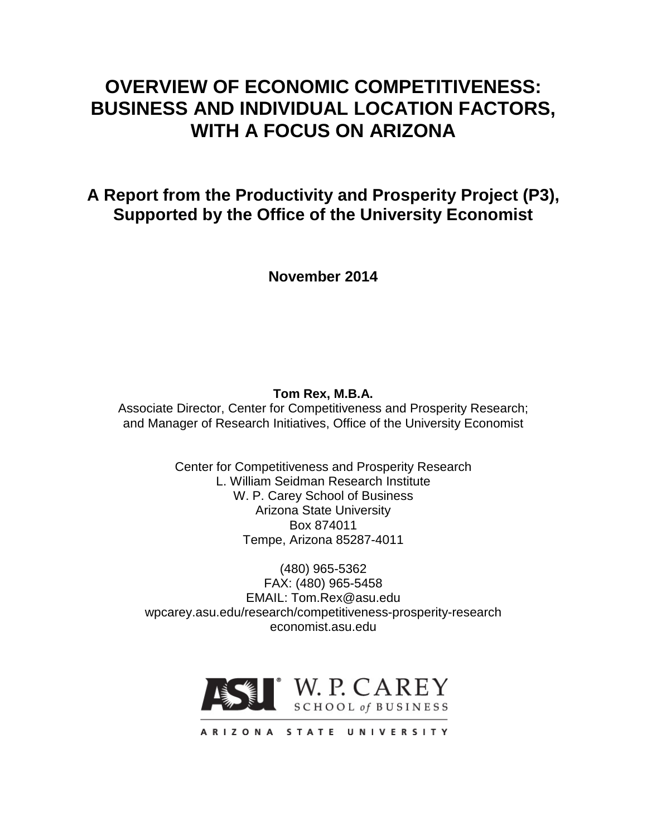# **OVERVIEW OF ECONOMIC COMPETITIVENESS: BUSINESS AND INDIVIDUAL LOCATION FACTORS, WITH A FOCUS ON ARIZONA**

**A Report from the Productivity and Prosperity Project (P3), Supported by the Office of the University Economist**

**November 2014**

# **Tom Rex, M.B.A.**

Associate Director, Center for Competitiveness and Prosperity Research; and Manager of Research Initiatives, Office of the University Economist

> Center for Competitiveness and Prosperity Research L. William Seidman Research Institute W. P. Carey School of Business Arizona State University Box 874011 Tempe, Arizona 85287-4011

(480) 965-5362 FAX: (480) 965-5458 EMAIL: Tom.Rex@asu.edu wpcarey.asu.edu/research/competitiveness-prosperity-research economist.asu.edu

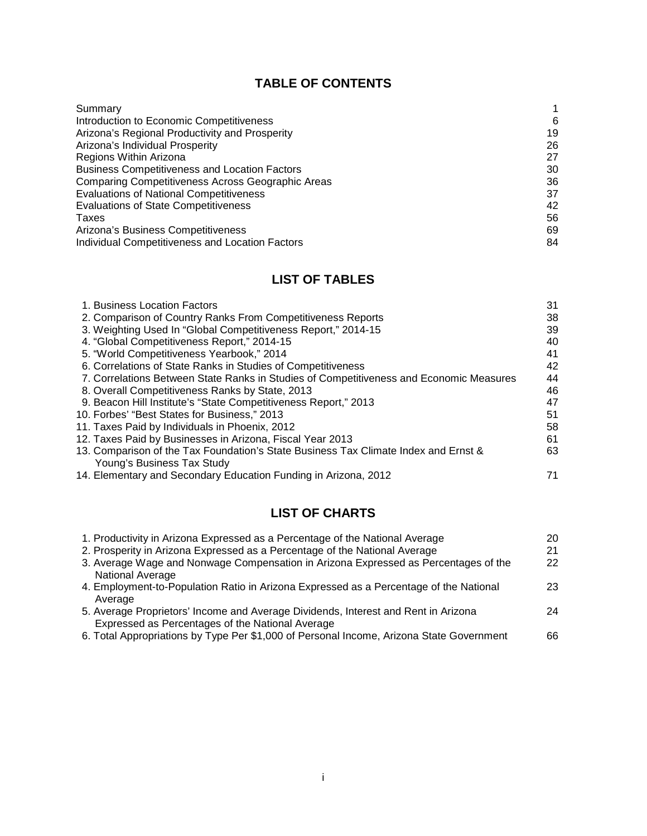# **TABLE OF CONTENTS**

| Summary                                                  |    |
|----------------------------------------------------------|----|
| Introduction to Economic Competitiveness                 | 6  |
| Arizona's Regional Productivity and Prosperity           | 19 |
| Arizona's Individual Prosperity                          | 26 |
| Regions Within Arizona                                   | 27 |
| <b>Business Competitiveness and Location Factors</b>     | 30 |
| <b>Comparing Competitiveness Across Geographic Areas</b> | 36 |
| <b>Evaluations of National Competitiveness</b>           | 37 |
| <b>Evaluations of State Competitiveness</b>              | 42 |
| Taxes                                                    | 56 |
| Arizona's Business Competitiveness                       | 69 |
| Individual Competitiveness and Location Factors          | 84 |

# **LIST OF TABLES**

| 1. Business Location Factors                                                            | 31 |
|-----------------------------------------------------------------------------------------|----|
| 2. Comparison of Country Ranks From Competitiveness Reports                             | 38 |
| 3. Weighting Used In "Global Competitiveness Report," 2014-15                           | 39 |
| 4. "Global Competitiveness Report," 2014-15                                             | 40 |
| 5. "World Competitiveness Yearbook," 2014                                               | 41 |
| 6. Correlations of State Ranks in Studies of Competitiveness                            | 42 |
| 7. Correlations Between State Ranks in Studies of Competitiveness and Economic Measures | 44 |
| 8. Overall Competitiveness Ranks by State, 2013                                         | 46 |
| 9. Beacon Hill Institute's "State Competitiveness Report," 2013                         | 47 |
| 10. Forbes' "Best States for Business," 2013                                            | 51 |
| 11. Taxes Paid by Individuals in Phoenix, 2012                                          | 58 |
| 12. Taxes Paid by Businesses in Arizona, Fiscal Year 2013                               | 61 |
| 13. Comparison of the Tax Foundation's State Business Tax Climate Index and Ernst &     | 63 |
| Young's Business Tax Study                                                              |    |
| 14. Elementary and Secondary Education Funding in Arizona, 2012                         | 71 |

# **LIST OF CHARTS**

| 20 |
|----|
| 21 |
| 22 |
|    |
| 23 |
|    |
| 24 |
|    |
| 66 |
|    |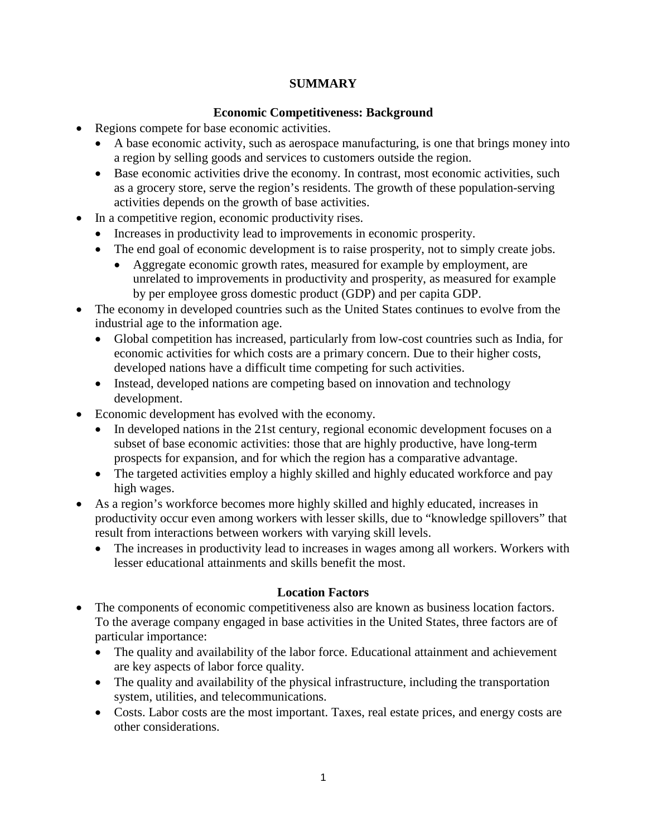# **SUMMARY**

# **Economic Competitiveness: Background**

- Regions compete for base economic activities.
	- A base economic activity, such as aerospace manufacturing, is one that brings money into a region by selling goods and services to customers outside the region.
	- Base economic activities drive the economy. In contrast, most economic activities, such as a grocery store, serve the region's residents. The growth of these population-serving activities depends on the growth of base activities.
- In a competitive region, economic productivity rises.
	- Increases in productivity lead to improvements in economic prosperity.
	- The end goal of economic development is to raise prosperity, not to simply create jobs.
		- Aggregate economic growth rates, measured for example by employment, are unrelated to improvements in productivity and prosperity, as measured for example by per employee gross domestic product (GDP) and per capita GDP.
- The economy in developed countries such as the United States continues to evolve from the industrial age to the information age.
	- Global competition has increased, particularly from low-cost countries such as India, for economic activities for which costs are a primary concern. Due to their higher costs, developed nations have a difficult time competing for such activities.
	- Instead, developed nations are competing based on innovation and technology development.
- Economic development has evolved with the economy.
	- In developed nations in the 21st century, regional economic development focuses on a subset of base economic activities: those that are highly productive, have long-term prospects for expansion, and for which the region has a comparative advantage.
	- The targeted activities employ a highly skilled and highly educated workforce and pay high wages.
- As a region's workforce becomes more highly skilled and highly educated, increases in productivity occur even among workers with lesser skills, due to "knowledge spillovers" that result from interactions between workers with varying skill levels.
	- The increases in productivity lead to increases in wages among all workers. Workers with lesser educational attainments and skills benefit the most.

# **Location Factors**

- The components of economic competitiveness also are known as business location factors. To the average company engaged in base activities in the United States, three factors are of particular importance:
	- The quality and availability of the labor force. Educational attainment and achievement are key aspects of labor force quality.
	- The quality and availability of the physical infrastructure, including the transportation system, utilities, and telecommunications.
	- Costs. Labor costs are the most important. Taxes, real estate prices, and energy costs are other considerations.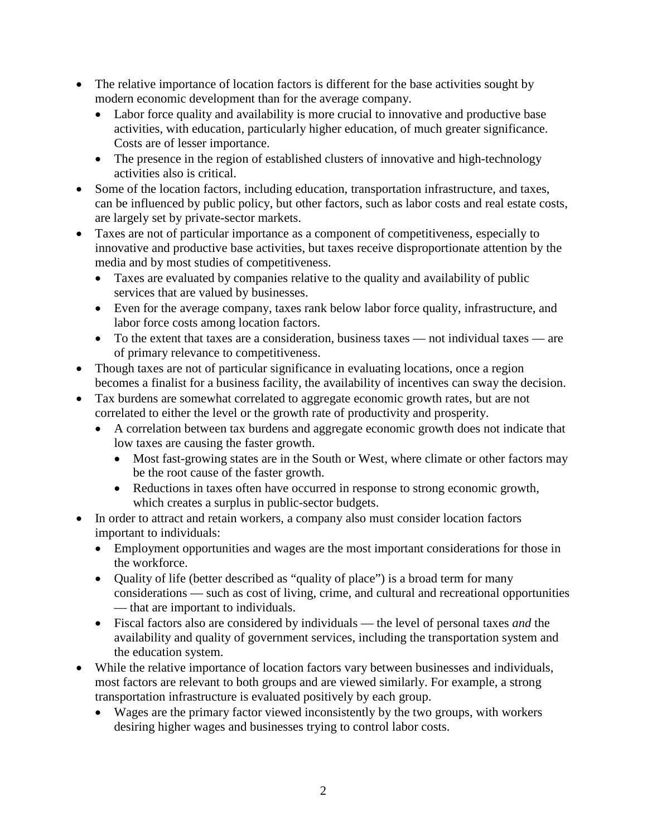- The relative importance of location factors is different for the base activities sought by modern economic development than for the average company.
	- Labor force quality and availability is more crucial to innovative and productive base activities, with education, particularly higher education, of much greater significance. Costs are of lesser importance.
	- The presence in the region of established clusters of innovative and high-technology activities also is critical.
- Some of the location factors, including education, transportation infrastructure, and taxes, can be influenced by public policy, but other factors, such as labor costs and real estate costs, are largely set by private-sector markets.
- Taxes are not of particular importance as a component of competitiveness, especially to innovative and productive base activities, but taxes receive disproportionate attention by the media and by most studies of competitiveness.
	- Taxes are evaluated by companies relative to the quality and availability of public services that are valued by businesses.
	- Even for the average company, taxes rank below labor force quality, infrastructure, and labor force costs among location factors.
	- To the extent that taxes are a consideration, business taxes not individual taxes are of primary relevance to competitiveness.
- Though taxes are not of particular significance in evaluating locations, once a region becomes a finalist for a business facility, the availability of incentives can sway the decision.
- Tax burdens are somewhat correlated to aggregate economic growth rates, but are not correlated to either the level or the growth rate of productivity and prosperity.
	- A correlation between tax burdens and aggregate economic growth does not indicate that low taxes are causing the faster growth.
		- Most fast-growing states are in the South or West, where climate or other factors may be the root cause of the faster growth.
		- Reductions in taxes often have occurred in response to strong economic growth, which creates a surplus in public-sector budgets.
- In order to attract and retain workers, a company also must consider location factors important to individuals:
	- Employment opportunities and wages are the most important considerations for those in the workforce.
	- Quality of life (better described as "quality of place") is a broad term for many considerations — such as cost of living, crime, and cultural and recreational opportunities — that are important to individuals.
	- Fiscal factors also are considered by individuals the level of personal taxes *and* the availability and quality of government services, including the transportation system and the education system.
- While the relative importance of location factors vary between businesses and individuals, most factors are relevant to both groups and are viewed similarly. For example, a strong transportation infrastructure is evaluated positively by each group.
	- Wages are the primary factor viewed inconsistently by the two groups, with workers desiring higher wages and businesses trying to control labor costs.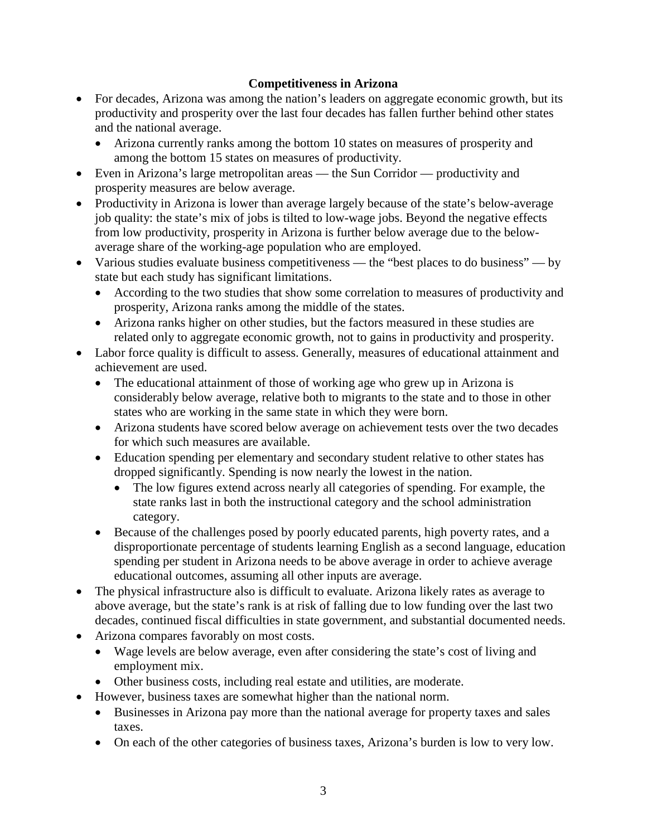# **Competitiveness in Arizona**

- For decades, Arizona was among the nation's leaders on aggregate economic growth, but its productivity and prosperity over the last four decades has fallen further behind other states and the national average.
	- Arizona currently ranks among the bottom 10 states on measures of prosperity and among the bottom 15 states on measures of productivity.
- Even in Arizona's large metropolitan areas the Sun Corridor productivity and prosperity measures are below average.
- Productivity in Arizona is lower than average largely because of the state's below-average job quality: the state's mix of jobs is tilted to low-wage jobs. Beyond the negative effects from low productivity, prosperity in Arizona is further below average due to the belowaverage share of the working-age population who are employed.
- Various studies evaluate business competitiveness the "best places to do business" by state but each study has significant limitations.
	- According to the two studies that show some correlation to measures of productivity and prosperity, Arizona ranks among the middle of the states.
	- Arizona ranks higher on other studies, but the factors measured in these studies are related only to aggregate economic growth, not to gains in productivity and prosperity.
- Labor force quality is difficult to assess. Generally, measures of educational attainment and achievement are used.
	- The educational attainment of those of working age who grew up in Arizona is considerably below average, relative both to migrants to the state and to those in other states who are working in the same state in which they were born.
	- Arizona students have scored below average on achievement tests over the two decades for which such measures are available.
	- Education spending per elementary and secondary student relative to other states has dropped significantly. Spending is now nearly the lowest in the nation.
		- The low figures extend across nearly all categories of spending. For example, the state ranks last in both the instructional category and the school administration category.
	- Because of the challenges posed by poorly educated parents, high poverty rates, and a disproportionate percentage of students learning English as a second language, education spending per student in Arizona needs to be above average in order to achieve average educational outcomes, assuming all other inputs are average.
- The physical infrastructure also is difficult to evaluate. Arizona likely rates as average to above average, but the state's rank is at risk of falling due to low funding over the last two decades, continued fiscal difficulties in state government, and substantial documented needs.
- Arizona compares favorably on most costs.
	- Wage levels are below average, even after considering the state's cost of living and employment mix.
	- Other business costs, including real estate and utilities, are moderate.
- However, business taxes are somewhat higher than the national norm.
	- Businesses in Arizona pay more than the national average for property taxes and sales taxes.
	- On each of the other categories of business taxes, Arizona's burden is low to very low.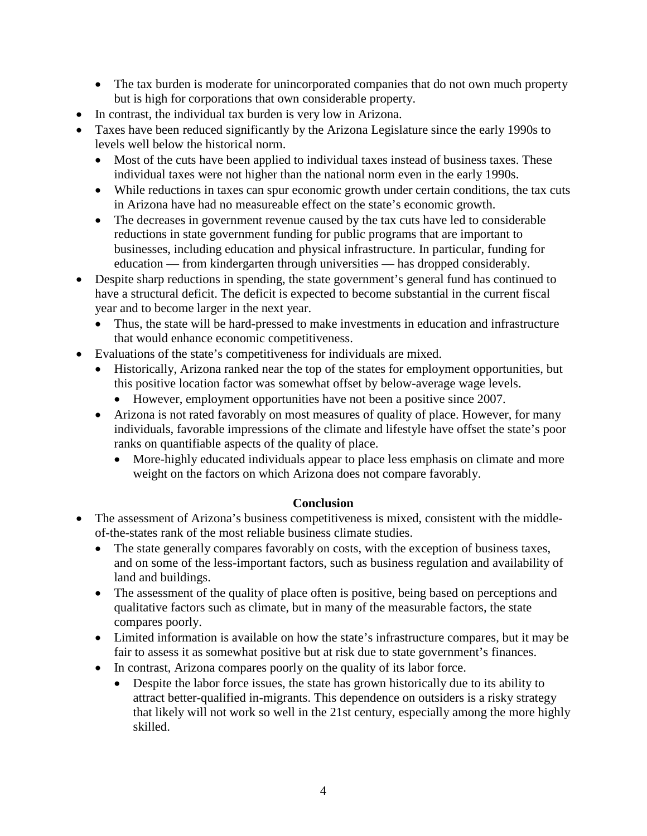- The tax burden is moderate for unincorporated companies that do not own much property but is high for corporations that own considerable property.
- In contrast, the individual tax burden is very low in Arizona.
- Taxes have been reduced significantly by the Arizona Legislature since the early 1990s to levels well below the historical norm.
	- Most of the cuts have been applied to individual taxes instead of business taxes. These individual taxes were not higher than the national norm even in the early 1990s.
	- While reductions in taxes can spur economic growth under certain conditions, the tax cuts in Arizona have had no measureable effect on the state's economic growth.
	- The decreases in government revenue caused by the tax cuts have led to considerable reductions in state government funding for public programs that are important to businesses, including education and physical infrastructure. In particular, funding for education — from kindergarten through universities — has dropped considerably.
- Despite sharp reductions in spending, the state government's general fund has continued to have a structural deficit. The deficit is expected to become substantial in the current fiscal year and to become larger in the next year.
	- Thus, the state will be hard-pressed to make investments in education and infrastructure that would enhance economic competitiveness.
- Evaluations of the state's competitiveness for individuals are mixed.
	- Historically, Arizona ranked near the top of the states for employment opportunities, but this positive location factor was somewhat offset by below-average wage levels.
		- However, employment opportunities have not been a positive since 2007.
	- Arizona is not rated favorably on most measures of quality of place. However, for many individuals, favorable impressions of the climate and lifestyle have offset the state's poor ranks on quantifiable aspects of the quality of place.
		- More-highly educated individuals appear to place less emphasis on climate and more weight on the factors on which Arizona does not compare favorably.

# **Conclusion**

- The assessment of Arizona's business competitiveness is mixed, consistent with the middleof-the-states rank of the most reliable business climate studies.
	- The state generally compares favorably on costs, with the exception of business taxes, and on some of the less-important factors, such as business regulation and availability of land and buildings.
	- The assessment of the quality of place often is positive, being based on perceptions and qualitative factors such as climate, but in many of the measurable factors, the state compares poorly.
	- Limited information is available on how the state's infrastructure compares, but it may be fair to assess it as somewhat positive but at risk due to state government's finances.
	- In contrast, Arizona compares poorly on the quality of its labor force.
		- Despite the labor force issues, the state has grown historically due to its ability to attract better-qualified in-migrants. This dependence on outsiders is a risky strategy that likely will not work so well in the 21st century, especially among the more highly skilled.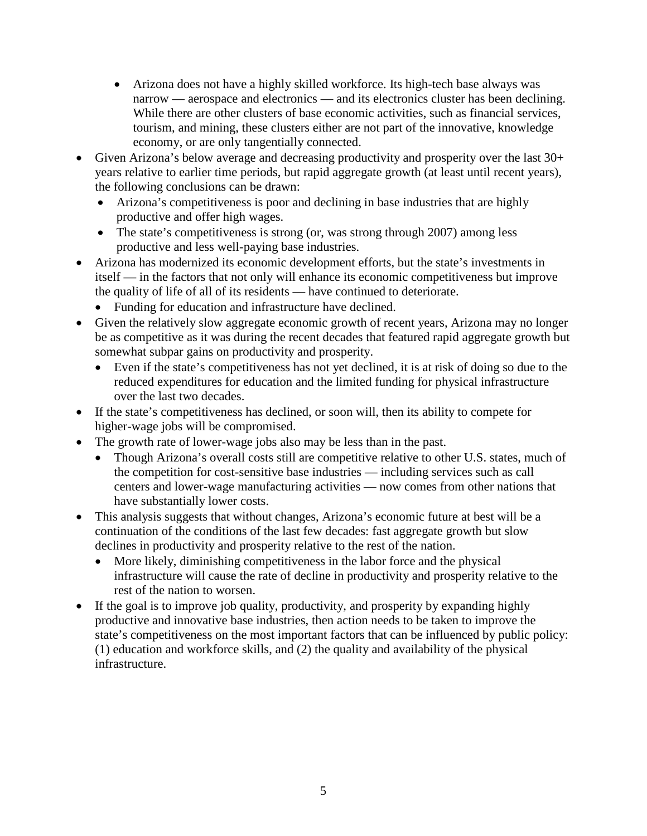- Arizona does not have a highly skilled workforce. Its high-tech base always was narrow — aerospace and electronics — and its electronics cluster has been declining. While there are other clusters of base economic activities, such as financial services, tourism, and mining, these clusters either are not part of the innovative, knowledge economy, or are only tangentially connected.
- Given Arizona's below average and decreasing productivity and prosperity over the last 30+ years relative to earlier time periods, but rapid aggregate growth (at least until recent years), the following conclusions can be drawn:
	- Arizona's competitiveness is poor and declining in base industries that are highly productive and offer high wages.
	- The state's competitiveness is strong (or, was strong through 2007) among less productive and less well-paying base industries.
- Arizona has modernized its economic development efforts, but the state's investments in itself — in the factors that not only will enhance its economic competitiveness but improve the quality of life of all of its residents — have continued to deteriorate.
	- Funding for education and infrastructure have declined.
- Given the relatively slow aggregate economic growth of recent years, Arizona may no longer be as competitive as it was during the recent decades that featured rapid aggregate growth but somewhat subpar gains on productivity and prosperity.
	- Even if the state's competitiveness has not yet declined, it is at risk of doing so due to the reduced expenditures for education and the limited funding for physical infrastructure over the last two decades.
- If the state's competitiveness has declined, or soon will, then its ability to compete for higher-wage jobs will be compromised.
- The growth rate of lower-wage jobs also may be less than in the past.
	- Though Arizona's overall costs still are competitive relative to other U.S. states, much of the competition for cost-sensitive base industries — including services such as call centers and lower-wage manufacturing activities — now comes from other nations that have substantially lower costs.
- This analysis suggests that without changes, Arizona's economic future at best will be a continuation of the conditions of the last few decades: fast aggregate growth but slow declines in productivity and prosperity relative to the rest of the nation.
	- More likely, diminishing competitiveness in the labor force and the physical infrastructure will cause the rate of decline in productivity and prosperity relative to the rest of the nation to worsen.
- If the goal is to improve job quality, productivity, and prosperity by expanding highly productive and innovative base industries, then action needs to be taken to improve the state's competitiveness on the most important factors that can be influenced by public policy: (1) education and workforce skills, and (2) the quality and availability of the physical infrastructure.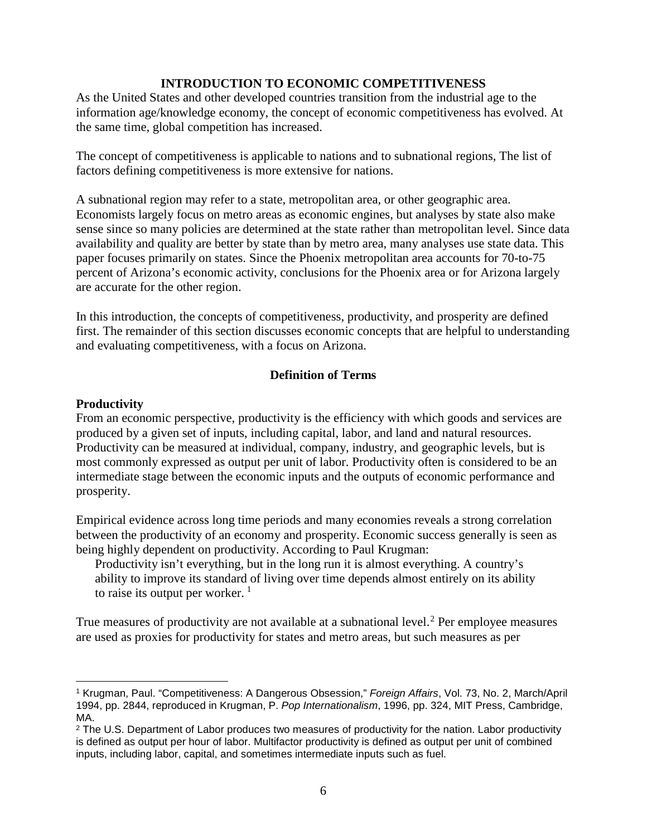#### **INTRODUCTION TO ECONOMIC COMPETITIVENESS**

As the United States and other developed countries transition from the industrial age to the information age/knowledge economy, the concept of economic competitiveness has evolved. At the same time, global competition has increased.

The concept of competitiveness is applicable to nations and to subnational regions, The list of factors defining competitiveness is more extensive for nations.

A subnational region may refer to a state, metropolitan area, or other geographic area. Economists largely focus on metro areas as economic engines, but analyses by state also make sense since so many policies are determined at the state rather than metropolitan level. Since data availability and quality are better by state than by metro area, many analyses use state data. This paper focuses primarily on states. Since the Phoenix metropolitan area accounts for 70-to-75 percent of Arizona's economic activity, conclusions for the Phoenix area or for Arizona largely are accurate for the other region.

In this introduction, the concepts of competitiveness, productivity, and prosperity are defined first. The remainder of this section discusses economic concepts that are helpful to understanding and evaluating competitiveness, with a focus on Arizona.

#### **Definition of Terms**

#### **Productivity**

 $\overline{\phantom{a}}$ 

From an economic perspective, productivity is the efficiency with which goods and services are produced by a given set of inputs, including capital, labor, and land and natural resources. Productivity can be measured at individual, company, industry, and geographic levels, but is most commonly expressed as output per unit of labor. Productivity often is considered to be an intermediate stage between the economic inputs and the outputs of economic performance and prosperity.

Empirical evidence across long time periods and many economies reveals a strong correlation between the productivity of an economy and prosperity. Economic success generally is seen as being highly dependent on productivity. According to Paul Krugman:

Productivity isn't everything, but in the long run it is almost everything. A country's ability to improve its standard of living over time depends almost entirely on its ability to raise its output per worker.  $<sup>1</sup>$  $<sup>1</sup>$  $<sup>1</sup>$ </sup>

True measures of productivity are not available at a subnational level.<sup>[2](#page-7-1)</sup> Per employee measures are used as proxies for productivity for states and metro areas, but such measures as per

<span id="page-7-0"></span><sup>1</sup> Krugman, Paul. "Competitiveness: A Dangerous Obsession," *Foreign Affairs*, Vol. 73, No. 2, March/April 1994, pp. 2844, reproduced in Krugman, P. *Pop Internationalism*, 1996, pp. 324, MIT Press, Cambridge, MA.

<span id="page-7-1"></span><sup>&</sup>lt;sup>2</sup> The U.S. Department of Labor produces two measures of productivity for the nation. Labor productivity is defined as output per hour of labor. Multifactor productivity is defined as output per unit of combined inputs, including labor, capital, and sometimes intermediate inputs such as fuel.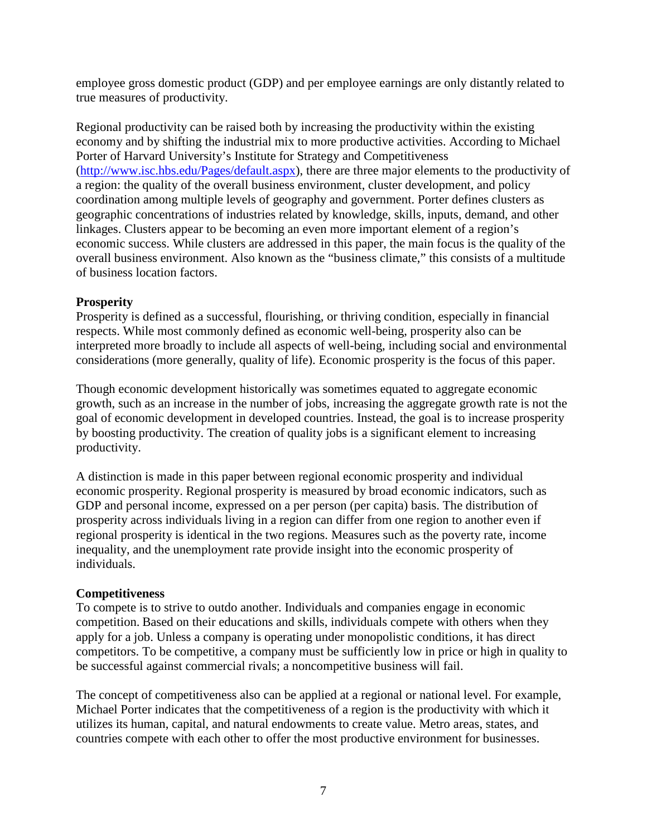employee gross domestic product (GDP) and per employee earnings are only distantly related to true measures of productivity.

Regional productivity can be raised both by increasing the productivity within the existing economy and by shifting the industrial mix to more productive activities. According to Michael Porter of Harvard University's Institute for Strategy and Competitiveness [\(http://www.isc.hbs.edu/Pages/default.aspx\)](http://www.isc.hbs.edu/Pages/default.aspx), there are three major elements to the productivity of a region: the quality of the overall business environment, cluster development, and policy coordination among multiple levels of geography and government. Porter defines clusters as geographic concentrations of industries related by knowledge, skills, inputs, demand, and other linkages. Clusters appear to be becoming an even more important element of a region's economic success. While clusters are addressed in this paper, the main focus is the quality of the overall business environment. Also known as the "business climate," this consists of a multitude of business location factors.

#### **Prosperity**

Prosperity is defined as a successful, flourishing, or thriving condition, especially in financial respects. While most commonly defined as economic well-being, prosperity also can be interpreted more broadly to include all aspects of well-being, including social and environmental considerations (more generally, quality of life). Economic prosperity is the focus of this paper.

Though economic development historically was sometimes equated to aggregate economic growth, such as an increase in the number of jobs, increasing the aggregate growth rate is not the goal of economic development in developed countries. Instead, the goal is to increase prosperity by boosting productivity. The creation of quality jobs is a significant element to increasing productivity.

A distinction is made in this paper between regional economic prosperity and individual economic prosperity. Regional prosperity is measured by broad economic indicators, such as GDP and personal income, expressed on a per person (per capita) basis. The distribution of prosperity across individuals living in a region can differ from one region to another even if regional prosperity is identical in the two regions. Measures such as the poverty rate, income inequality, and the unemployment rate provide insight into the economic prosperity of individuals.

#### **Competitiveness**

To compete is to strive to outdo another. Individuals and companies engage in economic competition. Based on their educations and skills, individuals compete with others when they apply for a job. Unless a company is operating under monopolistic conditions, it has direct competitors. To be competitive, a company must be sufficiently low in price or high in quality to be successful against commercial rivals; a noncompetitive business will fail.

The concept of competitiveness also can be applied at a regional or national level. For example, Michael Porter indicates that the competitiveness of a region is the productivity with which it utilizes its human, capital, and natural endowments to create value. Metro areas, states, and countries compete with each other to offer the most productive environment for businesses.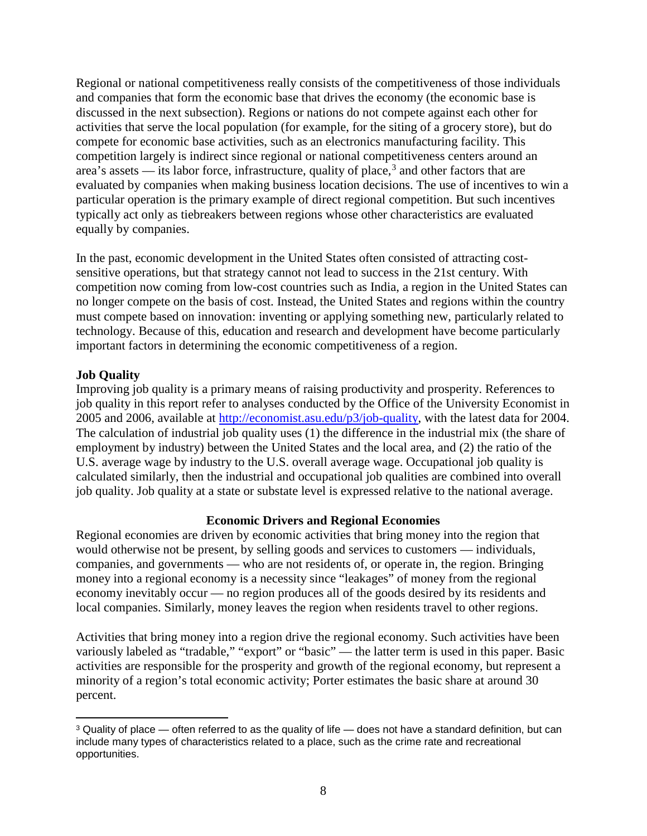Regional or national competitiveness really consists of the competitiveness of those individuals and companies that form the economic base that drives the economy (the economic base is discussed in the next subsection). Regions or nations do not compete against each other for activities that serve the local population (for example, for the siting of a grocery store), but do compete for economic base activities, such as an electronics manufacturing facility. This competition largely is indirect since regional or national competitiveness centers around an area's assets — its labor force, infrastructure, quality of place,<sup>[3](#page-9-0)</sup> and other factors that are evaluated by companies when making business location decisions. The use of incentives to win a particular operation is the primary example of direct regional competition. But such incentives typically act only as tiebreakers between regions whose other characteristics are evaluated equally by companies.

In the past, economic development in the United States often consisted of attracting costsensitive operations, but that strategy cannot not lead to success in the 21st century. With competition now coming from low-cost countries such as India, a region in the United States can no longer compete on the basis of cost. Instead, the United States and regions within the country must compete based on innovation: inventing or applying something new, particularly related to technology. Because of this, education and research and development have become particularly important factors in determining the economic competitiveness of a region.

# **Job Quality**

Improving job quality is a primary means of raising productivity and prosperity. References to job quality in this report refer to analyses conducted by the Office of the University Economist in 2005 and 2006, available at [http://economist.asu.edu/p3/job-quality,](http://economist.asu.edu/p3/job-quality) with the latest data for 2004. The calculation of industrial job quality uses (1) the difference in the industrial mix (the share of employment by industry) between the United States and the local area, and (2) the ratio of the U.S. average wage by industry to the U.S. overall average wage. Occupational job quality is calculated similarly, then the industrial and occupational job qualities are combined into overall job quality. Job quality at a state or substate level is expressed relative to the national average.

# **Economic Drivers and Regional Economies**

Regional economies are driven by economic activities that bring money into the region that would otherwise not be present, by selling goods and services to customers — individuals, companies, and governments — who are not residents of, or operate in, the region. Bringing money into a regional economy is a necessity since "leakages" of money from the regional economy inevitably occur — no region produces all of the goods desired by its residents and local companies. Similarly, money leaves the region when residents travel to other regions.

Activities that bring money into a region drive the regional economy. Such activities have been variously labeled as "tradable," "export" or "basic" — the latter term is used in this paper. Basic activities are responsible for the prosperity and growth of the regional economy, but represent a minority of a region's total economic activity; Porter estimates the basic share at around 30 percent.

<span id="page-9-0"></span><sup>&</sup>lt;sup>3</sup> Quality of place — often referred to as the quality of life — does not have a standard definition, but can include many types of characteristics related to a place, such as the crime rate and recreational opportunities.  $\overline{\phantom{a}}$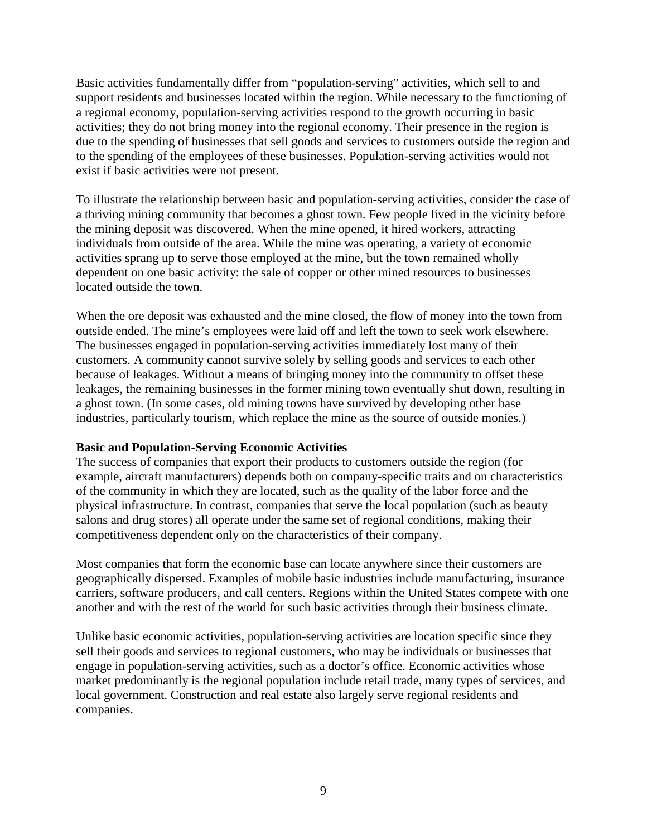Basic activities fundamentally differ from "population-serving" activities, which sell to and support residents and businesses located within the region. While necessary to the functioning of a regional economy, population-serving activities respond to the growth occurring in basic activities; they do not bring money into the regional economy. Their presence in the region is due to the spending of businesses that sell goods and services to customers outside the region and to the spending of the employees of these businesses. Population-serving activities would not exist if basic activities were not present.

To illustrate the relationship between basic and population-serving activities, consider the case of a thriving mining community that becomes a ghost town. Few people lived in the vicinity before the mining deposit was discovered. When the mine opened, it hired workers, attracting individuals from outside of the area. While the mine was operating, a variety of economic activities sprang up to serve those employed at the mine, but the town remained wholly dependent on one basic activity: the sale of copper or other mined resources to businesses located outside the town.

When the ore deposit was exhausted and the mine closed, the flow of money into the town from outside ended. The mine's employees were laid off and left the town to seek work elsewhere. The businesses engaged in population-serving activities immediately lost many of their customers. A community cannot survive solely by selling goods and services to each other because of leakages. Without a means of bringing money into the community to offset these leakages, the remaining businesses in the former mining town eventually shut down, resulting in a ghost town. (In some cases, old mining towns have survived by developing other base industries, particularly tourism, which replace the mine as the source of outside monies.)

#### **Basic and Population-Serving Economic Activities**

The success of companies that export their products to customers outside the region (for example, aircraft manufacturers) depends both on company-specific traits and on characteristics of the community in which they are located, such as the quality of the labor force and the physical infrastructure. In contrast, companies that serve the local population (such as beauty salons and drug stores) all operate under the same set of regional conditions, making their competitiveness dependent only on the characteristics of their company.

Most companies that form the economic base can locate anywhere since their customers are geographically dispersed. Examples of mobile basic industries include manufacturing, insurance carriers, software producers, and call centers. Regions within the United States compete with one another and with the rest of the world for such basic activities through their business climate.

Unlike basic economic activities, population-serving activities are location specific since they sell their goods and services to regional customers, who may be individuals or businesses that engage in population-serving activities, such as a doctor's office. Economic activities whose market predominantly is the regional population include retail trade, many types of services, and local government. Construction and real estate also largely serve regional residents and companies.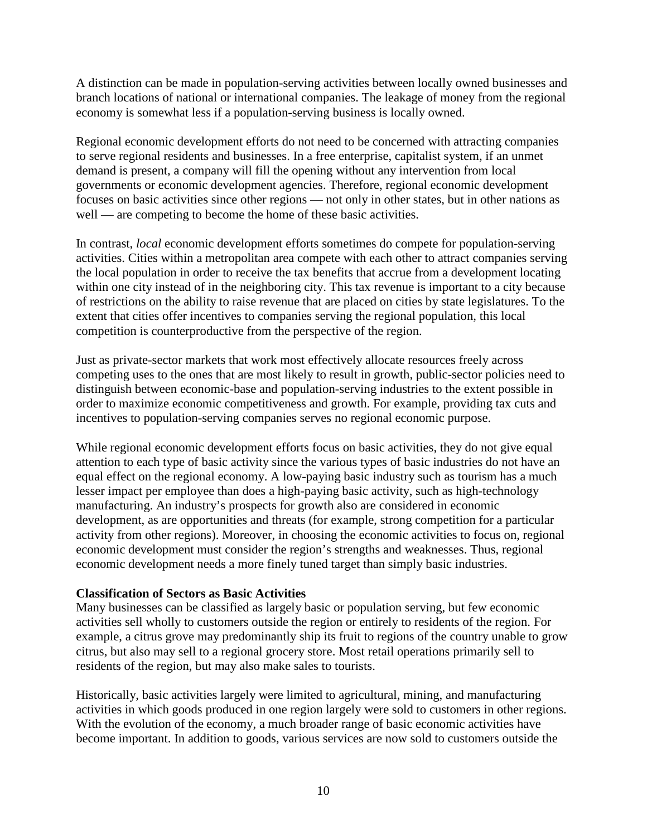A distinction can be made in population-serving activities between locally owned businesses and branch locations of national or international companies. The leakage of money from the regional economy is somewhat less if a population-serving business is locally owned.

Regional economic development efforts do not need to be concerned with attracting companies to serve regional residents and businesses. In a free enterprise, capitalist system, if an unmet demand is present, a company will fill the opening without any intervention from local governments or economic development agencies. Therefore, regional economic development focuses on basic activities since other regions — not only in other states, but in other nations as well — are competing to become the home of these basic activities.

In contrast, *local* economic development efforts sometimes do compete for population-serving activities. Cities within a metropolitan area compete with each other to attract companies serving the local population in order to receive the tax benefits that accrue from a development locating within one city instead of in the neighboring city. This tax revenue is important to a city because of restrictions on the ability to raise revenue that are placed on cities by state legislatures. To the extent that cities offer incentives to companies serving the regional population, this local competition is counterproductive from the perspective of the region.

Just as private-sector markets that work most effectively allocate resources freely across competing uses to the ones that are most likely to result in growth, public-sector policies need to distinguish between economic-base and population-serving industries to the extent possible in order to maximize economic competitiveness and growth. For example, providing tax cuts and incentives to population-serving companies serves no regional economic purpose.

While regional economic development efforts focus on basic activities, they do not give equal attention to each type of basic activity since the various types of basic industries do not have an equal effect on the regional economy. A low-paying basic industry such as tourism has a much lesser impact per employee than does a high-paying basic activity, such as high-technology manufacturing. An industry's prospects for growth also are considered in economic development, as are opportunities and threats (for example, strong competition for a particular activity from other regions). Moreover, in choosing the economic activities to focus on, regional economic development must consider the region's strengths and weaknesses. Thus, regional economic development needs a more finely tuned target than simply basic industries.

#### **Classification of Sectors as Basic Activities**

Many businesses can be classified as largely basic or population serving, but few economic activities sell wholly to customers outside the region or entirely to residents of the region. For example, a citrus grove may predominantly ship its fruit to regions of the country unable to grow citrus, but also may sell to a regional grocery store. Most retail operations primarily sell to residents of the region, but may also make sales to tourists.

Historically, basic activities largely were limited to agricultural, mining, and manufacturing activities in which goods produced in one region largely were sold to customers in other regions. With the evolution of the economy, a much broader range of basic economic activities have become important. In addition to goods, various services are now sold to customers outside the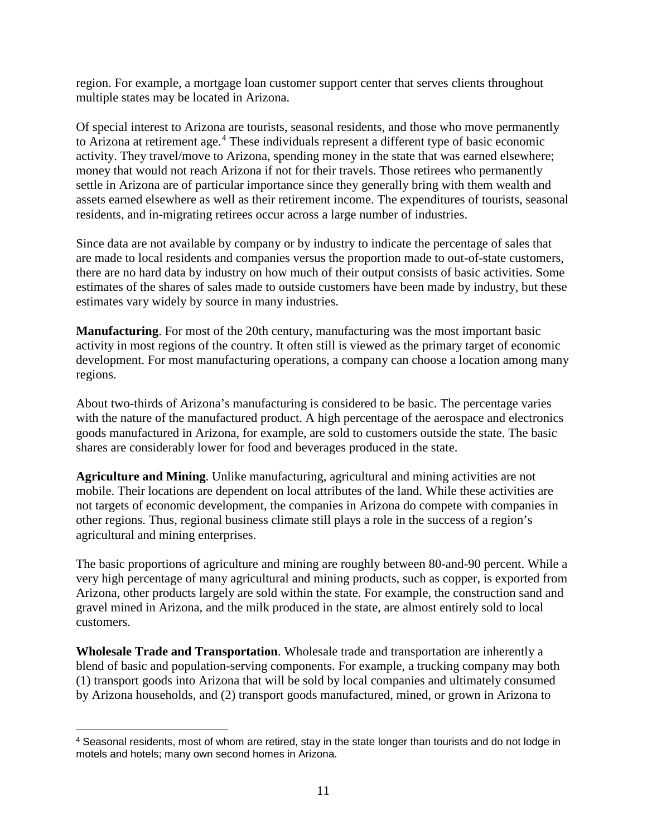region. For example, a mortgage loan customer support center that serves clients throughout multiple states may be located in Arizona.

Of special interest to Arizona are tourists, seasonal residents, and those who move permanently to Arizona at retirement age. [4](#page-12-0) These individuals represent a different type of basic economic activity. They travel/move to Arizona, spending money in the state that was earned elsewhere; money that would not reach Arizona if not for their travels. Those retirees who permanently settle in Arizona are of particular importance since they generally bring with them wealth and assets earned elsewhere as well as their retirement income. The expenditures of tourists, seasonal residents, and in-migrating retirees occur across a large number of industries.

Since data are not available by company or by industry to indicate the percentage of sales that are made to local residents and companies versus the proportion made to out-of-state customers, there are no hard data by industry on how much of their output consists of basic activities. Some estimates of the shares of sales made to outside customers have been made by industry, but these estimates vary widely by source in many industries.

**Manufacturing**. For most of the 20th century, manufacturing was the most important basic activity in most regions of the country. It often still is viewed as the primary target of economic development. For most manufacturing operations, a company can choose a location among many regions.

About two-thirds of Arizona's manufacturing is considered to be basic. The percentage varies with the nature of the manufactured product. A high percentage of the aerospace and electronics goods manufactured in Arizona, for example, are sold to customers outside the state. The basic shares are considerably lower for food and beverages produced in the state.

**Agriculture and Mining**. Unlike manufacturing, agricultural and mining activities are not mobile. Their locations are dependent on local attributes of the land. While these activities are not targets of economic development, the companies in Arizona do compete with companies in other regions. Thus, regional business climate still plays a role in the success of a region's agricultural and mining enterprises.

The basic proportions of agriculture and mining are roughly between 80-and-90 percent. While a very high percentage of many agricultural and mining products, such as copper, is exported from Arizona, other products largely are sold within the state. For example, the construction sand and gravel mined in Arizona, and the milk produced in the state, are almost entirely sold to local customers.

**Wholesale Trade and Transportation**. Wholesale trade and transportation are inherently a blend of basic and population-serving components. For example, a trucking company may both (1) transport goods into Arizona that will be sold by local companies and ultimately consumed by Arizona households, and (2) transport goods manufactured, mined, or grown in Arizona to

l

<span id="page-12-0"></span><sup>4</sup> Seasonal residents, most of whom are retired, stay in the state longer than tourists and do not lodge in motels and hotels; many own second homes in Arizona.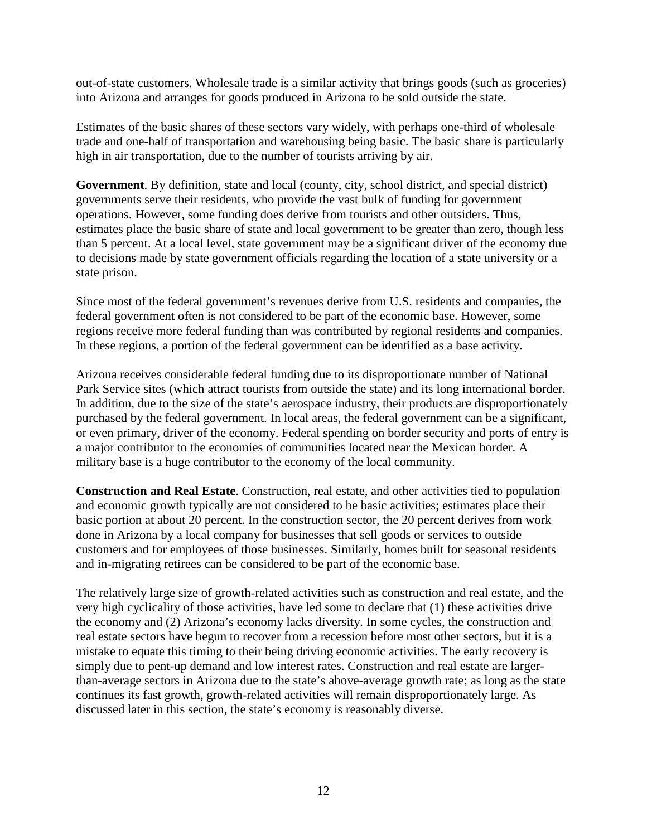out-of-state customers. Wholesale trade is a similar activity that brings goods (such as groceries) into Arizona and arranges for goods produced in Arizona to be sold outside the state.

Estimates of the basic shares of these sectors vary widely, with perhaps one-third of wholesale trade and one-half of transportation and warehousing being basic. The basic share is particularly high in air transportation, due to the number of tourists arriving by air.

**Government**. By definition, state and local (county, city, school district, and special district) governments serve their residents, who provide the vast bulk of funding for government operations. However, some funding does derive from tourists and other outsiders. Thus, estimates place the basic share of state and local government to be greater than zero, though less than 5 percent. At a local level, state government may be a significant driver of the economy due to decisions made by state government officials regarding the location of a state university or a state prison.

Since most of the federal government's revenues derive from U.S. residents and companies, the federal government often is not considered to be part of the economic base. However, some regions receive more federal funding than was contributed by regional residents and companies. In these regions, a portion of the federal government can be identified as a base activity.

Arizona receives considerable federal funding due to its disproportionate number of National Park Service sites (which attract tourists from outside the state) and its long international border. In addition, due to the size of the state's aerospace industry, their products are disproportionately purchased by the federal government. In local areas, the federal government can be a significant, or even primary, driver of the economy. Federal spending on border security and ports of entry is a major contributor to the economies of communities located near the Mexican border. A military base is a huge contributor to the economy of the local community.

**Construction and Real Estate**. Construction, real estate, and other activities tied to population and economic growth typically are not considered to be basic activities; estimates place their basic portion at about 20 percent. In the construction sector, the 20 percent derives from work done in Arizona by a local company for businesses that sell goods or services to outside customers and for employees of those businesses. Similarly, homes built for seasonal residents and in-migrating retirees can be considered to be part of the economic base.

The relatively large size of growth-related activities such as construction and real estate, and the very high cyclicality of those activities, have led some to declare that (1) these activities drive the economy and (2) Arizona's economy lacks diversity. In some cycles, the construction and real estate sectors have begun to recover from a recession before most other sectors, but it is a mistake to equate this timing to their being driving economic activities. The early recovery is simply due to pent-up demand and low interest rates. Construction and real estate are largerthan-average sectors in Arizona due to the state's above-average growth rate; as long as the state continues its fast growth, growth-related activities will remain disproportionately large. As discussed later in this section, the state's economy is reasonably diverse.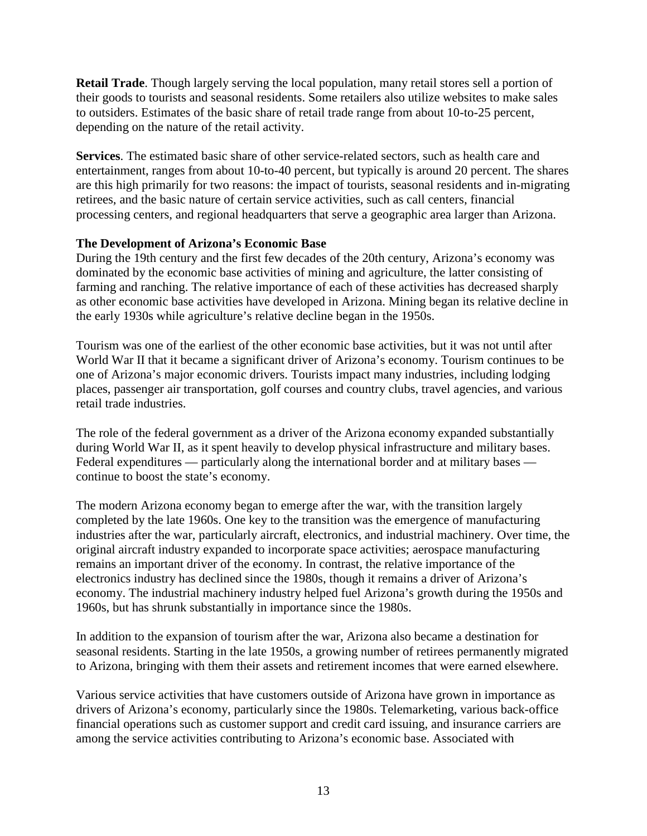**Retail Trade**. Though largely serving the local population, many retail stores sell a portion of their goods to tourists and seasonal residents. Some retailers also utilize websites to make sales to outsiders. Estimates of the basic share of retail trade range from about 10-to-25 percent, depending on the nature of the retail activity.

**Services**. The estimated basic share of other service-related sectors, such as health care and entertainment, ranges from about 10-to-40 percent, but typically is around 20 percent. The shares are this high primarily for two reasons: the impact of tourists, seasonal residents and in-migrating retirees, and the basic nature of certain service activities, such as call centers, financial processing centers, and regional headquarters that serve a geographic area larger than Arizona.

#### **The Development of Arizona's Economic Base**

During the 19th century and the first few decades of the 20th century, Arizona's economy was dominated by the economic base activities of mining and agriculture, the latter consisting of farming and ranching. The relative importance of each of these activities has decreased sharply as other economic base activities have developed in Arizona. Mining began its relative decline in the early 1930s while agriculture's relative decline began in the 1950s.

Tourism was one of the earliest of the other economic base activities, but it was not until after World War II that it became a significant driver of Arizona's economy. Tourism continues to be one of Arizona's major economic drivers. Tourists impact many industries, including lodging places, passenger air transportation, golf courses and country clubs, travel agencies, and various retail trade industries.

The role of the federal government as a driver of the Arizona economy expanded substantially during World War II, as it spent heavily to develop physical infrastructure and military bases. Federal expenditures — particularly along the international border and at military bases continue to boost the state's economy.

The modern Arizona economy began to emerge after the war, with the transition largely completed by the late 1960s. One key to the transition was the emergence of manufacturing industries after the war, particularly aircraft, electronics, and industrial machinery. Over time, the original aircraft industry expanded to incorporate space activities; aerospace manufacturing remains an important driver of the economy. In contrast, the relative importance of the electronics industry has declined since the 1980s, though it remains a driver of Arizona's economy. The industrial machinery industry helped fuel Arizona's growth during the 1950s and 1960s, but has shrunk substantially in importance since the 1980s.

In addition to the expansion of tourism after the war, Arizona also became a destination for seasonal residents. Starting in the late 1950s, a growing number of retirees permanently migrated to Arizona, bringing with them their assets and retirement incomes that were earned elsewhere.

Various service activities that have customers outside of Arizona have grown in importance as drivers of Arizona's economy, particularly since the 1980s. Telemarketing, various back-office financial operations such as customer support and credit card issuing, and insurance carriers are among the service activities contributing to Arizona's economic base. Associated with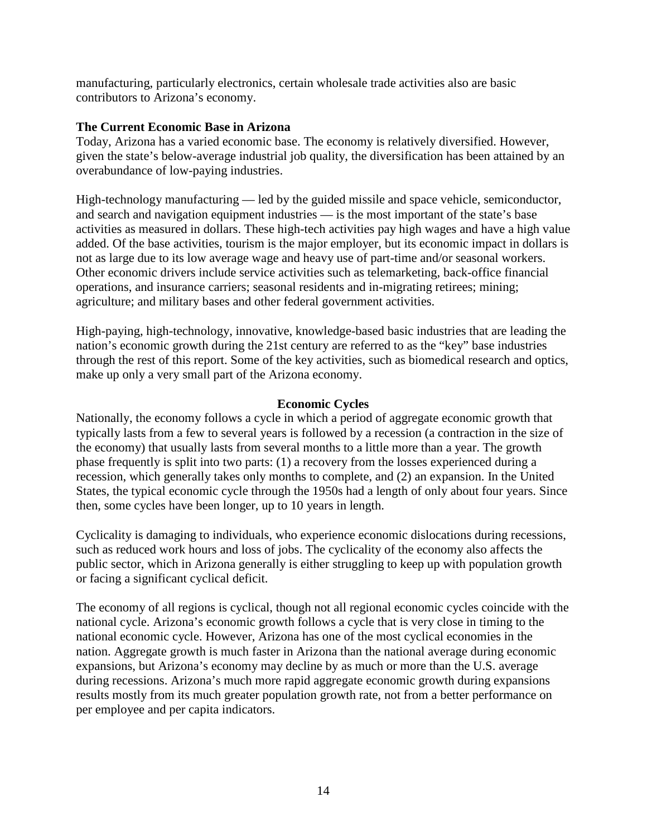manufacturing, particularly electronics, certain wholesale trade activities also are basic contributors to Arizona's economy.

#### **The Current Economic Base in Arizona**

Today, Arizona has a varied economic base. The economy is relatively diversified. However, given the state's below-average industrial job quality, the diversification has been attained by an overabundance of low-paying industries.

High-technology manufacturing — led by the guided missile and space vehicle, semiconductor, and search and navigation equipment industries — is the most important of the state's base activities as measured in dollars. These high-tech activities pay high wages and have a high value added. Of the base activities, tourism is the major employer, but its economic impact in dollars is not as large due to its low average wage and heavy use of part-time and/or seasonal workers. Other economic drivers include service activities such as telemarketing, back-office financial operations, and insurance carriers; seasonal residents and in-migrating retirees; mining; agriculture; and military bases and other federal government activities.

High-paying, high-technology, innovative, knowledge-based basic industries that are leading the nation's economic growth during the 21st century are referred to as the "key" base industries through the rest of this report. Some of the key activities, such as biomedical research and optics, make up only a very small part of the Arizona economy.

#### **Economic Cycles**

Nationally, the economy follows a cycle in which a period of aggregate economic growth that typically lasts from a few to several years is followed by a recession (a contraction in the size of the economy) that usually lasts from several months to a little more than a year. The growth phase frequently is split into two parts: (1) a recovery from the losses experienced during a recession, which generally takes only months to complete, and (2) an expansion. In the United States, the typical economic cycle through the 1950s had a length of only about four years. Since then, some cycles have been longer, up to 10 years in length.

Cyclicality is damaging to individuals, who experience economic dislocations during recessions, such as reduced work hours and loss of jobs. The cyclicality of the economy also affects the public sector, which in Arizona generally is either struggling to keep up with population growth or facing a significant cyclical deficit.

The economy of all regions is cyclical, though not all regional economic cycles coincide with the national cycle. Arizona's economic growth follows a cycle that is very close in timing to the national economic cycle. However, Arizona has one of the most cyclical economies in the nation. Aggregate growth is much faster in Arizona than the national average during economic expansions, but Arizona's economy may decline by as much or more than the U.S. average during recessions. Arizona's much more rapid aggregate economic growth during expansions results mostly from its much greater population growth rate, not from a better performance on per employee and per capita indicators.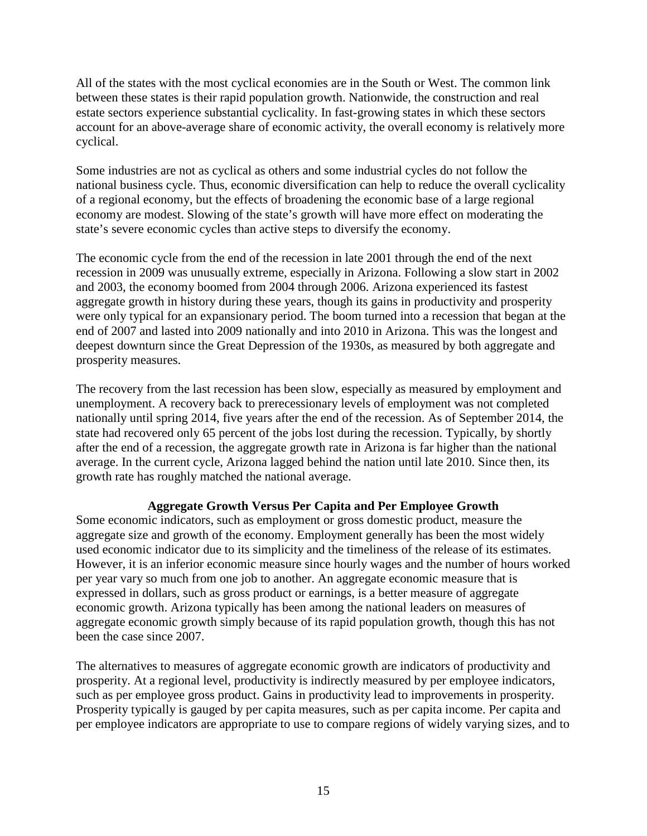All of the states with the most cyclical economies are in the South or West. The common link between these states is their rapid population growth. Nationwide, the construction and real estate sectors experience substantial cyclicality. In fast-growing states in which these sectors account for an above-average share of economic activity, the overall economy is relatively more cyclical.

Some industries are not as cyclical as others and some industrial cycles do not follow the national business cycle. Thus, economic diversification can help to reduce the overall cyclicality of a regional economy, but the effects of broadening the economic base of a large regional economy are modest. Slowing of the state's growth will have more effect on moderating the state's severe economic cycles than active steps to diversify the economy.

The economic cycle from the end of the recession in late 2001 through the end of the next recession in 2009 was unusually extreme, especially in Arizona. Following a slow start in 2002 and 2003, the economy boomed from 2004 through 2006. Arizona experienced its fastest aggregate growth in history during these years, though its gains in productivity and prosperity were only typical for an expansionary period. The boom turned into a recession that began at the end of 2007 and lasted into 2009 nationally and into 2010 in Arizona. This was the longest and deepest downturn since the Great Depression of the 1930s, as measured by both aggregate and prosperity measures.

The recovery from the last recession has been slow, especially as measured by employment and unemployment. A recovery back to prerecessionary levels of employment was not completed nationally until spring 2014, five years after the end of the recession. As of September 2014, the state had recovered only 65 percent of the jobs lost during the recession. Typically, by shortly after the end of a recession, the aggregate growth rate in Arizona is far higher than the national average. In the current cycle, Arizona lagged behind the nation until late 2010. Since then, its growth rate has roughly matched the national average.

# **Aggregate Growth Versus Per Capita and Per Employee Growth**

Some economic indicators, such as employment or gross domestic product, measure the aggregate size and growth of the economy. Employment generally has been the most widely used economic indicator due to its simplicity and the timeliness of the release of its estimates. However, it is an inferior economic measure since hourly wages and the number of hours worked per year vary so much from one job to another. An aggregate economic measure that is expressed in dollars, such as gross product or earnings, is a better measure of aggregate economic growth. Arizona typically has been among the national leaders on measures of aggregate economic growth simply because of its rapid population growth, though this has not been the case since 2007.

The alternatives to measures of aggregate economic growth are indicators of productivity and prosperity. At a regional level, productivity is indirectly measured by per employee indicators, such as per employee gross product. Gains in productivity lead to improvements in prosperity. Prosperity typically is gauged by per capita measures, such as per capita income. Per capita and per employee indicators are appropriate to use to compare regions of widely varying sizes, and to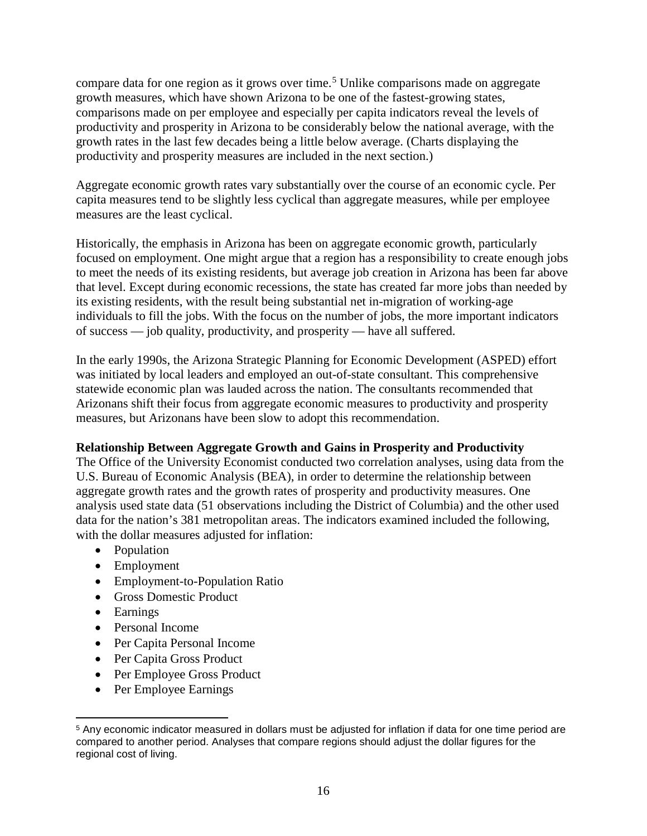compare data for one region as it grows over time. [5](#page-17-0) Unlike comparisons made on aggregate growth measures, which have shown Arizona to be one of the fastest-growing states, comparisons made on per employee and especially per capita indicators reveal the levels of productivity and prosperity in Arizona to be considerably below the national average, with the growth rates in the last few decades being a little below average. (Charts displaying the productivity and prosperity measures are included in the next section.)

Aggregate economic growth rates vary substantially over the course of an economic cycle. Per capita measures tend to be slightly less cyclical than aggregate measures, while per employee measures are the least cyclical.

Historically, the emphasis in Arizona has been on aggregate economic growth, particularly focused on employment. One might argue that a region has a responsibility to create enough jobs to meet the needs of its existing residents, but average job creation in Arizona has been far above that level. Except during economic recessions, the state has created far more jobs than needed by its existing residents, with the result being substantial net in-migration of working-age individuals to fill the jobs. With the focus on the number of jobs, the more important indicators of success — job quality, productivity, and prosperity — have all suffered.

In the early 1990s, the Arizona Strategic Planning for Economic Development (ASPED) effort was initiated by local leaders and employed an out-of-state consultant. This comprehensive statewide economic plan was lauded across the nation. The consultants recommended that Arizonans shift their focus from aggregate economic measures to productivity and prosperity measures, but Arizonans have been slow to adopt this recommendation.

# **Relationship Between Aggregate Growth and Gains in Prosperity and Productivity**

The Office of the University Economist conducted two correlation analyses, using data from the U.S. Bureau of Economic Analysis (BEA), in order to determine the relationship between aggregate growth rates and the growth rates of prosperity and productivity measures. One analysis used state data (51 observations including the District of Columbia) and the other used data for the nation's 381 metropolitan areas. The indicators examined included the following, with the dollar measures adjusted for inflation:

- Population
- Employment
- Employment-to-Population Ratio
- Gross Domestic Product
- Earnings
- Personal Income
- Per Capita Personal Income
- Per Capita Gross Product
- Per Employee Gross Product
- Per Employee Earnings

<span id="page-17-0"></span><sup>5</sup> Any economic indicator measured in dollars must be adjusted for inflation if data for one time period are compared to another period. Analyses that compare regions should adjust the dollar figures for the regional cost of living.  $\overline{\phantom{a}}$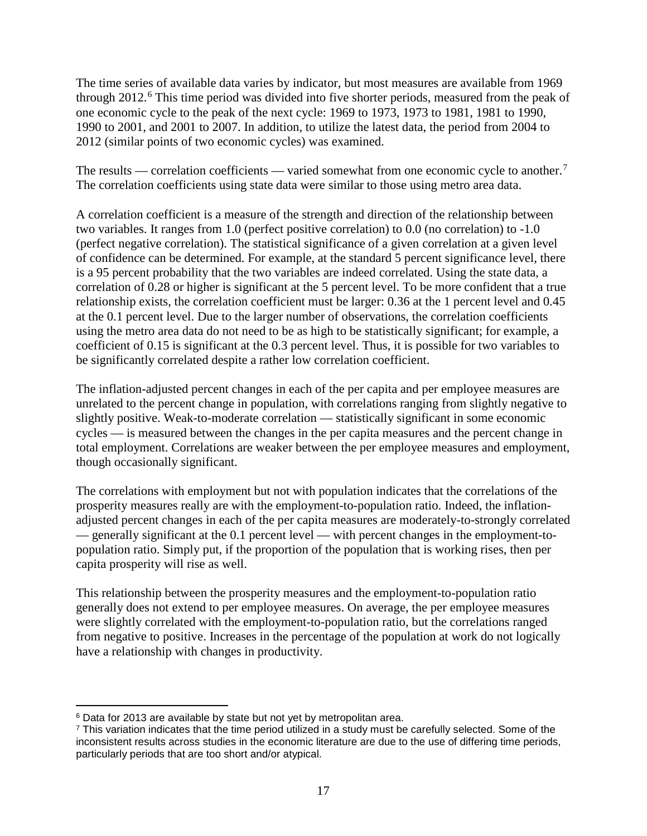The time series of available data varies by indicator, but most measures are available from 1969 through 2012.<sup>[6](#page-18-0)</sup> This time period was divided into five shorter periods, measured from the peak of one economic cycle to the peak of the next cycle: 1969 to 1973, 1973 to 1981, 1981 to 1990, 1990 to 2001, and 2001 to 2007. In addition, to utilize the latest data, the period from 2004 to 2012 (similar points of two economic cycles) was examined.

The results — correlation coefficients — varied somewhat from one economic cycle to another.<sup>[7](#page-18-1)</sup> The correlation coefficients using state data were similar to those using metro area data.

A correlation coefficient is a measure of the strength and direction of the relationship between two variables. It ranges from 1.0 (perfect positive correlation) to 0.0 (no correlation) to -1.0 (perfect negative correlation). The statistical significance of a given correlation at a given level of confidence can be determined. For example, at the standard 5 percent significance level, there is a 95 percent probability that the two variables are indeed correlated. Using the state data, a correlation of 0.28 or higher is significant at the 5 percent level. To be more confident that a true relationship exists, the correlation coefficient must be larger: 0.36 at the 1 percent level and 0.45 at the 0.1 percent level. Due to the larger number of observations, the correlation coefficients using the metro area data do not need to be as high to be statistically significant; for example, a coefficient of 0.15 is significant at the 0.3 percent level. Thus, it is possible for two variables to be significantly correlated despite a rather low correlation coefficient.

The inflation-adjusted percent changes in each of the per capita and per employee measures are unrelated to the percent change in population, with correlations ranging from slightly negative to slightly positive. Weak-to-moderate correlation — statistically significant in some economic cycles — is measured between the changes in the per capita measures and the percent change in total employment. Correlations are weaker between the per employee measures and employment, though occasionally significant.

The correlations with employment but not with population indicates that the correlations of the prosperity measures really are with the employment-to-population ratio. Indeed, the inflationadjusted percent changes in each of the per capita measures are moderately-to-strongly correlated — generally significant at the 0.1 percent level — with percent changes in the employment-topopulation ratio. Simply put, if the proportion of the population that is working rises, then per capita prosperity will rise as well.

This relationship between the prosperity measures and the employment-to-population ratio generally does not extend to per employee measures. On average, the per employee measures were slightly correlated with the employment-to-population ratio, but the correlations ranged from negative to positive. Increases in the percentage of the population at work do not logically have a relationship with changes in productivity.

<sup>&</sup>lt;sup>6</sup> Data for 2013 are available by state but not yet by metropolitan area. l

<span id="page-18-1"></span><span id="page-18-0"></span><sup>7</sup> This variation indicates that the time period utilized in a study must be carefully selected. Some of the inconsistent results across studies in the economic literature are due to the use of differing time periods, particularly periods that are too short and/or atypical.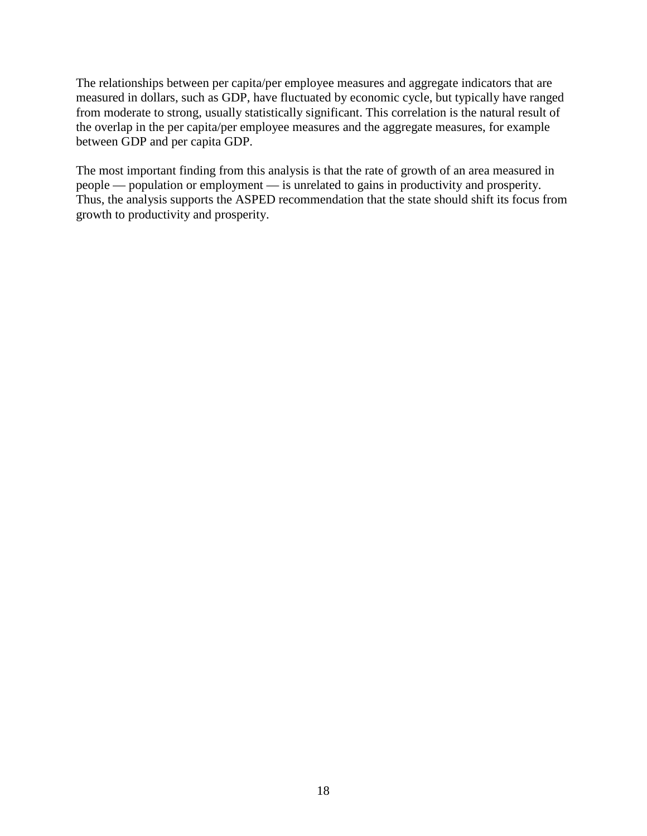The relationships between per capita/per employee measures and aggregate indicators that are measured in dollars, such as GDP, have fluctuated by economic cycle, but typically have ranged from moderate to strong, usually statistically significant. This correlation is the natural result of the overlap in the per capita/per employee measures and the aggregate measures, for example between GDP and per capita GDP.

The most important finding from this analysis is that the rate of growth of an area measured in people — population or employment — is unrelated to gains in productivity and prosperity. Thus, the analysis supports the ASPED recommendation that the state should shift its focus from growth to productivity and prosperity.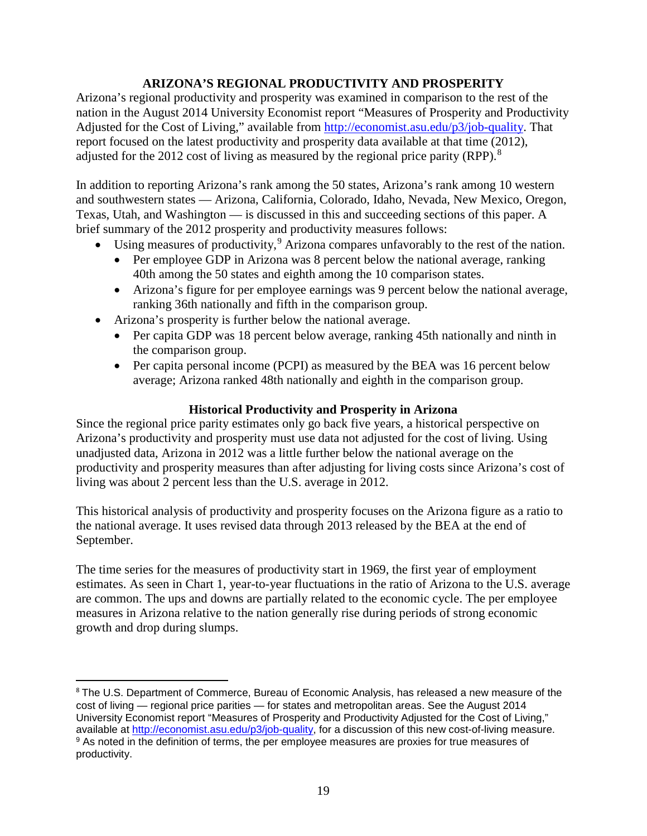# **ARIZONA'S REGIONAL PRODUCTIVITY AND PROSPERITY**

Arizona's regional productivity and prosperity was examined in comparison to the rest of the nation in the August 2014 University Economist report "Measures of Prosperity and Productivity Adjusted for the Cost of Living," available from [http://economist.asu.edu/p3/job-quality.](http://economist.asu.edu/p3/job-quality) That report focused on the latest productivity and prosperity data available at that time (2012), adjusted for the 2012 cost of living as measured by the regional price parity (RPP).<sup>[8](#page-20-0)</sup>

In addition to reporting Arizona's rank among the 50 states, Arizona's rank among 10 western and southwestern states — Arizona, California, Colorado, Idaho, Nevada, New Mexico, Oregon, Texas, Utah, and Washington — is discussed in this and succeeding sections of this paper. A brief summary of the 2012 prosperity and productivity measures follows:

- Using measures of productivity,  $9$  Arizona compares unfavorably to the rest of the nation.
	- Per employee GDP in Arizona was 8 percent below the national average, ranking 40th among the 50 states and eighth among the 10 comparison states.
	- Arizona's figure for per employee earnings was 9 percent below the national average, ranking 36th nationally and fifth in the comparison group.
- Arizona's prosperity is further below the national average.

 $\overline{\phantom{a}}$ 

- Per capita GDP was 18 percent below average, ranking 45th nationally and ninth in the comparison group.
- Per capita personal income (PCPI) as measured by the BEA was 16 percent below average; Arizona ranked 48th nationally and eighth in the comparison group.

# **Historical Productivity and Prosperity in Arizona**

Since the regional price parity estimates only go back five years, a historical perspective on Arizona's productivity and prosperity must use data not adjusted for the cost of living. Using unadjusted data, Arizona in 2012 was a little further below the national average on the productivity and prosperity measures than after adjusting for living costs since Arizona's cost of living was about 2 percent less than the U.S. average in 2012.

This historical analysis of productivity and prosperity focuses on the Arizona figure as a ratio to the national average. It uses revised data through 2013 released by the BEA at the end of September.

The time series for the measures of productivity start in 1969, the first year of employment estimates. As seen in Chart 1, year-to-year fluctuations in the ratio of Arizona to the U.S. average are common. The ups and downs are partially related to the economic cycle. The per employee measures in Arizona relative to the nation generally rise during periods of strong economic growth and drop during slumps.

<span id="page-20-1"></span><span id="page-20-0"></span><sup>8</sup> The U.S. Department of Commerce, Bureau of Economic Analysis, has released a new measure of the cost of living — regional price parities — for states and metropolitan areas. See the August 2014 University Economist report "Measures of Prosperity and Productivity Adjusted for the Cost of Living," available at [http://economist.asu.edu/p3/job-quality,](http://economist.asu.edu/p3/job-quality) for a discussion of this new cost-of-living measure. <sup>9</sup> As noted in the definition of terms, the per employee measures are proxies for true measures of productivity.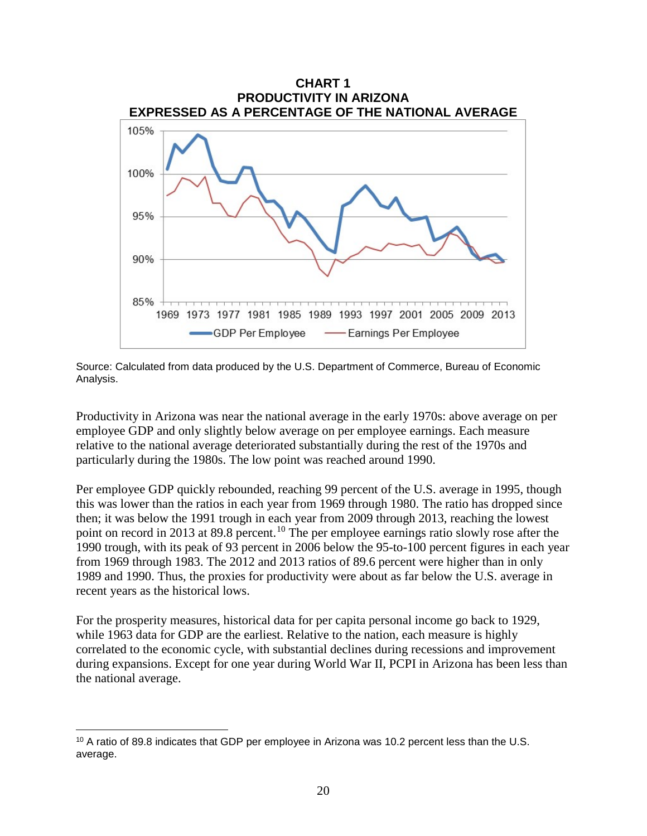



Productivity in Arizona was near the national average in the early 1970s: above average on per employee GDP and only slightly below average on per employee earnings. Each measure relative to the national average deteriorated substantially during the rest of the 1970s and particularly during the 1980s. The low point was reached around 1990.

Per employee GDP quickly rebounded, reaching 99 percent of the U.S. average in 1995, though this was lower than the ratios in each year from 1969 through 1980. The ratio has dropped since then; it was below the 1991 trough in each year from 2009 through 2013, reaching the lowest point on record in 2013 at 89.8 percent.<sup>[10](#page-21-0)</sup> The per employee earnings ratio slowly rose after the 1990 trough, with its peak of 93 percent in 2006 below the 95-to-100 percent figures in each year from 1969 through 1983. The 2012 and 2013 ratios of 89.6 percent were higher than in only 1989 and 1990. Thus, the proxies for productivity were about as far below the U.S. average in recent years as the historical lows.

For the prosperity measures, historical data for per capita personal income go back to 1929, while 1963 data for GDP are the earliest. Relative to the nation, each measure is highly correlated to the economic cycle, with substantial declines during recessions and improvement during expansions. Except for one year during World War II, PCPI in Arizona has been less than the national average.

l

<span id="page-21-0"></span><sup>&</sup>lt;sup>10</sup> A ratio of 89.8 indicates that GDP per employee in Arizona was 10.2 percent less than the U.S. average.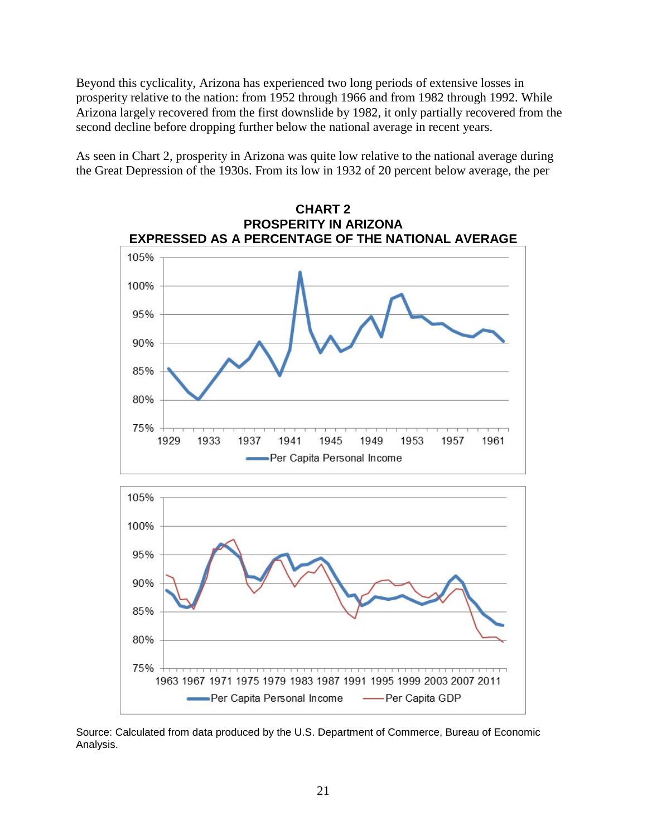Beyond this cyclicality, Arizona has experienced two long periods of extensive losses in prosperity relative to the nation: from 1952 through 1966 and from 1982 through 1992. While Arizona largely recovered from the first downslide by 1982, it only partially recovered from the second decline before dropping further below the national average in recent years.

As seen in Chart 2, prosperity in Arizona was quite low relative to the national average during the Great Depression of the 1930s. From its low in 1932 of 20 percent below average, the per

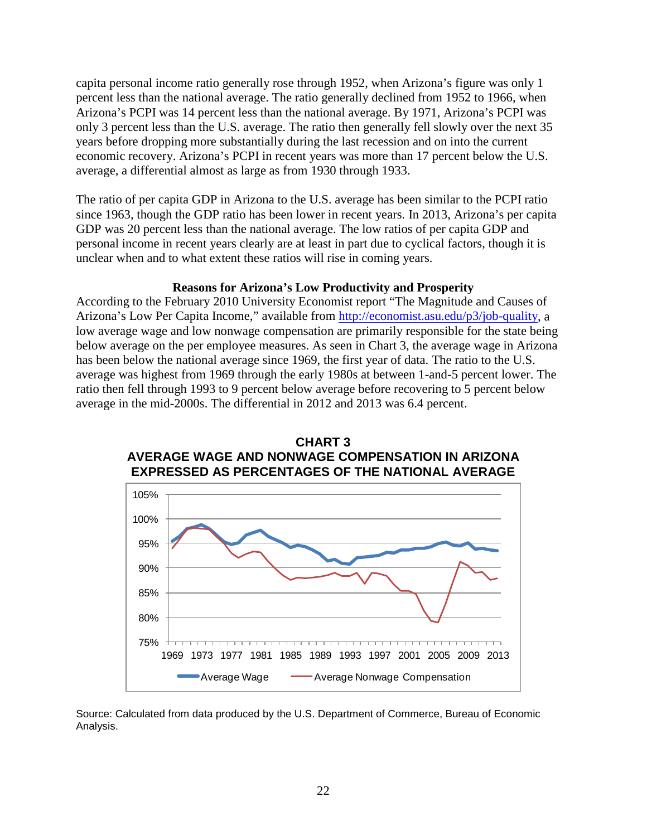capita personal income ratio generally rose through 1952, when Arizona's figure was only 1 percent less than the national average. The ratio generally declined from 1952 to 1966, when Arizona's PCPI was 14 percent less than the national average. By 1971, Arizona's PCPI was only 3 percent less than the U.S. average. The ratio then generally fell slowly over the next 35 years before dropping more substantially during the last recession and on into the current economic recovery. Arizona's PCPI in recent years was more than 17 percent below the U.S. average, a differential almost as large as from 1930 through 1933.

The ratio of per capita GDP in Arizona to the U.S. average has been similar to the PCPI ratio since 1963, though the GDP ratio has been lower in recent years. In 2013, Arizona's per capita GDP was 20 percent less than the national average. The low ratios of per capita GDP and personal income in recent years clearly are at least in part due to cyclical factors, though it is unclear when and to what extent these ratios will rise in coming years.

#### **Reasons for Arizona's Low Productivity and Prosperity**

According to the February 2010 University Economist report "The Magnitude and Causes of Arizona's Low Per Capita Income," available from [http://economist.asu.edu/p3/job-quality,](http://economist.asu.edu/p3/job-quality) a low average wage and low nonwage compensation are primarily responsible for the state being below average on the per employee measures. As seen in Chart 3, the average wage in Arizona has been below the national average since 1969, the first year of data. The ratio to the U.S. average was highest from 1969 through the early 1980s at between 1-and-5 percent lower. The ratio then fell through 1993 to 9 percent below average before recovering to 5 percent below average in the mid-2000s. The differential in 2012 and 2013 was 6.4 percent.



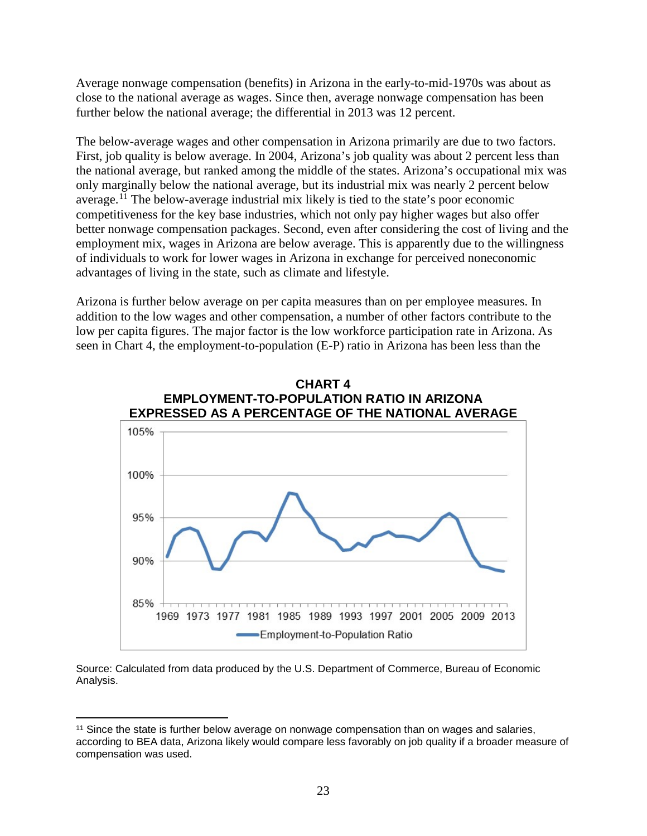Average nonwage compensation (benefits) in Arizona in the early-to-mid-1970s was about as close to the national average as wages. Since then, average nonwage compensation has been further below the national average; the differential in 2013 was 12 percent.

The below-average wages and other compensation in Arizona primarily are due to two factors. First, job quality is below average. In 2004, Arizona's job quality was about 2 percent less than the national average, but ranked among the middle of the states. Arizona's occupational mix was only marginally below the national average, but its industrial mix was nearly 2 percent below average.<sup>[11](#page-24-0)</sup> The below-average industrial mix likely is tied to the state's poor economic competitiveness for the key base industries, which not only pay higher wages but also offer better nonwage compensation packages. Second, even after considering the cost of living and the employment mix, wages in Arizona are below average. This is apparently due to the willingness of individuals to work for lower wages in Arizona in exchange for perceived noneconomic advantages of living in the state, such as climate and lifestyle.

Arizona is further below average on per capita measures than on per employee measures. In addition to the low wages and other compensation, a number of other factors contribute to the low per capita figures. The major factor is the low workforce participation rate in Arizona. As seen in Chart 4, the employment-to-population (E-P) ratio in Arizona has been less than the



<span id="page-24-0"></span><sup>&</sup>lt;sup>11</sup> Since the state is further below average on nonwage compensation than on wages and salaries, according to BEA data, Arizona likely would compare less favorably on job quality if a broader measure of compensation was used.  $\overline{\phantom{a}}$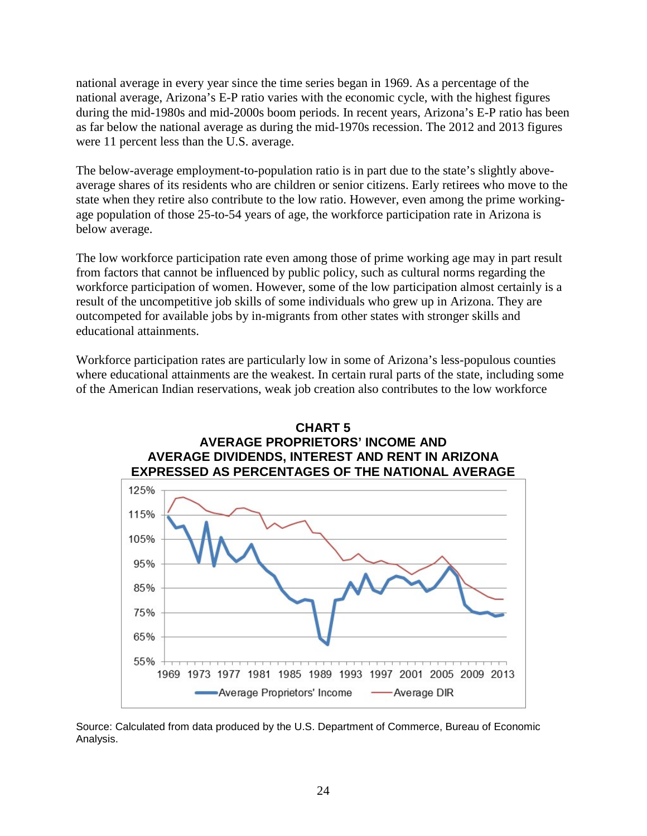national average in every year since the time series began in 1969. As a percentage of the national average, Arizona's E-P ratio varies with the economic cycle, with the highest figures during the mid-1980s and mid-2000s boom periods. In recent years, Arizona's E-P ratio has been as far below the national average as during the mid-1970s recession. The 2012 and 2013 figures were 11 percent less than the U.S. average.

The below-average employment-to-population ratio is in part due to the state's slightly aboveaverage shares of its residents who are children or senior citizens. Early retirees who move to the state when they retire also contribute to the low ratio. However, even among the prime workingage population of those 25-to-54 years of age, the workforce participation rate in Arizona is below average.

The low workforce participation rate even among those of prime working age may in part result from factors that cannot be influenced by public policy, such as cultural norms regarding the workforce participation of women. However, some of the low participation almost certainly is a result of the uncompetitive job skills of some individuals who grew up in Arizona. They are outcompeted for available jobs by in-migrants from other states with stronger skills and educational attainments.

Workforce participation rates are particularly low in some of Arizona's less-populous counties where educational attainments are the weakest. In certain rural parts of the state, including some of the American Indian reservations, weak job creation also contributes to the low workforce

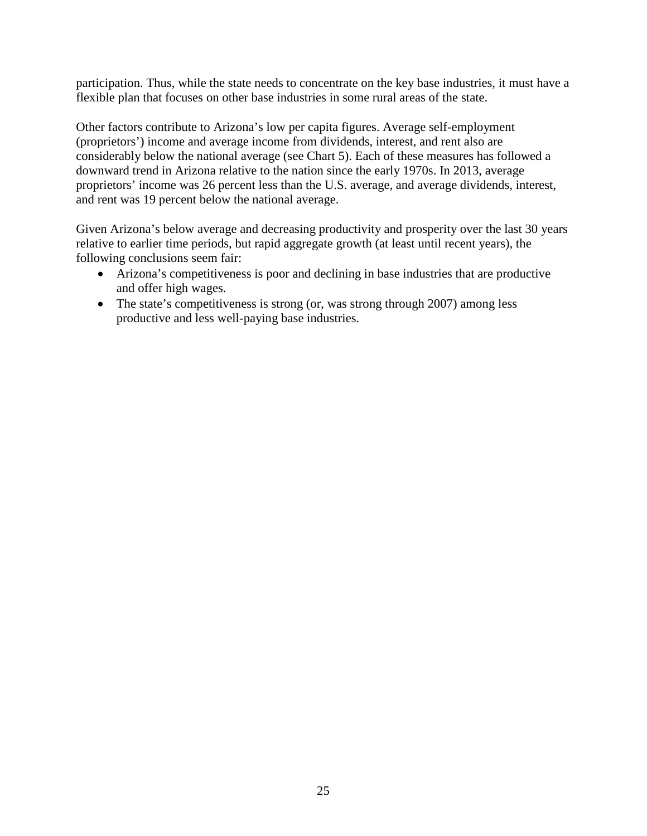participation. Thus, while the state needs to concentrate on the key base industries, it must have a flexible plan that focuses on other base industries in some rural areas of the state.

Other factors contribute to Arizona's low per capita figures. Average self-employment (proprietors') income and average income from dividends, interest, and rent also are considerably below the national average (see Chart 5). Each of these measures has followed a downward trend in Arizona relative to the nation since the early 1970s. In 2013, average proprietors' income was 26 percent less than the U.S. average, and average dividends, interest, and rent was 19 percent below the national average.

Given Arizona's below average and decreasing productivity and prosperity over the last 30 years relative to earlier time periods, but rapid aggregate growth (at least until recent years), the following conclusions seem fair:

- Arizona's competitiveness is poor and declining in base industries that are productive and offer high wages.
- The state's competitiveness is strong (or, was strong through 2007) among less productive and less well-paying base industries.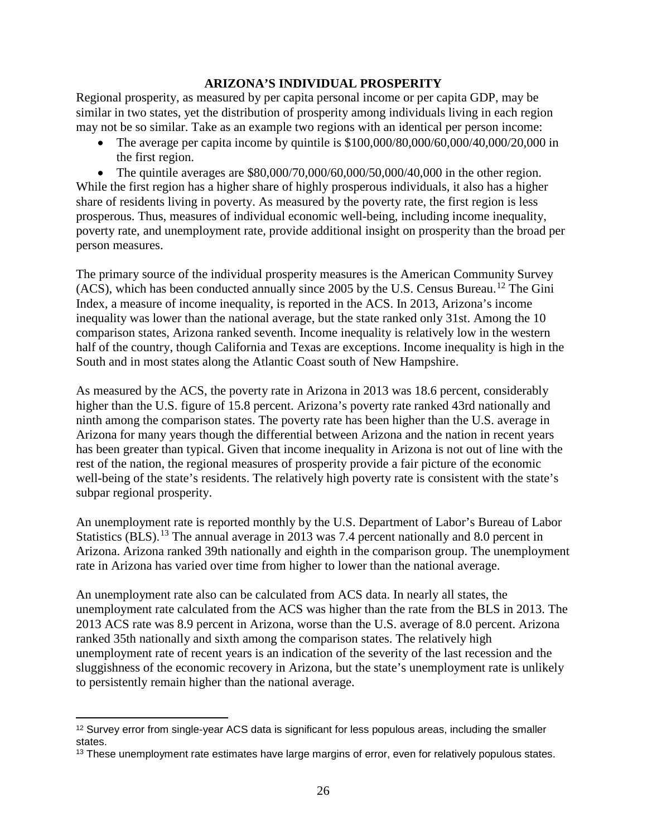#### **ARIZONA'S INDIVIDUAL PROSPERITY**

Regional prosperity, as measured by per capita personal income or per capita GDP, may be similar in two states, yet the distribution of prosperity among individuals living in each region may not be so similar. Take as an example two regions with an identical per person income:

• The average per capita income by quintile is \$100,000/80,000/60,000/40,000/20,000 in the first region.

• The quintile averages are \$80,000/70,000/60,000/50,000/40,000 in the other region. While the first region has a higher share of highly prosperous individuals, it also has a higher share of residents living in poverty. As measured by the poverty rate, the first region is less prosperous. Thus, measures of individual economic well-being, including income inequality, poverty rate, and unemployment rate, provide additional insight on prosperity than the broad per person measures.

The primary source of the individual prosperity measures is the American Community Survey (ACS), which has been conducted annually since 2005 by the U.S. Census Bureau. [12](#page-27-0) The Gini Index, a measure of income inequality, is reported in the ACS. In 2013, Arizona's income inequality was lower than the national average, but the state ranked only 31st. Among the 10 comparison states, Arizona ranked seventh. Income inequality is relatively low in the western half of the country, though California and Texas are exceptions. Income inequality is high in the South and in most states along the Atlantic Coast south of New Hampshire.

As measured by the ACS, the poverty rate in Arizona in 2013 was 18.6 percent, considerably higher than the U.S. figure of 15.8 percent. Arizona's poverty rate ranked 43rd nationally and ninth among the comparison states. The poverty rate has been higher than the U.S. average in Arizona for many years though the differential between Arizona and the nation in recent years has been greater than typical. Given that income inequality in Arizona is not out of line with the rest of the nation, the regional measures of prosperity provide a fair picture of the economic well-being of the state's residents. The relatively high poverty rate is consistent with the state's subpar regional prosperity.

An unemployment rate is reported monthly by the U.S. Department of Labor's Bureau of Labor Statistics (BLS).<sup>[13](#page-27-1)</sup> The annual average in 2013 was 7.4 percent nationally and 8.0 percent in Arizona. Arizona ranked 39th nationally and eighth in the comparison group. The unemployment rate in Arizona has varied over time from higher to lower than the national average.

An unemployment rate also can be calculated from ACS data. In nearly all states, the unemployment rate calculated from the ACS was higher than the rate from the BLS in 2013. The 2013 ACS rate was 8.9 percent in Arizona, worse than the U.S. average of 8.0 percent. Arizona ranked 35th nationally and sixth among the comparison states. The relatively high unemployment rate of recent years is an indication of the severity of the last recession and the sluggishness of the economic recovery in Arizona, but the state's unemployment rate is unlikely to persistently remain higher than the national average.

<span id="page-27-0"></span> $12$  Survey error from single-year ACS data is significant for less populous areas, including the smaller states.  $\overline{\phantom{a}}$ 

<span id="page-27-1"></span><sup>&</sup>lt;sup>13</sup> These unemployment rate estimates have large margins of error, even for relatively populous states.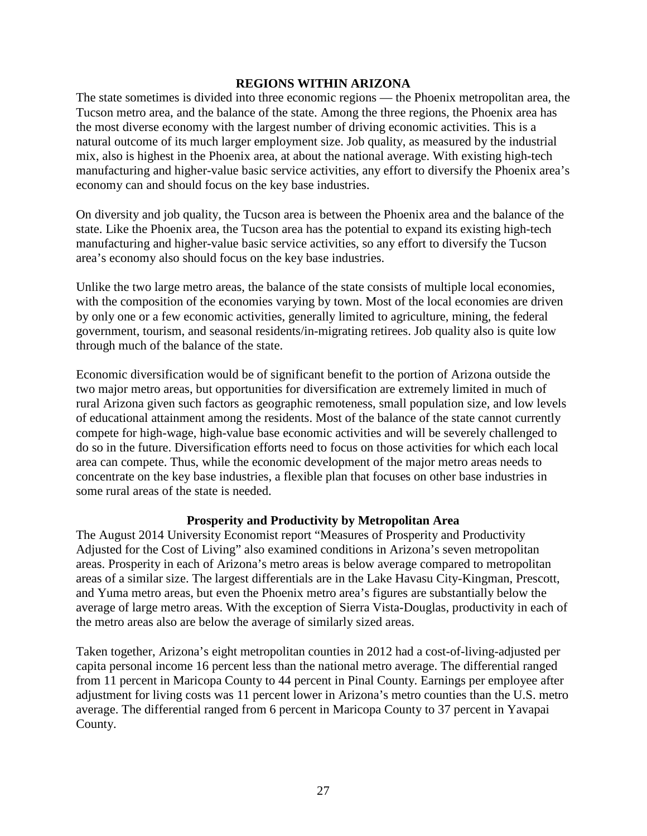#### **REGIONS WITHIN ARIZONA**

The state sometimes is divided into three economic regions — the Phoenix metropolitan area, the Tucson metro area, and the balance of the state. Among the three regions, the Phoenix area has the most diverse economy with the largest number of driving economic activities. This is a natural outcome of its much larger employment size. Job quality, as measured by the industrial mix, also is highest in the Phoenix area, at about the national average. With existing high-tech manufacturing and higher-value basic service activities, any effort to diversify the Phoenix area's economy can and should focus on the key base industries.

On diversity and job quality, the Tucson area is between the Phoenix area and the balance of the state. Like the Phoenix area, the Tucson area has the potential to expand its existing high-tech manufacturing and higher-value basic service activities, so any effort to diversify the Tucson area's economy also should focus on the key base industries.

Unlike the two large metro areas, the balance of the state consists of multiple local economies, with the composition of the economies varying by town. Most of the local economies are driven by only one or a few economic activities, generally limited to agriculture, mining, the federal government, tourism, and seasonal residents/in-migrating retirees. Job quality also is quite low through much of the balance of the state.

Economic diversification would be of significant benefit to the portion of Arizona outside the two major metro areas, but opportunities for diversification are extremely limited in much of rural Arizona given such factors as geographic remoteness, small population size, and low levels of educational attainment among the residents. Most of the balance of the state cannot currently compete for high-wage, high-value base economic activities and will be severely challenged to do so in the future. Diversification efforts need to focus on those activities for which each local area can compete. Thus, while the economic development of the major metro areas needs to concentrate on the key base industries, a flexible plan that focuses on other base industries in some rural areas of the state is needed.

#### **Prosperity and Productivity by Metropolitan Area**

The August 2014 University Economist report "Measures of Prosperity and Productivity Adjusted for the Cost of Living" also examined conditions in Arizona's seven metropolitan areas. Prosperity in each of Arizona's metro areas is below average compared to metropolitan areas of a similar size. The largest differentials are in the Lake Havasu City-Kingman, Prescott, and Yuma metro areas, but even the Phoenix metro area's figures are substantially below the average of large metro areas. With the exception of Sierra Vista-Douglas, productivity in each of the metro areas also are below the average of similarly sized areas.

Taken together, Arizona's eight metropolitan counties in 2012 had a cost-of-living-adjusted per capita personal income 16 percent less than the national metro average. The differential ranged from 11 percent in Maricopa County to 44 percent in Pinal County. Earnings per employee after adjustment for living costs was 11 percent lower in Arizona's metro counties than the U.S. metro average. The differential ranged from 6 percent in Maricopa County to 37 percent in Yavapai County.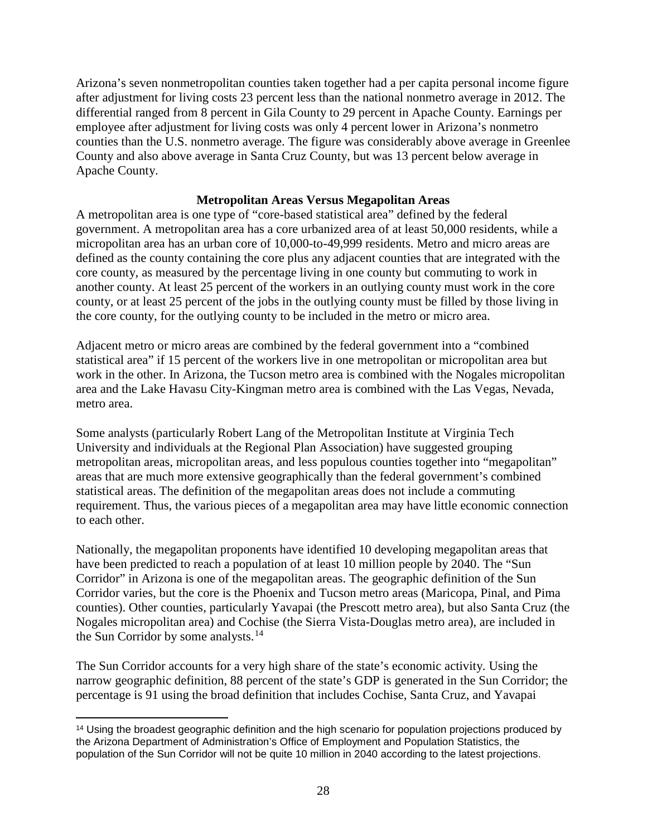Arizona's seven nonmetropolitan counties taken together had a per capita personal income figure after adjustment for living costs 23 percent less than the national nonmetro average in 2012. The differential ranged from 8 percent in Gila County to 29 percent in Apache County. Earnings per employee after adjustment for living costs was only 4 percent lower in Arizona's nonmetro counties than the U.S. nonmetro average. The figure was considerably above average in Greenlee County and also above average in Santa Cruz County, but was 13 percent below average in Apache County.

### **Metropolitan Areas Versus Megapolitan Areas**

A metropolitan area is one type of "core-based statistical area" defined by the federal government. A metropolitan area has a core urbanized area of at least 50,000 residents, while a micropolitan area has an urban core of 10,000-to-49,999 residents. Metro and micro areas are defined as the county containing the core plus any adjacent counties that are integrated with the core county, as measured by the percentage living in one county but commuting to work in another county. At least 25 percent of the workers in an outlying county must work in the core county, or at least 25 percent of the jobs in the outlying county must be filled by those living in the core county, for the outlying county to be included in the metro or micro area.

Adjacent metro or micro areas are combined by the federal government into a "combined statistical area" if 15 percent of the workers live in one metropolitan or micropolitan area but work in the other. In Arizona, the Tucson metro area is combined with the Nogales micropolitan area and the Lake Havasu City-Kingman metro area is combined with the Las Vegas, Nevada, metro area.

Some analysts (particularly Robert Lang of the Metropolitan Institute at Virginia Tech University and individuals at the Regional Plan Association) have suggested grouping metropolitan areas, micropolitan areas, and less populous counties together into "megapolitan" areas that are much more extensive geographically than the federal government's combined statistical areas. The definition of the megapolitan areas does not include a commuting requirement. Thus, the various pieces of a megapolitan area may have little economic connection to each other.

Nationally, the megapolitan proponents have identified 10 developing megapolitan areas that have been predicted to reach a population of at least 10 million people by 2040. The "Sun Corridor" in Arizona is one of the megapolitan areas. The geographic definition of the Sun Corridor varies, but the core is the Phoenix and Tucson metro areas (Maricopa, Pinal, and Pima counties). Other counties, particularly Yavapai (the Prescott metro area), but also Santa Cruz (the Nogales micropolitan area) and Cochise (the Sierra Vista-Douglas metro area), are included in the Sun Corridor by some analysts.<sup>[14](#page-29-0)</sup>

The Sun Corridor accounts for a very high share of the state's economic activity. Using the narrow geographic definition, 88 percent of the state's GDP is generated in the Sun Corridor; the percentage is 91 using the broad definition that includes Cochise, Santa Cruz, and Yavapai

<span id="page-29-0"></span><sup>14</sup> Using the broadest geographic definition and the high scenario for population projections produced by the Arizona Department of Administration's Office of Employment and Population Statistics, the population of the Sun Corridor will not be quite 10 million in 2040 according to the latest projections.  $\overline{\phantom{a}}$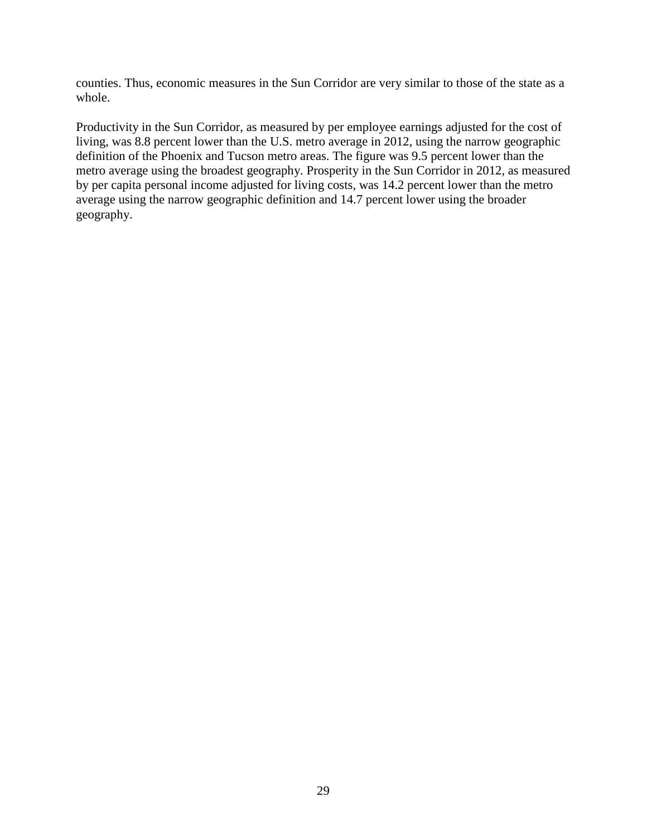counties. Thus, economic measures in the Sun Corridor are very similar to those of the state as a whole.

Productivity in the Sun Corridor, as measured by per employee earnings adjusted for the cost of living, was 8.8 percent lower than the U.S. metro average in 2012, using the narrow geographic definition of the Phoenix and Tucson metro areas. The figure was 9.5 percent lower than the metro average using the broadest geography. Prosperity in the Sun Corridor in 2012, as measured by per capita personal income adjusted for living costs, was 14.2 percent lower than the metro average using the narrow geographic definition and 14.7 percent lower using the broader geography.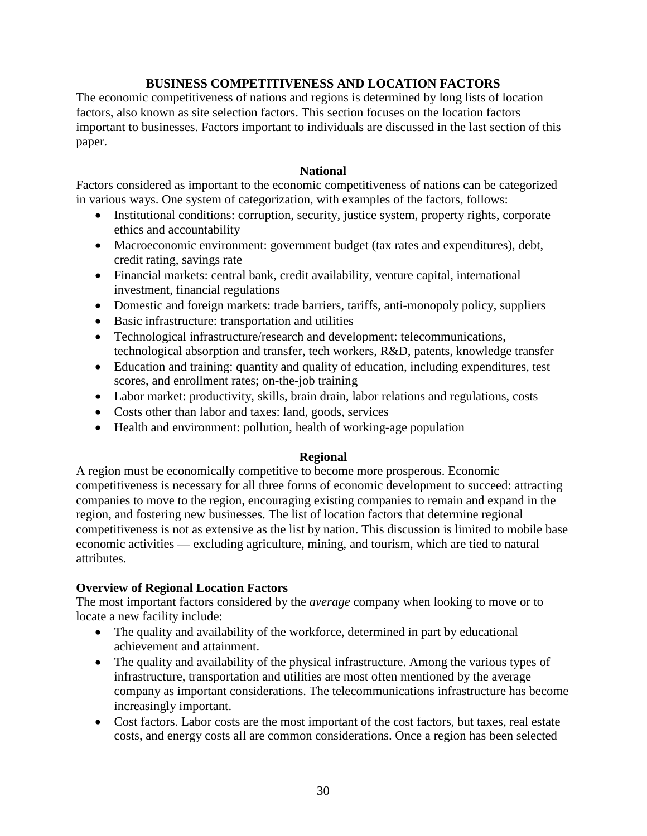# **BUSINESS COMPETITIVENESS AND LOCATION FACTORS**

The economic competitiveness of nations and regions is determined by long lists of location factors, also known as site selection factors. This section focuses on the location factors important to businesses. Factors important to individuals are discussed in the last section of this paper.

#### **National**

Factors considered as important to the economic competitiveness of nations can be categorized in various ways. One system of categorization, with examples of the factors, follows:

- Institutional conditions: corruption, security, justice system, property rights, corporate ethics and accountability
- Macroeconomic environment: government budget (tax rates and expenditures), debt, credit rating, savings rate
- Financial markets: central bank, credit availability, venture capital, international investment, financial regulations
- Domestic and foreign markets: trade barriers, tariffs, anti-monopoly policy, suppliers
- Basic infrastructure: transportation and utilities
- Technological infrastructure/research and development: telecommunications, technological absorption and transfer, tech workers, R&D, patents, knowledge transfer
- Education and training: quantity and quality of education, including expenditures, test scores, and enrollment rates; on-the-job training
- Labor market: productivity, skills, brain drain, labor relations and regulations, costs
- Costs other than labor and taxes: land, goods, services
- Health and environment: pollution, health of working-age population

# **Regional**

A region must be economically competitive to become more prosperous. Economic competitiveness is necessary for all three forms of economic development to succeed: attracting companies to move to the region, encouraging existing companies to remain and expand in the region, and fostering new businesses. The list of location factors that determine regional competitiveness is not as extensive as the list by nation. This discussion is limited to mobile base economic activities — excluding agriculture, mining, and tourism, which are tied to natural attributes.

# **Overview of Regional Location Factors**

The most important factors considered by the *average* company when looking to move or to locate a new facility include:

- The quality and availability of the workforce, determined in part by educational achievement and attainment.
- The quality and availability of the physical infrastructure. Among the various types of infrastructure, transportation and utilities are most often mentioned by the average company as important considerations. The telecommunications infrastructure has become increasingly important.
- Cost factors. Labor costs are the most important of the cost factors, but taxes, real estate costs, and energy costs all are common considerations. Once a region has been selected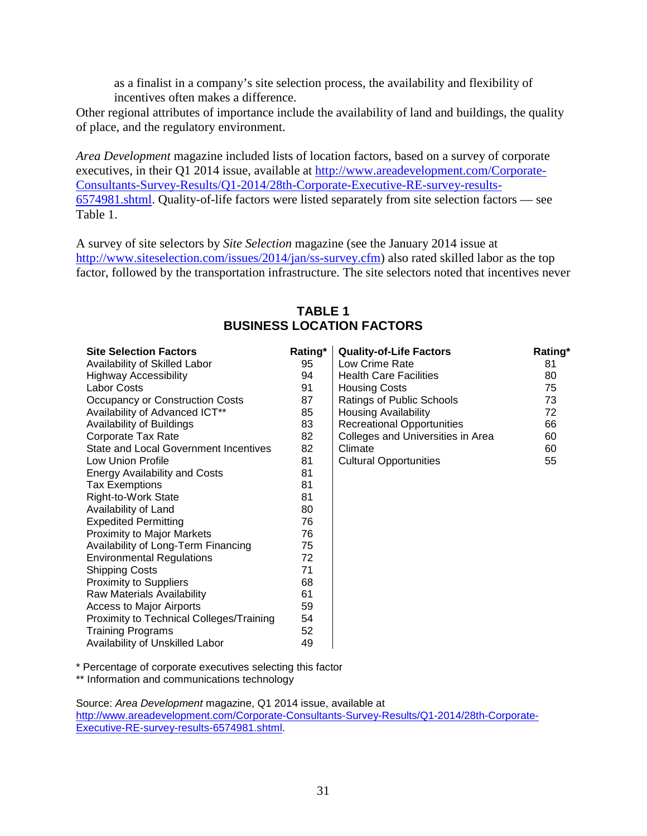as a finalist in a company's site selection process, the availability and flexibility of incentives often makes a difference.

Other regional attributes of importance include the availability of land and buildings, the quality of place, and the regulatory environment.

*Area Development* magazine included lists of location factors, based on a survey of corporate executives, in their Q1 2014 issue, available at [http://www.areadevelopment.com/Corporate-](http://www.areadevelopment.com/Corporate-Consultants-Survey-Results/Q1-2014/28th-Corporate-Executive-RE-survey-results-6574981.shtml)[Consultants-Survey-Results/Q1-2014/28th-Corporate-Executive-RE-survey-results-](http://www.areadevelopment.com/Corporate-Consultants-Survey-Results/Q1-2014/28th-Corporate-Executive-RE-survey-results-6574981.shtml)[6574981.shtml.](http://www.areadevelopment.com/Corporate-Consultants-Survey-Results/Q1-2014/28th-Corporate-Executive-RE-survey-results-6574981.shtml) Quality-of-life factors were listed separately from site selection factors — see Table 1.

A survey of site selectors by *Site Selection* magazine (see the January 2014 issue at [http://www.siteselection.com/issues/2014/jan/ss-survey.cfm\)](http://www.siteselection.com/issues/2014/jan/ss-survey.cfm) also rated skilled labor as the top factor, followed by the transportation infrastructure. The site selectors noted that incentives never

| <b>Site Selection Factors</b>                | Rating* | <b>Quality-of-Life Factors</b>    | Rating* |
|----------------------------------------------|---------|-----------------------------------|---------|
| Availability of Skilled Labor                | 95      | Low Crime Rate                    | 81      |
| <b>Highway Accessibility</b>                 | 94      | <b>Health Care Facilities</b>     | 80      |
| <b>Labor Costs</b>                           | 91      | <b>Housing Costs</b>              | 75      |
| Occupancy or Construction Costs              | 87      | Ratings of Public Schools         | 73      |
| Availability of Advanced ICT**               | 85      | <b>Housing Availability</b>       | 72      |
| Availability of Buildings                    | 83      | <b>Recreational Opportunities</b> | 66      |
| Corporate Tax Rate                           | 82      | Colleges and Universities in Area | 60      |
| <b>State and Local Government Incentives</b> | 82      | Climate                           | 60      |
| Low Union Profile                            | 81      | <b>Cultural Opportunities</b>     | 55      |
| <b>Energy Availability and Costs</b>         | 81      |                                   |         |
| <b>Tax Exemptions</b>                        | 81      |                                   |         |
| Right-to-Work State                          | 81      |                                   |         |
| Availability of Land                         | 80      |                                   |         |
| <b>Expedited Permitting</b>                  | 76      |                                   |         |
| <b>Proximity to Major Markets</b>            | 76      |                                   |         |
| Availability of Long-Term Financing          | 75      |                                   |         |
| <b>Environmental Regulations</b>             | 72      |                                   |         |
| <b>Shipping Costs</b>                        | 71      |                                   |         |
| <b>Proximity to Suppliers</b>                | 68      |                                   |         |
| Raw Materials Availability                   | 61      |                                   |         |
| <b>Access to Major Airports</b>              | 59      |                                   |         |
| Proximity to Technical Colleges/Training     | 54      |                                   |         |
| <b>Training Programs</b>                     | 52      |                                   |         |
| Availability of Unskilled Labor              | 49      |                                   |         |

# **TABLE 1 BUSINESS LOCATION FACTORS**

\* Percentage of corporate executives selecting this factor

\*\* Information and communications technology

Source: *Area Development* magazine, Q1 2014 issue, available at [http://www.areadevelopment.com/Corporate-Consultants-Survey-Results/Q1-2014/28th-Corporate-](http://www.areadevelopment.com/Corporate-Consultants-Survey-Results/Q1-2014/28th-Corporate-Executive-RE-survey-results-6574981.shtml)[Executive-RE-survey-results-6574981.shtml.](http://www.areadevelopment.com/Corporate-Consultants-Survey-Results/Q1-2014/28th-Corporate-Executive-RE-survey-results-6574981.shtml)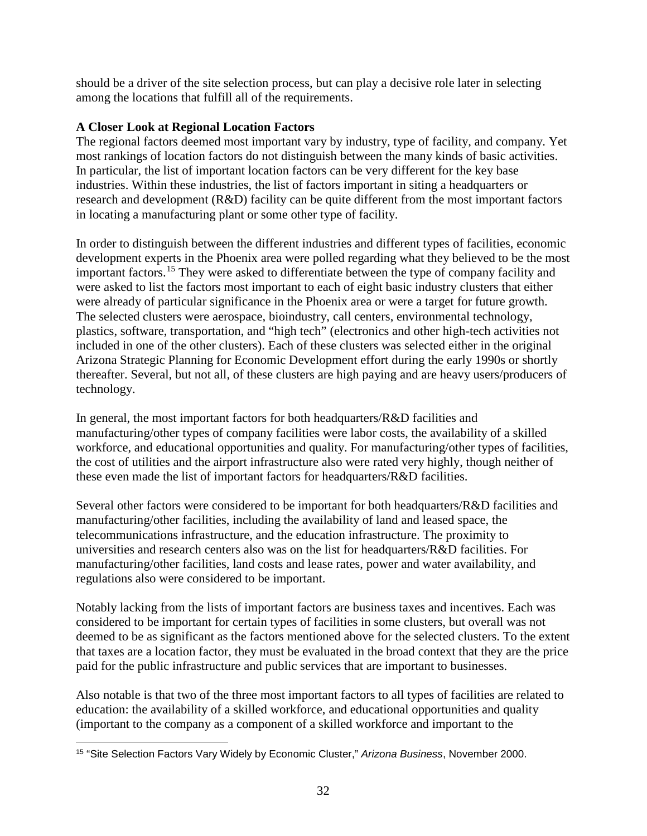should be a driver of the site selection process, but can play a decisive role later in selecting among the locations that fulfill all of the requirements.

# **A Closer Look at Regional Location Factors**

The regional factors deemed most important vary by industry, type of facility, and company. Yet most rankings of location factors do not distinguish between the many kinds of basic activities. In particular, the list of important location factors can be very different for the key base industries. Within these industries, the list of factors important in siting a headquarters or research and development (R&D) facility can be quite different from the most important factors in locating a manufacturing plant or some other type of facility.

In order to distinguish between the different industries and different types of facilities, economic development experts in the Phoenix area were polled regarding what they believed to be the most important factors.[15](#page-33-0) They were asked to differentiate between the type of company facility and were asked to list the factors most important to each of eight basic industry clusters that either were already of particular significance in the Phoenix area or were a target for future growth. The selected clusters were aerospace, bioindustry, call centers, environmental technology, plastics, software, transportation, and "high tech" (electronics and other high-tech activities not included in one of the other clusters). Each of these clusters was selected either in the original Arizona Strategic Planning for Economic Development effort during the early 1990s or shortly thereafter. Several, but not all, of these clusters are high paying and are heavy users/producers of technology.

In general, the most important factors for both headquarters/R&D facilities and manufacturing/other types of company facilities were labor costs, the availability of a skilled workforce, and educational opportunities and quality. For manufacturing/other types of facilities, the cost of utilities and the airport infrastructure also were rated very highly, though neither of these even made the list of important factors for headquarters/R&D facilities.

Several other factors were considered to be important for both headquarters/R&D facilities and manufacturing/other facilities, including the availability of land and leased space, the telecommunications infrastructure, and the education infrastructure. The proximity to universities and research centers also was on the list for headquarters/R&D facilities. For manufacturing/other facilities, land costs and lease rates, power and water availability, and regulations also were considered to be important.

Notably lacking from the lists of important factors are business taxes and incentives. Each was considered to be important for certain types of facilities in some clusters, but overall was not deemed to be as significant as the factors mentioned above for the selected clusters. To the extent that taxes are a location factor, they must be evaluated in the broad context that they are the price paid for the public infrastructure and public services that are important to businesses.

Also notable is that two of the three most important factors to all types of facilities are related to education: the availability of a skilled workforce, and educational opportunities and quality (important to the company as a component of a skilled workforce and important to the

<span id="page-33-0"></span><sup>15</sup> "Site Selection Factors Vary Widely by Economic Cluster," *Arizona Business*, November 2000. l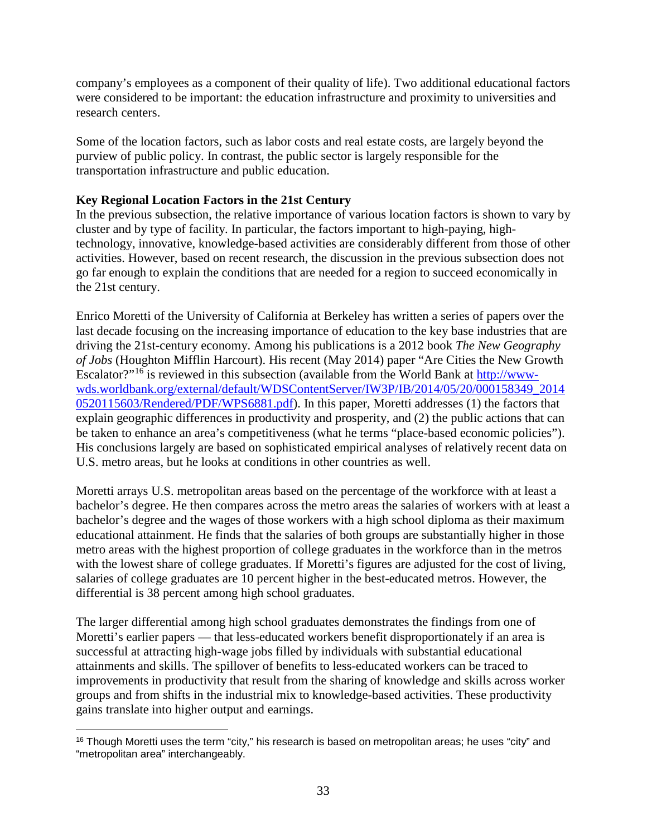company's employees as a component of their quality of life). Two additional educational factors were considered to be important: the education infrastructure and proximity to universities and research centers.

Some of the location factors, such as labor costs and real estate costs, are largely beyond the purview of public policy. In contrast, the public sector is largely responsible for the transportation infrastructure and public education.

# **Key Regional Location Factors in the 21st Century**

In the previous subsection, the relative importance of various location factors is shown to vary by cluster and by type of facility. In particular, the factors important to high-paying, hightechnology, innovative, knowledge-based activities are considerably different from those of other activities. However, based on recent research, the discussion in the previous subsection does not go far enough to explain the conditions that are needed for a region to succeed economically in the 21st century.

Enrico Moretti of the University of California at Berkeley has written a series of papers over the last decade focusing on the increasing importance of education to the key base industries that are driving the 21st-century economy. Among his publications is a 2012 book *The New Geography of Jobs* (Houghton Mifflin Harcourt). His recent (May 2014) paper "Are Cities the New Growth Escalator?"[16](#page-34-0) is reviewed in this subsection (available from the World Bank at [http://www](http://www-wds.worldbank.org/external/default/WDSContentServer/IW3P/IB/2014/05/20/000158349_20140520115603/Rendered/PDF/WPS6881.pdf)[wds.worldbank.org/external/default/WDSContentServer/IW3P/IB/2014/05/20/000158349\\_2014](http://www-wds.worldbank.org/external/default/WDSContentServer/IW3P/IB/2014/05/20/000158349_20140520115603/Rendered/PDF/WPS6881.pdf) [0520115603/Rendered/PDF/WPS6881.pdf\)](http://www-wds.worldbank.org/external/default/WDSContentServer/IW3P/IB/2014/05/20/000158349_20140520115603/Rendered/PDF/WPS6881.pdf). In this paper, Moretti addresses (1) the factors that explain geographic differences in productivity and prosperity, and (2) the public actions that can be taken to enhance an area's competitiveness (what he terms "place-based economic policies"). His conclusions largely are based on sophisticated empirical analyses of relatively recent data on U.S. metro areas, but he looks at conditions in other countries as well.

Moretti arrays U.S. metropolitan areas based on the percentage of the workforce with at least a bachelor's degree. He then compares across the metro areas the salaries of workers with at least a bachelor's degree and the wages of those workers with a high school diploma as their maximum educational attainment. He finds that the salaries of both groups are substantially higher in those metro areas with the highest proportion of college graduates in the workforce than in the metros with the lowest share of college graduates. If Moretti's figures are adjusted for the cost of living, salaries of college graduates are 10 percent higher in the best-educated metros. However, the differential is 38 percent among high school graduates.

The larger differential among high school graduates demonstrates the findings from one of Moretti's earlier papers — that less-educated workers benefit disproportionately if an area is successful at attracting high-wage jobs filled by individuals with substantial educational attainments and skills. The spillover of benefits to less-educated workers can be traced to improvements in productivity that result from the sharing of knowledge and skills across worker groups and from shifts in the industrial mix to knowledge-based activities. These productivity gains translate into higher output and earnings.

<span id="page-34-0"></span><sup>&</sup>lt;sup>16</sup> Though Moretti uses the term "city," his research is based on metropolitan areas; he uses "city" and "metropolitan area" interchangeably. l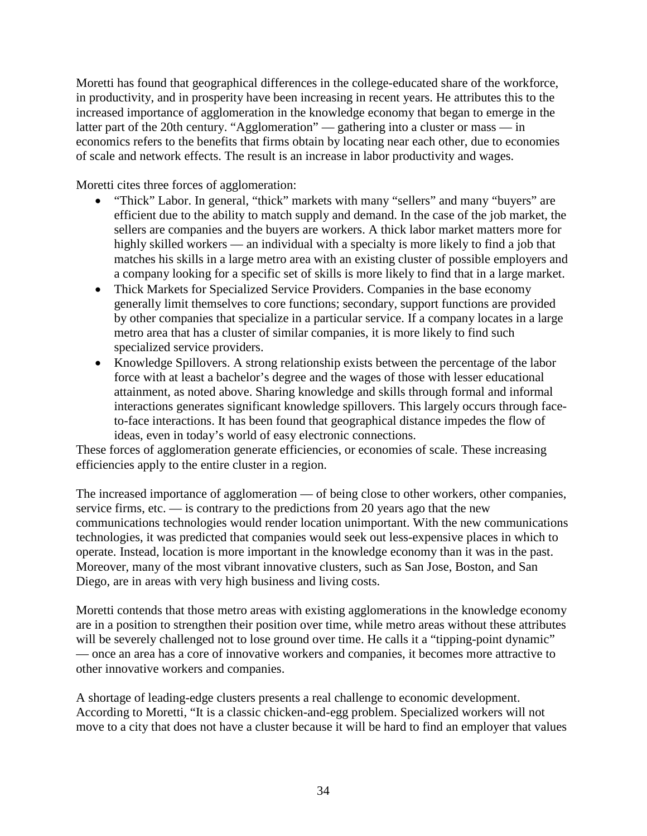Moretti has found that geographical differences in the college-educated share of the workforce, in productivity, and in prosperity have been increasing in recent years. He attributes this to the increased importance of agglomeration in the knowledge economy that began to emerge in the latter part of the 20th century. "Agglomeration" — gathering into a cluster or mass — in economics refers to the benefits that firms obtain by locating near each other, due to economies of scale and network effects. The result is an increase in labor productivity and wages.

Moretti cites three forces of agglomeration:

- "Thick" Labor. In general, "thick" markets with many "sellers" and many "buyers" are efficient due to the ability to match supply and demand. In the case of the job market, the sellers are companies and the buyers are workers. A thick labor market matters more for highly skilled workers — an individual with a specialty is more likely to find a job that matches his skills in a large metro area with an existing cluster of possible employers and a company looking for a specific set of skills is more likely to find that in a large market.
- Thick Markets for Specialized Service Providers. Companies in the base economy generally limit themselves to core functions; secondary, support functions are provided by other companies that specialize in a particular service. If a company locates in a large metro area that has a cluster of similar companies, it is more likely to find such specialized service providers.
- Knowledge Spillovers. A strong relationship exists between the percentage of the labor force with at least a bachelor's degree and the wages of those with lesser educational attainment, as noted above. Sharing knowledge and skills through formal and informal interactions generates significant knowledge spillovers. This largely occurs through faceto-face interactions. It has been found that geographical distance impedes the flow of ideas, even in today's world of easy electronic connections.

These forces of agglomeration generate efficiencies, or economies of scale. These increasing efficiencies apply to the entire cluster in a region.

The increased importance of agglomeration — of being close to other workers, other companies, service firms, etc. — is contrary to the predictions from 20 years ago that the new communications technologies would render location unimportant. With the new communications technologies, it was predicted that companies would seek out less-expensive places in which to operate. Instead, location is more important in the knowledge economy than it was in the past. Moreover, many of the most vibrant innovative clusters, such as San Jose, Boston, and San Diego, are in areas with very high business and living costs.

Moretti contends that those metro areas with existing agglomerations in the knowledge economy are in a position to strengthen their position over time, while metro areas without these attributes will be severely challenged not to lose ground over time. He calls it a "tipping-point dynamic" — once an area has a core of innovative workers and companies, it becomes more attractive to other innovative workers and companies.

A shortage of leading-edge clusters presents a real challenge to economic development. According to Moretti, "It is a classic chicken-and-egg problem. Specialized workers will not move to a city that does not have a cluster because it will be hard to find an employer that values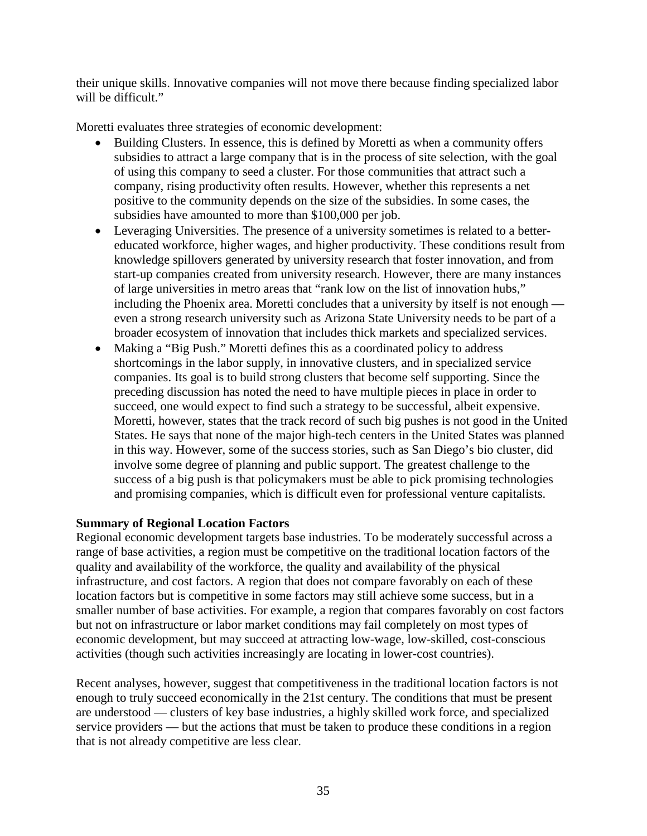their unique skills. Innovative companies will not move there because finding specialized labor will be difficult."

Moretti evaluates three strategies of economic development:

- Building Clusters. In essence, this is defined by Moretti as when a community offers subsidies to attract a large company that is in the process of site selection, with the goal of using this company to seed a cluster. For those communities that attract such a company, rising productivity often results. However, whether this represents a net positive to the community depends on the size of the subsidies. In some cases, the subsidies have amounted to more than \$100,000 per job.
- Leveraging Universities. The presence of a university sometimes is related to a bettereducated workforce, higher wages, and higher productivity. These conditions result from knowledge spillovers generated by university research that foster innovation, and from start-up companies created from university research. However, there are many instances of large universities in metro areas that "rank low on the list of innovation hubs," including the Phoenix area. Moretti concludes that a university by itself is not enough even a strong research university such as Arizona State University needs to be part of a broader ecosystem of innovation that includes thick markets and specialized services.
- Making a "Big Push." Moretti defines this as a coordinated policy to address shortcomings in the labor supply, in innovative clusters, and in specialized service companies. Its goal is to build strong clusters that become self supporting. Since the preceding discussion has noted the need to have multiple pieces in place in order to succeed, one would expect to find such a strategy to be successful, albeit expensive. Moretti, however, states that the track record of such big pushes is not good in the United States. He says that none of the major high-tech centers in the United States was planned in this way. However, some of the success stories, such as San Diego's bio cluster, did involve some degree of planning and public support. The greatest challenge to the success of a big push is that policymakers must be able to pick promising technologies and promising companies, which is difficult even for professional venture capitalists.

## **Summary of Regional Location Factors**

Regional economic development targets base industries. To be moderately successful across a range of base activities, a region must be competitive on the traditional location factors of the quality and availability of the workforce, the quality and availability of the physical infrastructure, and cost factors. A region that does not compare favorably on each of these location factors but is competitive in some factors may still achieve some success, but in a smaller number of base activities. For example, a region that compares favorably on cost factors but not on infrastructure or labor market conditions may fail completely on most types of economic development, but may succeed at attracting low-wage, low-skilled, cost-conscious activities (though such activities increasingly are locating in lower-cost countries).

Recent analyses, however, suggest that competitiveness in the traditional location factors is not enough to truly succeed economically in the 21st century. The conditions that must be present are understood — clusters of key base industries, a highly skilled work force, and specialized service providers — but the actions that must be taken to produce these conditions in a region that is not already competitive are less clear.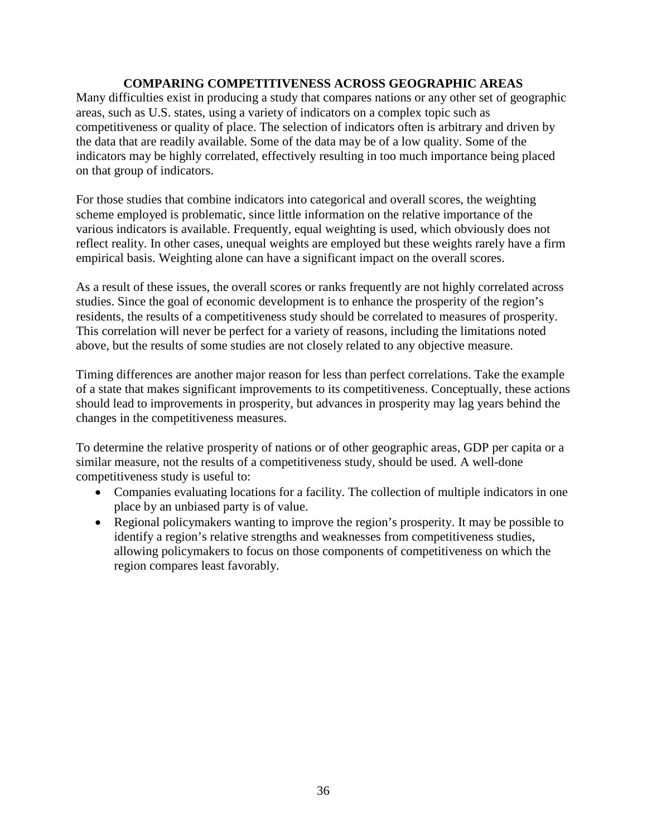### **COMPARING COMPETITIVENESS ACROSS GEOGRAPHIC AREAS**

Many difficulties exist in producing a study that compares nations or any other set of geographic areas, such as U.S. states, using a variety of indicators on a complex topic such as competitiveness or quality of place. The selection of indicators often is arbitrary and driven by the data that are readily available. Some of the data may be of a low quality. Some of the indicators may be highly correlated, effectively resulting in too much importance being placed on that group of indicators.

For those studies that combine indicators into categorical and overall scores, the weighting scheme employed is problematic, since little information on the relative importance of the various indicators is available. Frequently, equal weighting is used, which obviously does not reflect reality. In other cases, unequal weights are employed but these weights rarely have a firm empirical basis. Weighting alone can have a significant impact on the overall scores.

As a result of these issues, the overall scores or ranks frequently are not highly correlated across studies. Since the goal of economic development is to enhance the prosperity of the region's residents, the results of a competitiveness study should be correlated to measures of prosperity. This correlation will never be perfect for a variety of reasons, including the limitations noted above, but the results of some studies are not closely related to any objective measure.

Timing differences are another major reason for less than perfect correlations. Take the example of a state that makes significant improvements to its competitiveness. Conceptually, these actions should lead to improvements in prosperity, but advances in prosperity may lag years behind the changes in the competitiveness measures.

To determine the relative prosperity of nations or of other geographic areas, GDP per capita or a similar measure, not the results of a competitiveness study, should be used. A well-done competitiveness study is useful to:

- Companies evaluating locations for a facility. The collection of multiple indicators in one place by an unbiased party is of value.
- Regional policymakers wanting to improve the region's prosperity. It may be possible to identify a region's relative strengths and weaknesses from competitiveness studies, allowing policymakers to focus on those components of competitiveness on which the region compares least favorably.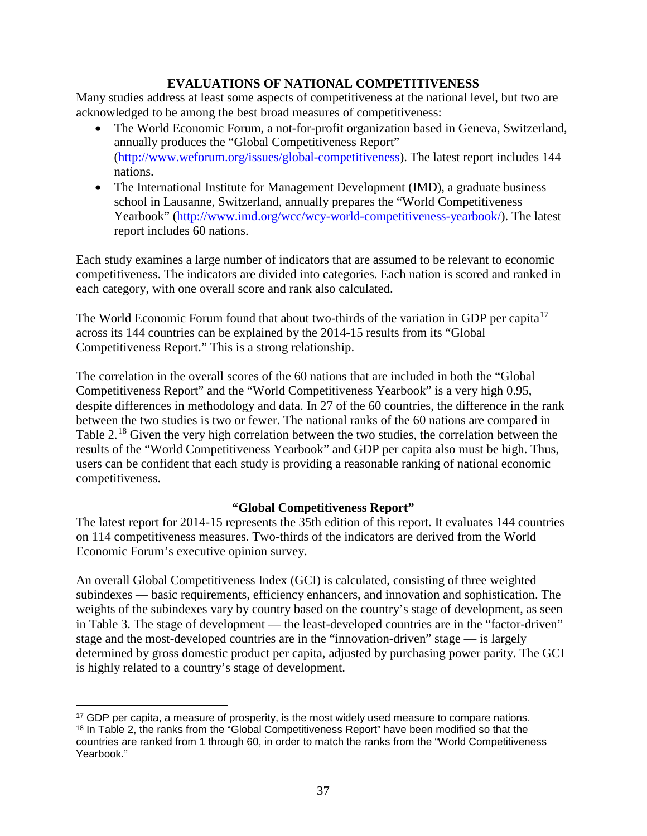## **EVALUATIONS OF NATIONAL COMPETITIVENESS**

Many studies address at least some aspects of competitiveness at the national level, but two are acknowledged to be among the best broad measures of competitiveness:

- The World Economic Forum, a not-for-profit organization based in Geneva, Switzerland, annually produces the "Global Competitiveness Report" [\(http://www.weforum.org/issues/global-competitiveness\)](http://www.weforum.org/issues/global-competitiveness). The latest report includes 144 nations.
- The International Institute for Management Development (IMD), a graduate business school in Lausanne, Switzerland, annually prepares the "World Competitiveness Yearbook" [\(http://www.imd.org/wcc/wcy-world-competitiveness-yearbook/\)](http://www.imd.org/wcc/wcy-world-competitiveness-yearbook/). The latest report includes 60 nations.

Each study examines a large number of indicators that are assumed to be relevant to economic competitiveness. The indicators are divided into categories. Each nation is scored and ranked in each category, with one overall score and rank also calculated.

The World Economic Forum found that about two-thirds of the variation in GDP per capita<sup>[17](#page-38-0)</sup> across its 144 countries can be explained by the 2014-15 results from its "Global Competitiveness Report." This is a strong relationship.

The correlation in the overall scores of the 60 nations that are included in both the "Global Competitiveness Report" and the "World Competitiveness Yearbook" is a very high 0.95, despite differences in methodology and data. In 27 of the 60 countries, the difference in the rank between the two studies is two or fewer. The national ranks of the 60 nations are compared in Table 2.<sup>[18](#page-38-1)</sup> Given the very high correlation between the two studies, the correlation between the results of the "World Competitiveness Yearbook" and GDP per capita also must be high. Thus, users can be confident that each study is providing a reasonable ranking of national economic competitiveness.

## **"Global Competitiveness Report"**

The latest report for 2014-15 represents the 35th edition of this report. It evaluates 144 countries on 114 competitiveness measures. Two-thirds of the indicators are derived from the World Economic Forum's executive opinion survey.

An overall Global Competitiveness Index (GCI) is calculated, consisting of three weighted subindexes — basic requirements, efficiency enhancers, and innovation and sophistication. The weights of the subindexes vary by country based on the country's stage of development, as seen in Table 3. The stage of development — the least-developed countries are in the "factor-driven" stage and the most-developed countries are in the "innovation-driven" stage — is largely determined by gross domestic product per capita, adjusted by purchasing power parity. The GCI is highly related to a country's stage of development.

<span id="page-38-1"></span><span id="page-38-0"></span><sup>&</sup>lt;sup>17</sup> GDP per capita, a measure of prosperity, is the most widely used measure to compare nations. <sup>18</sup> In Table 2, the ranks from the "Global Competitiveness Report" have been modified so that the countries are ranked from 1 through 60, in order to match the ranks from the "World Competitiveness Yearbook." l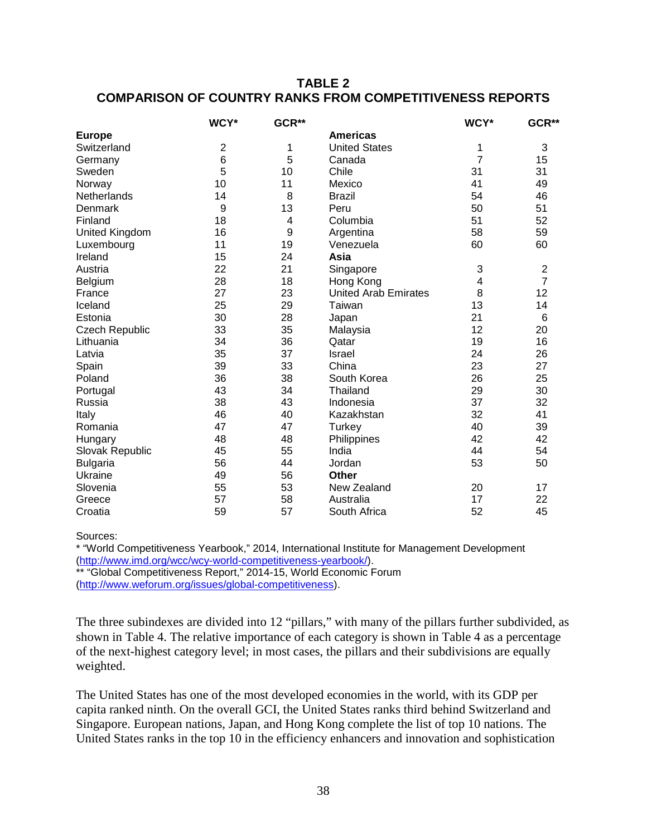## **TABLE 2 COMPARISON OF COUNTRY RANKS FROM COMPETITIVENESS REPORTS**

|                       | WCY*           | GCR** |                             | WCY*                    | GCR**                   |
|-----------------------|----------------|-------|-----------------------------|-------------------------|-------------------------|
| <b>Europe</b>         |                |       | <b>Americas</b>             |                         |                         |
| Switzerland           | $\overline{2}$ | 1     | <b>United States</b>        | 1                       | 3                       |
| Germany               | 6              | 5     | Canada                      | $\overline{7}$          | 15                      |
| Sweden                | 5              | 10    | Chile                       | 31                      | 31                      |
| Norway                | 10             | 11    | Mexico                      | 41                      | 49                      |
| Netherlands           | 14             | 8     | <b>Brazil</b>               | 54                      | 46                      |
| Denmark               | 9              | 13    | Peru                        | 50                      | 51                      |
| Finland               | 18             | 4     | Columbia                    | 51                      | 52                      |
| <b>United Kingdom</b> | 16             | 9     | Argentina                   | 58                      | 59                      |
| Luxembourg            | 11             | 19    | Venezuela                   | 60                      | 60                      |
| Ireland               | 15             | 24    | Asia                        |                         |                         |
| Austria               | 22             | 21    | Singapore                   | 3                       | $\overline{\mathbf{c}}$ |
| Belgium               | 28             | 18    | Hong Kong                   | $\overline{\mathbf{4}}$ | $\overline{7}$          |
| France                | 27             | 23    | <b>United Arab Emirates</b> | 8                       | 12                      |
| Iceland               | 25             | 29    | Taiwan                      | 13                      | 14                      |
| Estonia               | 30             | 28    | Japan                       | 21                      | $6\phantom{1}6$         |
| <b>Czech Republic</b> | 33             | 35    | Malaysia                    | 12                      | 20                      |
| Lithuania             | 34             | 36    | Qatar                       | 19                      | 16                      |
| Latvia                | 35             | 37    | Israel                      | 24                      | 26                      |
| Spain                 | 39             | 33    | China                       | 23                      | 27                      |
| Poland                | 36             | 38    | South Korea                 | 26                      | 25                      |
| Portugal              | 43             | 34    | Thailand                    | 29                      | 30                      |
| Russia                | 38             | 43    | Indonesia                   | 37                      | 32                      |
| Italy                 | 46             | 40    | Kazakhstan                  | 32                      | 41                      |
| Romania               | 47             | 47    | Turkey                      | 40                      | 39                      |
| Hungary               | 48             | 48    | Philippines                 | 42                      | 42                      |
| Slovak Republic       | 45             | 55    | India                       | 44                      | 54                      |
| <b>Bulgaria</b>       | 56             | 44    | Jordan                      | 53                      | 50                      |
| Ukraine               | 49             | 56    | <b>Other</b>                |                         |                         |
| Slovenia              | 55             | 53    | New Zealand                 | 20                      | 17                      |
| Greece                | 57             | 58    | Australia                   | 17                      | 22                      |
| Croatia               | 59             | 57    | South Africa                | 52                      | 45                      |

Sources:

\* "World Competitiveness Yearbook," 2014, International Institute for Management Development [\(http://www.imd.org/wcc/wcy-world-competitiveness-yearbook/\)](http://www.imd.org/wcc/wcy-world-competitiveness-yearbook/).

\*\* "Global Competitiveness Report," 2014-15, World Economic Forum [\(http://www.weforum.org/issues/global-competitiveness\)](http://www.weforum.org/issues/global-competitiveness).

The three subindexes are divided into 12 "pillars," with many of the pillars further subdivided, as shown in Table 4. The relative importance of each category is shown in Table 4 as a percentage of the next-highest category level; in most cases, the pillars and their subdivisions are equally weighted.

The United States has one of the most developed economies in the world, with its GDP per capita ranked ninth. On the overall GCI, the United States ranks third behind Switzerland and Singapore. European nations, Japan, and Hong Kong complete the list of top 10 nations. The United States ranks in the top 10 in the efficiency enhancers and innovation and sophistication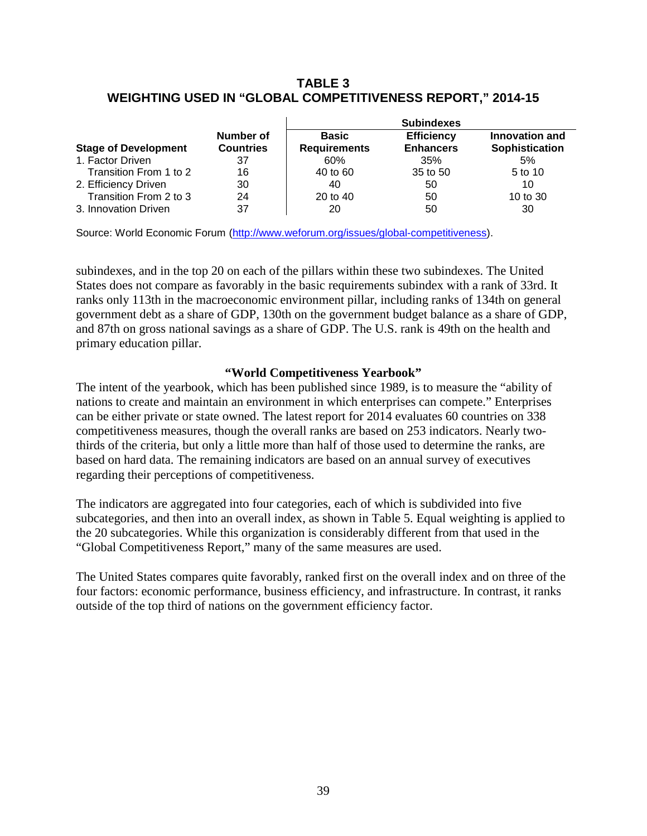## **TABLE 3 WEIGHTING USED IN "GLOBAL COMPETITIVENESS REPORT," 2014-15**

|                             |                               | <b>Subindexes</b>                   |                                       |                                  |  |  |
|-----------------------------|-------------------------------|-------------------------------------|---------------------------------------|----------------------------------|--|--|
| <b>Stage of Development</b> | Number of<br><b>Countries</b> | <b>Basic</b><br><b>Requirements</b> | <b>Efficiency</b><br><b>Enhancers</b> | Innovation and<br>Sophistication |  |  |
| 1. Factor Driven            | 37                            | 60%                                 | 35%                                   | 5%                               |  |  |
| Transition From 1 to 2      | 16                            | 40 to 60                            | 35 to 50                              | 5 to 10                          |  |  |
| 2. Efficiency Driven        | 30                            | 40                                  | 50                                    | 10                               |  |  |
| Transition From 2 to 3      | 24                            | 20 to 40                            | 50                                    | 10 to 30                         |  |  |
| 3. Innovation Driven        | 37                            | 20                                  | 50                                    | 30                               |  |  |

Source: World Economic Forum [\(http://www.weforum.org/issues/global-competitiveness\)](http://www.weforum.org/issues/global-competitiveness).

subindexes, and in the top 20 on each of the pillars within these two subindexes. The United States does not compare as favorably in the basic requirements subindex with a rank of 33rd. It ranks only 113th in the macroeconomic environment pillar, including ranks of 134th on general government debt as a share of GDP, 130th on the government budget balance as a share of GDP, and 87th on gross national savings as a share of GDP. The U.S. rank is 49th on the health and primary education pillar.

#### **"World Competitiveness Yearbook"**

The intent of the yearbook, which has been published since 1989, is to measure the "ability of nations to create and maintain an environment in which enterprises can compete." Enterprises can be either private or state owned. The latest report for 2014 evaluates 60 countries on 338 competitiveness measures, though the overall ranks are based on 253 indicators. Nearly twothirds of the criteria, but only a little more than half of those used to determine the ranks, are based on hard data. The remaining indicators are based on an annual survey of executives regarding their perceptions of competitiveness.

The indicators are aggregated into four categories, each of which is subdivided into five subcategories, and then into an overall index, as shown in Table 5. Equal weighting is applied to the 20 subcategories. While this organization is considerably different from that used in the "Global Competitiveness Report," many of the same measures are used.

The United States compares quite favorably, ranked first on the overall index and on three of the four factors: economic performance, business efficiency, and infrastructure. In contrast, it ranks outside of the top third of nations on the government efficiency factor.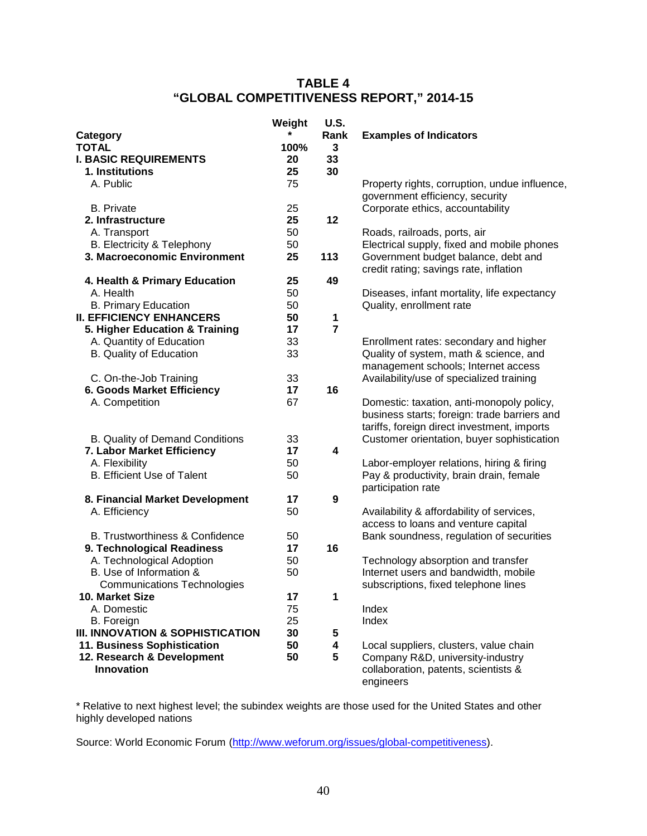## **TABLE 4 "GLOBAL COMPETITIVENESS REPORT," 2014-15**

|                                            | Weight | <b>U.S.</b>             |                                               |
|--------------------------------------------|--------|-------------------------|-----------------------------------------------|
| Category                                   |        | Rank                    | <b>Examples of Indicators</b>                 |
| <b>TOTAL</b>                               | 100%   | $\mathbf 3$             |                                               |
| <b>I. BASIC REQUIREMENTS</b>               | 20     | 33                      |                                               |
| 1. Institutions                            | 25     | 30                      |                                               |
| A. Public                                  | 75     |                         | Property rights, corruption, undue influence, |
|                                            |        |                         | government efficiency, security               |
| <b>B.</b> Private                          | 25     |                         | Corporate ethics, accountability              |
| 2. Infrastructure                          | 25     | 12                      |                                               |
| A. Transport                               | 50     |                         | Roads, railroads, ports, air                  |
| B. Electricity & Telephony                 | 50     |                         | Electrical supply, fixed and mobile phones    |
| 3. Macroeconomic Environment               | 25     | 113                     | Government budget balance, debt and           |
|                                            |        |                         | credit rating; savings rate, inflation        |
| 4. Health & Primary Education              | 25     | 49                      |                                               |
| A. Health                                  | 50     |                         | Diseases, infant mortality, life expectancy   |
| <b>B. Primary Education</b>                | 50     |                         | Quality, enrollment rate                      |
| <b>II. EFFICIENCY ENHANCERS</b>            | 50     | $\mathbf 1$             |                                               |
| 5. Higher Education & Training             | 17     | $\overline{7}$          |                                               |
| A. Quantity of Education                   | 33     |                         | Enrollment rates: secondary and higher        |
| <b>B.</b> Quality of Education             | 33     |                         | Quality of system, math & science, and        |
|                                            |        |                         | management schools; Internet access           |
| C. On-the-Job Training                     | 33     |                         | Availability/use of specialized training      |
| 6. Goods Market Efficiency                 | 17     | 16                      |                                               |
| A. Competition                             | 67     |                         | Domestic: taxation, anti-monopoly policy,     |
|                                            |        |                         | business starts; foreign: trade barriers and  |
|                                            |        |                         | tariffs, foreign direct investment, imports   |
| B. Quality of Demand Conditions            | 33     |                         | Customer orientation, buyer sophistication    |
| 7. Labor Market Efficiency                 | 17     | $\overline{\mathbf{4}}$ |                                               |
| A. Flexibility                             | 50     |                         | Labor-employer relations, hiring & firing     |
| <b>B. Efficient Use of Talent</b>          | 50     |                         | Pay & productivity, brain drain, female       |
|                                            |        |                         | participation rate                            |
| 8. Financial Market Development            | 17     | $\boldsymbol{9}$        |                                               |
| A. Efficiency                              | 50     |                         | Availability & affordability of services,     |
|                                            |        |                         | access to loans and venture capital           |
| <b>B. Trustworthiness &amp; Confidence</b> | 50     |                         | Bank soundness, regulation of securities      |
| 9. Technological Readiness                 | 17     | 16                      |                                               |
| A. Technological Adoption                  | 50     |                         | Technology absorption and transfer            |
| B. Use of Information &                    | 50     |                         | Internet users and bandwidth, mobile          |
| <b>Communications Technologies</b>         |        |                         | subscriptions, fixed telephone lines          |
| 10. Market Size                            | 17     | $\mathbf{1}$            |                                               |
| A. Domestic                                | 75     |                         | Index                                         |
| B. Foreign                                 | 25     |                         | Index                                         |
| III. INNOVATION & SOPHISTICATION           | 30     | 5                       |                                               |
| 11. Business Sophistication                | 50     | 4                       | Local suppliers, clusters, value chain        |
| 12. Research & Development                 | 50     | 5                       | Company R&D, university-industry              |
| <b>Innovation</b>                          |        |                         | collaboration, patents, scientists &          |
|                                            |        |                         | engineers                                     |

\* Relative to next highest level; the subindex weights are those used for the United States and other highly developed nations

Source: World Economic Forum [\(http://www.weforum.org/issues/global-competitiveness\)](http://www.weforum.org/issues/global-competitiveness).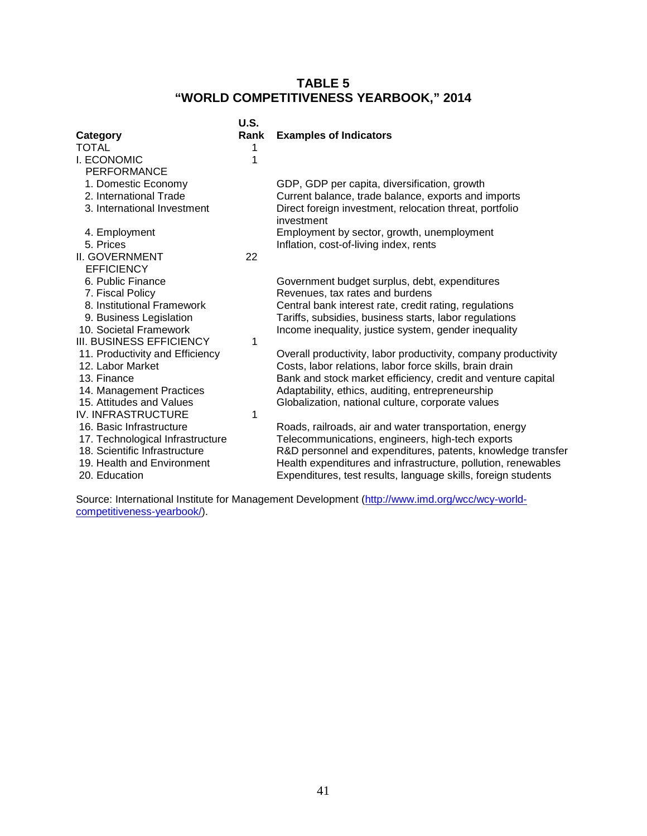# **TABLE 5 "WORLD COMPETITIVENESS YEARBOOK," 2014**

|                                                                   | U.S. |                                                                                                                 |
|-------------------------------------------------------------------|------|-----------------------------------------------------------------------------------------------------------------|
| Category                                                          | Rank | <b>Examples of Indicators</b>                                                                                   |
| TOTAL                                                             |      |                                                                                                                 |
| <b>I. ECONOMIC</b>                                                | 1    |                                                                                                                 |
| <b>PERFORMANCE</b>                                                |      |                                                                                                                 |
| 1. Domestic Economy                                               |      | GDP, GDP per capita, diversification, growth                                                                    |
| 2. International Trade                                            |      | Current balance, trade balance, exports and imports                                                             |
| 3. International Investment                                       |      | Direct foreign investment, relocation threat, portfolio<br>investment                                           |
| 4. Employment                                                     |      | Employment by sector, growth, unemployment                                                                      |
| 5. Prices                                                         |      | Inflation, cost-of-living index, rents                                                                          |
| <b>II. GOVERNMENT</b>                                             | 22   |                                                                                                                 |
| <b>EFFICIENCY</b>                                                 |      |                                                                                                                 |
| 6. Public Finance                                                 |      | Government budget surplus, debt, expenditures                                                                   |
| 7. Fiscal Policy                                                  |      | Revenues, tax rates and burdens                                                                                 |
| 8. Institutional Framework                                        |      | Central bank interest rate, credit rating, regulations                                                          |
| 9. Business Legislation                                           |      | Tariffs, subsidies, business starts, labor regulations                                                          |
| 10. Societal Framework                                            |      | Income inequality, justice system, gender inequality                                                            |
| III. BUSINESS EFFICIENCY                                          | 1    |                                                                                                                 |
| 11. Productivity and Efficiency                                   |      | Overall productivity, labor productivity, company productivity                                                  |
| 12. Labor Market                                                  |      | Costs, labor relations, labor force skills, brain drain                                                         |
| 13. Finance                                                       |      | Bank and stock market efficiency, credit and venture capital                                                    |
| 14. Management Practices                                          |      | Adaptability, ethics, auditing, entrepreneurship                                                                |
| 15. Attitudes and Values                                          |      | Globalization, national culture, corporate values                                                               |
| <b>IV. INFRASTRUCTURE</b>                                         | 1    |                                                                                                                 |
| 16. Basic Infrastructure                                          |      | Roads, railroads, air and water transportation, energy                                                          |
| 17. Technological Infrastructure<br>18. Scientific Infrastructure |      | Telecommunications, engineers, high-tech exports<br>R&D personnel and expenditures, patents, knowledge transfer |
| 19. Health and Environment                                        |      | Health expenditures and infrastructure, pollution, renewables                                                   |
| 20. Education                                                     |      | Expenditures, test results, language skills, foreign students                                                   |
|                                                                   |      |                                                                                                                 |

Source: International Institute for Management Development (<u>http://www.imd.org/wcc/wcy-world-</u> [competitiveness-yearbook/\)](http://www.imd.org/wcc/wcy-world-competitiveness-yearbook/).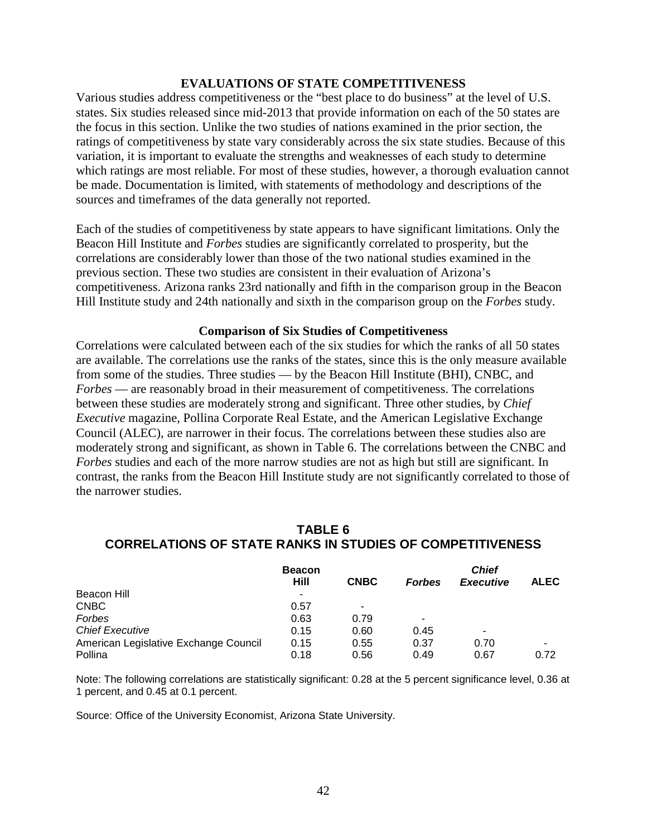#### **EVALUATIONS OF STATE COMPETITIVENESS**

Various studies address competitiveness or the "best place to do business" at the level of U.S. states. Six studies released since mid-2013 that provide information on each of the 50 states are the focus in this section. Unlike the two studies of nations examined in the prior section, the ratings of competitiveness by state vary considerably across the six state studies. Because of this variation, it is important to evaluate the strengths and weaknesses of each study to determine which ratings are most reliable. For most of these studies, however, a thorough evaluation cannot be made. Documentation is limited, with statements of methodology and descriptions of the sources and timeframes of the data generally not reported.

Each of the studies of competitiveness by state appears to have significant limitations. Only the Beacon Hill Institute and *Forbes* studies are significantly correlated to prosperity, but the correlations are considerably lower than those of the two national studies examined in the previous section. These two studies are consistent in their evaluation of Arizona's competitiveness. Arizona ranks 23rd nationally and fifth in the comparison group in the Beacon Hill Institute study and 24th nationally and sixth in the comparison group on the *Forbes* study.

#### **Comparison of Six Studies of Competitiveness**

Correlations were calculated between each of the six studies for which the ranks of all 50 states are available. The correlations use the ranks of the states, since this is the only measure available from some of the studies. Three studies — by the Beacon Hill Institute (BHI), CNBC, and *Forbes* — are reasonably broad in their measurement of competitiveness. The correlations between these studies are moderately strong and significant. Three other studies, by *Chief Executive* magazine, Pollina Corporate Real Estate, and the American Legislative Exchange Council (ALEC), are narrower in their focus. The correlations between these studies also are moderately strong and significant, as shown in Table 6. The correlations between the CNBC and *Forbes* studies and each of the more narrow studies are not as high but still are significant. In contrast, the ranks from the Beacon Hill Institute study are not significantly correlated to those of the narrower studies.

## **TABLE 6 CORRELATIONS OF STATE RANKS IN STUDIES OF COMPETITIVENESS**

|                                       | <b>Beacon</b> |             |               | <b>Chief</b>     |             |
|---------------------------------------|---------------|-------------|---------------|------------------|-------------|
|                                       | Hill          | <b>CNBC</b> | <b>Forbes</b> | <b>Executive</b> | <b>ALEC</b> |
| Beacon Hill                           | ٠             |             |               |                  |             |
| CNBC                                  | 0.57          | ۰           |               |                  |             |
| Forbes                                | 0.63          | 0.79        | ۰             |                  |             |
| <b>Chief Executive</b>                | 0.15          | 0.60        | 0.45          | -                |             |
| American Legislative Exchange Council | 0.15          | 0.55        | 0.37          | 0.70             | ۰           |
| Pollina                               | 0.18          | 0.56        | 0.49          | 0.67             | 0.72        |

Note: The following correlations are statistically significant: 0.28 at the 5 percent significance level, 0.36 at 1 percent, and 0.45 at 0.1 percent.

Source: Office of the University Economist, Arizona State University.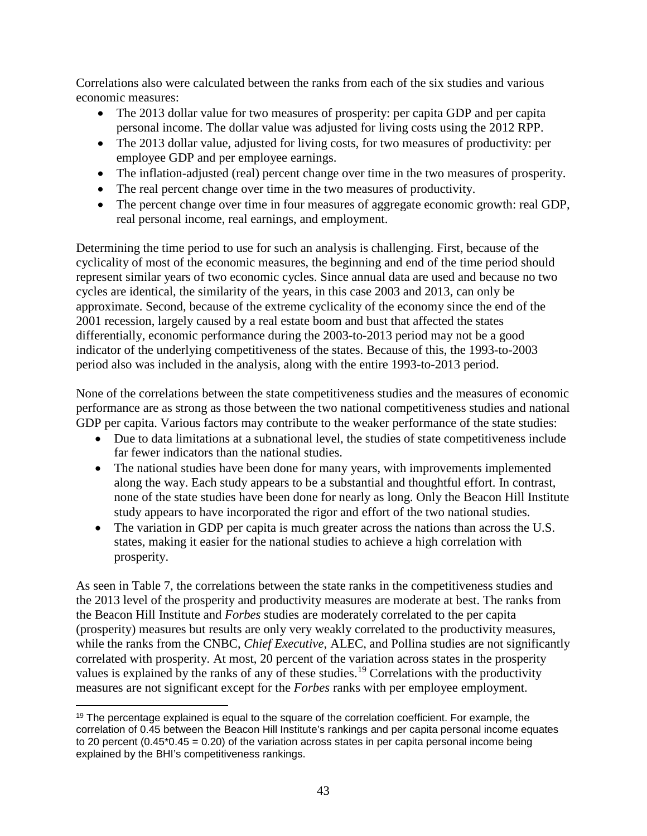Correlations also were calculated between the ranks from each of the six studies and various economic measures:

- The 2013 dollar value for two measures of prosperity: per capita GDP and per capita personal income. The dollar value was adjusted for living costs using the 2012 RPP.
- The 2013 dollar value, adjusted for living costs, for two measures of productivity: per employee GDP and per employee earnings.
- The inflation-adjusted (real) percent change over time in the two measures of prosperity.
- The real percent change over time in the two measures of productivity.
- The percent change over time in four measures of aggregate economic growth: real GDP, real personal income, real earnings, and employment.

Determining the time period to use for such an analysis is challenging. First, because of the cyclicality of most of the economic measures, the beginning and end of the time period should represent similar years of two economic cycles. Since annual data are used and because no two cycles are identical, the similarity of the years, in this case 2003 and 2013, can only be approximate. Second, because of the extreme cyclicality of the economy since the end of the 2001 recession, largely caused by a real estate boom and bust that affected the states differentially, economic performance during the 2003-to-2013 period may not be a good indicator of the underlying competitiveness of the states. Because of this, the 1993-to-2003 period also was included in the analysis, along with the entire 1993-to-2013 period.

None of the correlations between the state competitiveness studies and the measures of economic performance are as strong as those between the two national competitiveness studies and national GDP per capita. Various factors may contribute to the weaker performance of the state studies:

- Due to data limitations at a subnational level, the studies of state competitiveness include far fewer indicators than the national studies.
- The national studies have been done for many years, with improvements implemented along the way. Each study appears to be a substantial and thoughtful effort. In contrast, none of the state studies have been done for nearly as long. Only the Beacon Hill Institute study appears to have incorporated the rigor and effort of the two national studies.
- The variation in GDP per capita is much greater across the nations than across the U.S. states, making it easier for the national studies to achieve a high correlation with prosperity.

As seen in Table 7, the correlations between the state ranks in the competitiveness studies and the 2013 level of the prosperity and productivity measures are moderate at best. The ranks from the Beacon Hill Institute and *Forbes* studies are moderately correlated to the per capita (prosperity) measures but results are only very weakly correlated to the productivity measures, while the ranks from the CNBC, *Chief Executive*, ALEC, and Pollina studies are not significantly correlated with prosperity. At most, 20 percent of the variation across states in the prosperity values is explained by the ranks of any of these studies.[19](#page-44-0) Correlations with the productivity measures are not significant except for the *Forbes* ranks with per employee employment.

<span id="page-44-0"></span><sup>&</sup>lt;sup>19</sup> The percentage explained is equal to the square of the correlation coefficient. For example, the correlation of 0.45 between the Beacon Hill Institute's rankings and per capita personal income equates to 20 percent  $(0.45<sup>*</sup>0.45 = 0.20)$  of the variation across states in per capita personal income being explained by the BHI's competitiveness rankings. l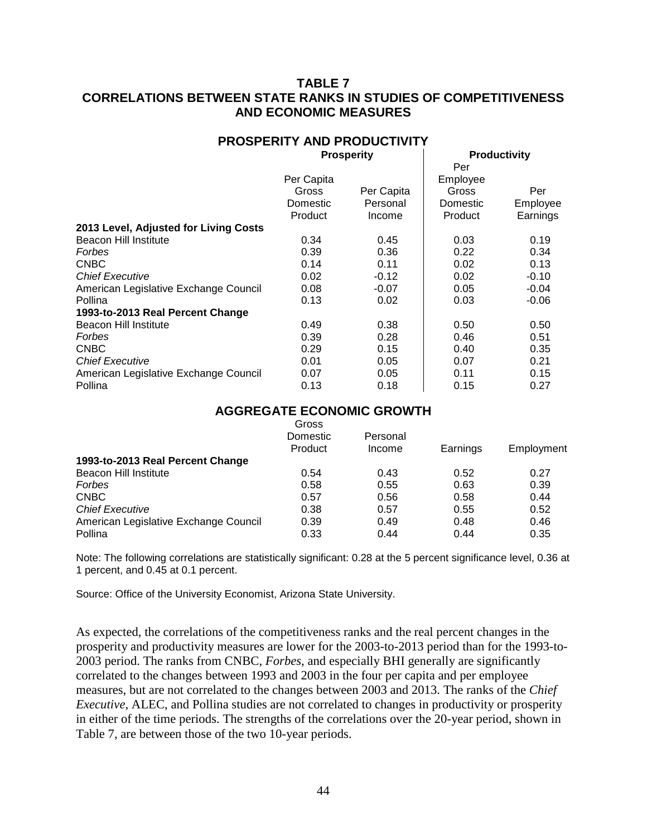## **TABLE 7 CORRELATIONS BETWEEN STATE RANKS IN STUDIES OF COMPETITIVENESS AND ECONOMIC MEASURES**

# **PROSPERITY AND PRODUCTIVITY**

**Prosperity Productivity**

|            |            | Per      |          |
|------------|------------|----------|----------|
| Per Capita |            | Employee |          |
| Gross      | Per Capita | Gross    | Per      |
| Domestic   | Personal   | Domestic | Employee |
| Product    | Income     | Product  | Earnings |
|            |            |          |          |
| 0.34       | 0.45       | 0.03     | 0.19     |
| 0.39       | 0.36       | 0.22     | 0.34     |
| 0.14       | 0.11       | 0.02     | 0.13     |
| 0.02       | $-0.12$    | 0.02     | $-0.10$  |
| 0.08       | $-0.07$    | 0.05     | $-0.04$  |
| 0.13       | 0.02       | 0.03     | $-0.06$  |
|            |            |          |          |
| 0.49       | 0.38       | 0.50     | 0.50     |
| 0.39       | 0.28       | 0.46     | 0.51     |
| 0.29       | 0.15       | 0.40     | 0.35     |
| 0.01       | 0.05       | 0.07     | 0.21     |
| 0.07       | 0.05       | 0.11     | 0.15     |
| 0.13       | 0.18       | 0.15     | 0.27     |
|            |            |          |          |

#### **AGGREGATE ECONOMIC GROWTH**

|                                       | Gross<br>Domestic | Personal |          |            |
|---------------------------------------|-------------------|----------|----------|------------|
|                                       | Product           | Income   | Earnings | Employment |
| 1993-to-2013 Real Percent Change      |                   |          |          |            |
| Beacon Hill Institute                 | 0.54              | 0.43     | 0.52     | 0.27       |
| Forbes                                | 0.58              | 0.55     | 0.63     | 0.39       |
| <b>CNBC</b>                           | 0.57              | 0.56     | 0.58     | 0.44       |
| <b>Chief Executive</b>                | 0.38              | 0.57     | 0.55     | 0.52       |
| American Legislative Exchange Council | 0.39              | 0.49     | 0.48     | 0.46       |
| Pollina                               | 0.33              | 0.44     | 0.44     | 0.35       |

Note: The following correlations are statistically significant: 0.28 at the 5 percent significance level, 0.36 at 1 percent, and 0.45 at 0.1 percent.

Source: Office of the University Economist, Arizona State University.

As expected, the correlations of the competitiveness ranks and the real percent changes in the prosperity and productivity measures are lower for the 2003-to-2013 period than for the 1993-to-2003 period. The ranks from CNBC, *Forbes*, and especially BHI generally are significantly correlated to the changes between 1993 and 2003 in the four per capita and per employee measures, but are not correlated to the changes between 2003 and 2013. The ranks of the *Chief Executive*, ALEC, and Pollina studies are not correlated to changes in productivity or prosperity in either of the time periods. The strengths of the correlations over the 20-year period, shown in Table 7, are between those of the two 10-year periods.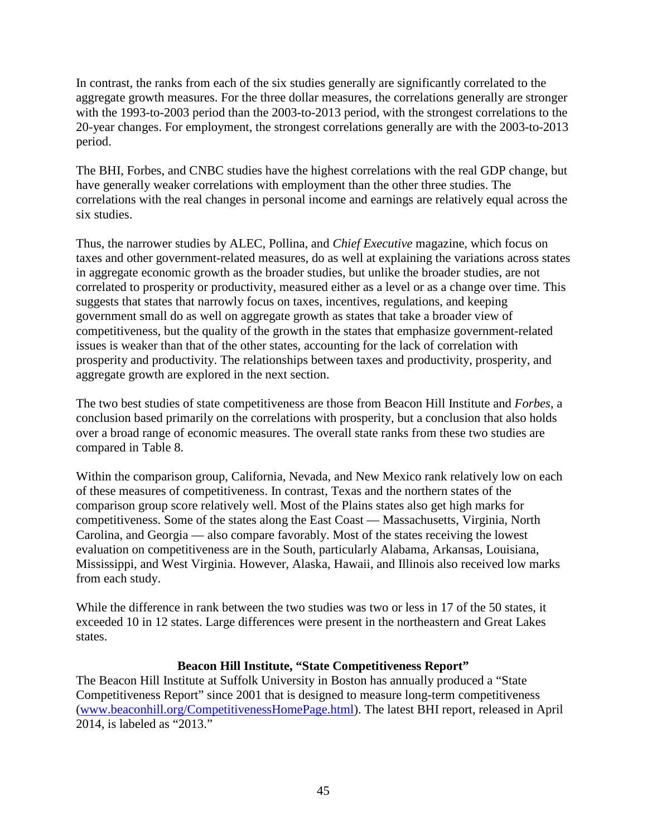In contrast, the ranks from each of the six studies generally are significantly correlated to the aggregate growth measures. For the three dollar measures, the correlations generally are stronger with the 1993-to-2003 period than the 2003-to-2013 period, with the strongest correlations to the 20-year changes. For employment, the strongest correlations generally are with the 2003-to-2013 period.

The BHI, Forbes, and CNBC studies have the highest correlations with the real GDP change, but have generally weaker correlations with employment than the other three studies. The correlations with the real changes in personal income and earnings are relatively equal across the six studies.

Thus, the narrower studies by ALEC, Pollina, and *Chief Executive* magazine, which focus on taxes and other government-related measures, do as well at explaining the variations across states in aggregate economic growth as the broader studies, but unlike the broader studies, are not correlated to prosperity or productivity, measured either as a level or as a change over time. This suggests that states that narrowly focus on taxes, incentives, regulations, and keeping government small do as well on aggregate growth as states that take a broader view of competitiveness, but the quality of the growth in the states that emphasize government-related issues is weaker than that of the other states, accounting for the lack of correlation with prosperity and productivity. The relationships between taxes and productivity, prosperity, and aggregate growth are explored in the next section.

The two best studies of state competitiveness are those from Beacon Hill Institute and *Forbes*, a conclusion based primarily on the correlations with prosperity, but a conclusion that also holds over a broad range of economic measures. The overall state ranks from these two studies are compared in Table 8.

Within the comparison group, California, Nevada, and New Mexico rank relatively low on each of these measures of competitiveness. In contrast, Texas and the northern states of the comparison group score relatively well. Most of the Plains states also get high marks for competitiveness. Some of the states along the East Coast — Massachusetts, Virginia, North Carolina, and Georgia — also compare favorably. Most of the states receiving the lowest evaluation on competitiveness are in the South, particularly Alabama, Arkansas, Louisiana, Mississippi, and West Virginia. However, Alaska, Hawaii, and Illinois also received low marks from each study.

While the difference in rank between the two studies was two or less in 17 of the 50 states, it exceeded 10 in 12 states. Large differences were present in the northeastern and Great Lakes states.

## **Beacon Hill Institute, "State Competitiveness Report"**

The Beacon Hill Institute at Suffolk University in Boston has annually produced a "State Competitiveness Report" since 2001 that is designed to measure long-term competitiveness [\(www.beaconhill.org/CompetitivenessHomePage.html\)](http://www.beaconhill.org/CompetitivenessHomePage.html). The latest BHI report, released in April 2014, is labeled as "2013."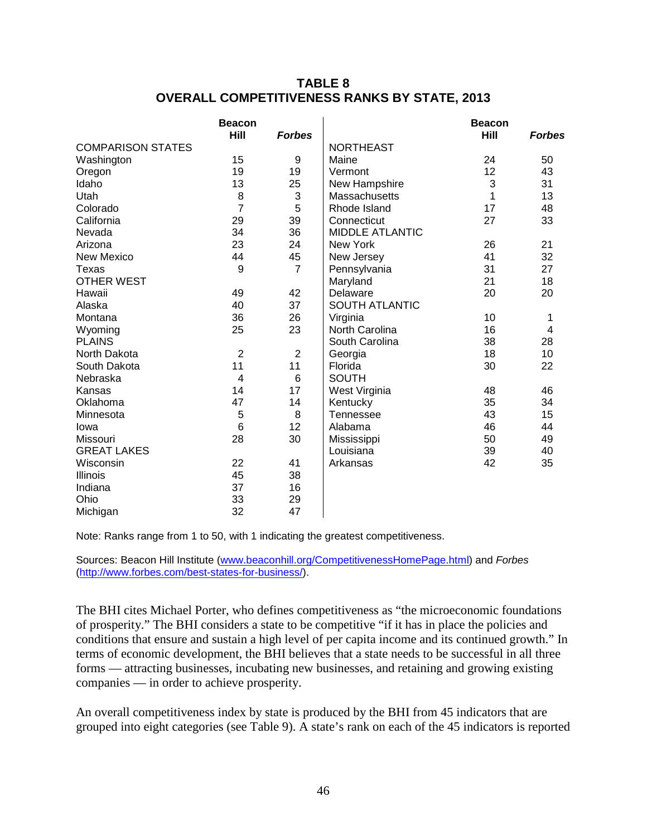## **TABLE 8 OVERALL COMPETITIVENESS RANKS BY STATE, 2013**

|                          | <b>Beacon</b><br>Hill   | <b>Forbes</b>   |                        | <b>Beacon</b><br>Hill | <b>Forbes</b> |
|--------------------------|-------------------------|-----------------|------------------------|-----------------------|---------------|
| <b>COMPARISON STATES</b> |                         |                 | <b>NORTHEAST</b>       |                       |               |
| Washington               | 15                      | 9               | Maine                  | 24                    | 50            |
| Oregon                   | 19                      | 19              | Vermont                | 12                    | 43            |
| Idaho                    | 13                      | 25              | New Hampshire          | 3                     | 31            |
| Utah                     | 8                       | 3               | Massachusetts          | 1                     | 13            |
| Colorado                 | $\overline{7}$          | 5               | Rhode Island           | 17                    | 48            |
| California               | 29                      | 39              | Connecticut            | 27                    | 33            |
| Nevada                   | 34                      | 36              | <b>MIDDLE ATLANTIC</b> |                       |               |
| Arizona                  | 23                      | 24              | New York               | 26                    | 21            |
| <b>New Mexico</b>        | 44                      | 45              | New Jersey             | 41                    | 32            |
| Texas                    | 9                       | $\overline{7}$  | Pennsylvania           | 31                    | 27            |
| <b>OTHER WEST</b>        |                         |                 | Maryland               | 21                    | 18            |
| Hawaii                   | 49                      | 42              | Delaware               | 20                    | 20            |
| Alaska                   | 40                      | 37              | <b>SOUTH ATLANTIC</b>  |                       |               |
| Montana                  | 36                      | 26              | Virginia               | 10                    | 1             |
| Wyoming                  | 25                      | 23              | North Carolina         | 16                    | 4             |
| <b>PLAINS</b>            |                         |                 | South Carolina         | 38                    | 28            |
| North Dakota             | $\overline{2}$          | $\overline{2}$  | Georgia                | 18                    | 10            |
| South Dakota             | 11                      | 11              | Florida                | 30                    | 22            |
| Nebraska                 | $\overline{\mathbf{4}}$ | $6\phantom{1}6$ | <b>SOUTH</b>           |                       |               |
| Kansas                   | 14                      | 17              | West Virginia          | 48                    | 46            |
| Oklahoma                 | 47                      | 14              | Kentucky               | 35                    | 34            |
| Minnesota                | 5                       | 8               | Tennessee              | 43                    | 15            |
| lowa                     | $6\phantom{1}6$         | 12              | Alabama                | 46                    | 44            |
| Missouri                 | 28                      | 30              | Mississippi            | 50                    | 49            |
| <b>GREAT LAKES</b>       |                         |                 | Louisiana              | 39                    | 40            |
| Wisconsin                | 22                      | 41              | Arkansas               | 42                    | 35            |
| Illinois                 | 45                      | 38              |                        |                       |               |
| Indiana                  | 37                      | 16              |                        |                       |               |
| Ohio                     | 33                      | 29              |                        |                       |               |
| Michigan                 | 32                      | 47              |                        |                       |               |

Note: Ranks range from 1 to 50, with 1 indicating the greatest competitiveness.

Sources: Beacon Hill Institute [\(www.beaconhill.org/CompetitivenessHomePage.html\)](http://www.beaconhill.org/CompetitivenessHomePage.html) and *Forbes* [\(http://www.forbes.com/best-states-for-business/\)](http://www.forbes.com/best-states-for-business/).

The BHI cites Michael Porter, who defines competitiveness as "the microeconomic foundations of prosperity." The BHI considers a state to be competitive "if it has in place the policies and conditions that ensure and sustain a high level of per capita income and its continued growth." In terms of economic development, the BHI believes that a state needs to be successful in all three forms — attracting businesses, incubating new businesses, and retaining and growing existing companies — in order to achieve prosperity.

An overall competitiveness index by state is produced by the BHI from 45 indicators that are grouped into eight categories (see Table 9). A state's rank on each of the 45 indicators is reported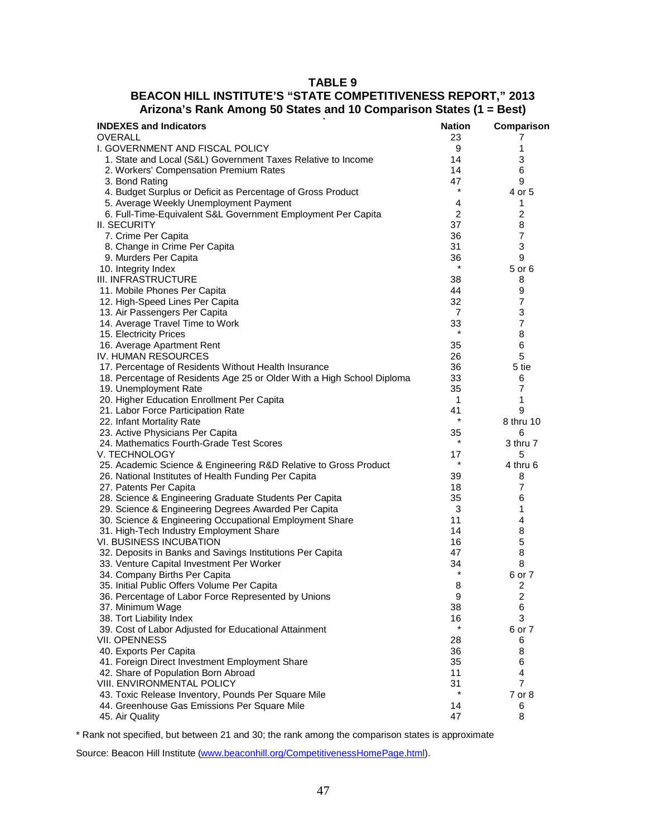#### **TABLE 9**

## **BEACON HILL INSTITUTE'S "STATE COMPETITIVENESS REPORT," 2013 Arizona's Rank Among 50 States and 10 Comparison States (1 = Best)**

| <b>INDEXES and Indicators</b><br>OVERALL                                   | <b>Nation</b><br>23 | Comparison<br>7         |
|----------------------------------------------------------------------------|---------------------|-------------------------|
| I. GOVERNMENT AND FISCAL POLICY                                            | 9                   | 1                       |
| 1. State and Local (S&L) Government Taxes Relative to Income               | 14                  | 3                       |
| 2. Workers' Compensation Premium Rates                                     | 14                  | 6                       |
| 3. Bond Rating                                                             | 47                  | 9                       |
| 4. Budget Surplus or Deficit as Percentage of Gross Product                | $\star$             | 4 or 5                  |
| 5. Average Weekly Unemployment Payment                                     | 4                   | 1                       |
| 6. Full-Time-Equivalent S&L Government Employment Per Capita               | 2                   | $\overline{2}$          |
| <b>II. SECURITY</b>                                                        | 37                  | 8                       |
| 7. Crime Per Capita                                                        | 36                  | $\overline{7}$          |
| 8. Change in Crime Per Capita                                              | 31                  | 3                       |
| 9. Murders Per Capita                                                      | 36                  | 9                       |
| 10. Integrity Index                                                        |                     | 5 or 6                  |
| III. INFRASTRUCTURE                                                        | 38                  | 8                       |
| 11. Mobile Phones Per Capita                                               | 44                  | 9                       |
| 12. High-Speed Lines Per Capita                                            | 32                  | $\overline{7}$          |
| 13. Air Passengers Per Capita                                              | 7                   | 3                       |
| 14. Average Travel Time to Work                                            | 33                  | $\overline{7}$          |
| 15. Electricity Prices                                                     | $\star$             | 8                       |
| 16. Average Apartment Rent                                                 | 35                  | 6                       |
| <b>IV. HUMAN RESOURCES</b>                                                 | 26                  | 5                       |
| 17. Percentage of Residents Without Health Insurance                       | 36                  | 5 tie                   |
| 18. Percentage of Residents Age 25 or Older With a High School Diploma     | 33                  | 6                       |
| 19. Unemployment Rate                                                      | 35                  | $\overline{7}$          |
| 20. Higher Education Enrollment Per Capita                                 | $\mathbf{1}$        | 1                       |
| 21. Labor Force Participation Rate                                         | 41                  | 9                       |
| 22. Infant Mortality Rate                                                  | $\star$             | 8 thru 10               |
| 23. Active Physicians Per Capita                                           | 35                  | 6                       |
| 24. Mathematics Fourth-Grade Test Scores                                   | $\star$             | 3 thru 7                |
| V. TECHNOLOGY                                                              | 17                  | 5                       |
| 25. Academic Science & Engineering R&D Relative to Gross Product           | $\star$             | 4 thru 6                |
| 26. National Institutes of Health Funding Per Capita                       | 39                  | 8                       |
| 27. Patents Per Capita                                                     | 18                  | 7                       |
| 28. Science & Engineering Graduate Students Per Capita                     | 35                  | 6                       |
| 29. Science & Engineering Degrees Awarded Per Capita                       | 3                   | 1                       |
| 30. Science & Engineering Occupational Employment Share                    | 11                  | 4                       |
| 31. High-Tech Industry Employment Share                                    | 14                  | 8                       |
| <b>VI. BUSINESS INCUBATION</b>                                             | 16                  | 5                       |
| 32. Deposits in Banks and Savings Institutions Per Capita                  | 47                  | 8                       |
| 33. Venture Capital Investment Per Worker<br>34. Company Births Per Capita | 34<br>$\star$       | 8<br>6 or 7             |
| 35. Initial Public Offers Volume Per Capita                                | 8                   | 2                       |
| 36. Percentage of Labor Force Represented by Unions                        | 9                   | $\overline{\mathbf{c}}$ |
| 37. Minimum Wage                                                           | 38                  | 6                       |
| 38. Tort Liability Index                                                   | 16                  | 3                       |
| 39. Cost of Labor Adjusted for Educational Attainment                      |                     | 6 or 7                  |
| <b>VII. OPENNESS</b>                                                       | 28                  | 6                       |
| 40. Exports Per Capita                                                     | 36                  | 8                       |
| 41. Foreign Direct Investment Employment Share                             | 35                  | 6                       |
| 42. Share of Population Born Abroad                                        | 11                  | 4                       |
| VIII. ENVIRONMENTAL POLICY                                                 | 31                  | 7                       |
| 43. Toxic Release Inventory, Pounds Per Square Mile                        | $\star$             | 7 or 8                  |
| 44. Greenhouse Gas Emissions Per Square Mile                               | 14                  | 6                       |
| 45. Air Quality                                                            | 47                  | 8                       |

\* Rank not specified, but between 21 and 30; the rank among the comparison states is approximate

Source: Beacon Hill Institute [\(www.beaconhill.org/CompetitivenessHomePage.html\)](http://www.beaconhill.org/CompetitivenessHomePage.html).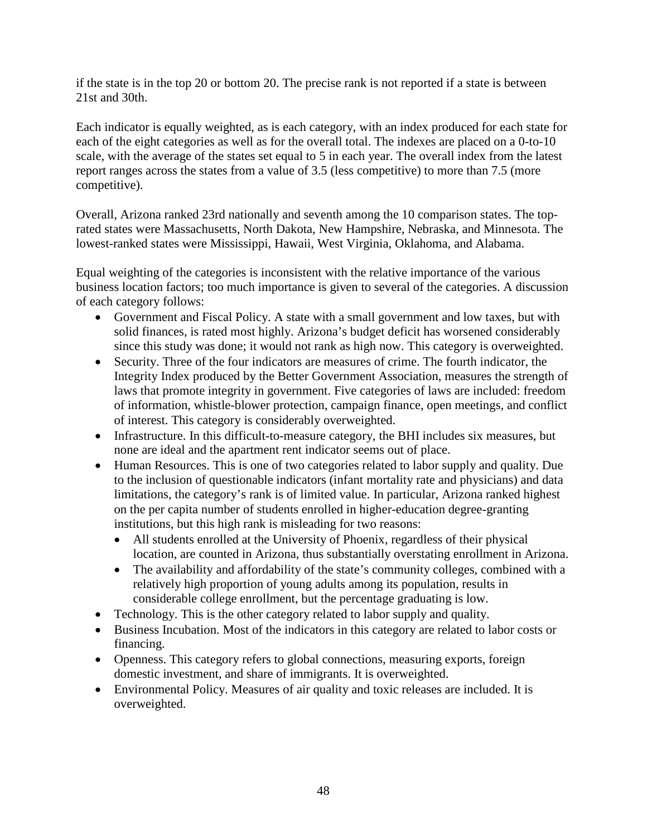if the state is in the top 20 or bottom 20. The precise rank is not reported if a state is between 21st and 30th.

Each indicator is equally weighted, as is each category, with an index produced for each state for each of the eight categories as well as for the overall total. The indexes are placed on a 0-to-10 scale, with the average of the states set equal to 5 in each year. The overall index from the latest report ranges across the states from a value of 3.5 (less competitive) to more than 7.5 (more competitive).

Overall, Arizona ranked 23rd nationally and seventh among the 10 comparison states. The toprated states were Massachusetts, North Dakota, New Hampshire, Nebraska, and Minnesota. The lowest-ranked states were Mississippi, Hawaii, West Virginia, Oklahoma, and Alabama.

Equal weighting of the categories is inconsistent with the relative importance of the various business location factors; too much importance is given to several of the categories. A discussion of each category follows:

- Government and Fiscal Policy. A state with a small government and low taxes, but with solid finances, is rated most highly. Arizona's budget deficit has worsened considerably since this study was done; it would not rank as high now. This category is overweighted.
- Security. Three of the four indicators are measures of crime. The fourth indicator, the Integrity Index produced by the Better Government Association, measures the strength of laws that promote integrity in government. Five categories of laws are included: freedom of information, whistle-blower protection, campaign finance, open meetings, and conflict of interest. This category is considerably overweighted.
- Infrastructure. In this difficult-to-measure category, the BHI includes six measures, but none are ideal and the apartment rent indicator seems out of place.
- Human Resources. This is one of two categories related to labor supply and quality. Due to the inclusion of questionable indicators (infant mortality rate and physicians) and data limitations, the category's rank is of limited value. In particular, Arizona ranked highest on the per capita number of students enrolled in higher-education degree-granting institutions, but this high rank is misleading for two reasons:
	- All students enrolled at the University of Phoenix, regardless of their physical location, are counted in Arizona, thus substantially overstating enrollment in Arizona.
	- The availability and affordability of the state's community colleges, combined with a relatively high proportion of young adults among its population, results in considerable college enrollment, but the percentage graduating is low.
- Technology. This is the other category related to labor supply and quality.
- Business Incubation. Most of the indicators in this category are related to labor costs or financing.
- Openness. This category refers to global connections, measuring exports, foreign domestic investment, and share of immigrants. It is overweighted.
- Environmental Policy. Measures of air quality and toxic releases are included. It is overweighted.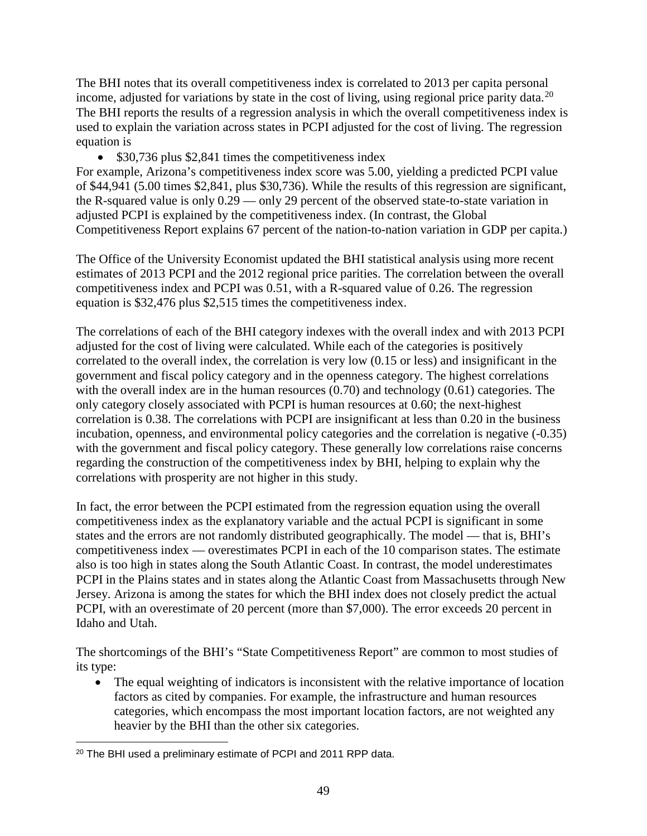The BHI notes that its overall competitiveness index is correlated to 2013 per capita personal income, adjusted for variations by state in the cost of living, using regional price parity data.<sup>[20](#page-50-0)</sup> The BHI reports the results of a regression analysis in which the overall competitiveness index is used to explain the variation across states in PCPI adjusted for the cost of living. The regression equation is

• \$30,736 plus \$2,841 times the competitiveness index

For example, Arizona's competitiveness index score was 5.00, yielding a predicted PCPI value of \$44,941 (5.00 times \$2,841, plus \$30,736). While the results of this regression are significant, the R-squared value is only 0.29 — only 29 percent of the observed state-to-state variation in adjusted PCPI is explained by the competitiveness index. (In contrast, the Global Competitiveness Report explains 67 percent of the nation-to-nation variation in GDP per capita.)

The Office of the University Economist updated the BHI statistical analysis using more recent estimates of 2013 PCPI and the 2012 regional price parities. The correlation between the overall competitiveness index and PCPI was 0.51, with a R-squared value of 0.26. The regression equation is \$32,476 plus \$2,515 times the competitiveness index.

The correlations of each of the BHI category indexes with the overall index and with 2013 PCPI adjusted for the cost of living were calculated. While each of the categories is positively correlated to the overall index, the correlation is very low (0.15 or less) and insignificant in the government and fiscal policy category and in the openness category. The highest correlations with the overall index are in the human resources (0.70) and technology (0.61) categories. The only category closely associated with PCPI is human resources at 0.60; the next-highest correlation is 0.38. The correlations with PCPI are insignificant at less than 0.20 in the business incubation, openness, and environmental policy categories and the correlation is negative (-0.35) with the government and fiscal policy category. These generally low correlations raise concerns regarding the construction of the competitiveness index by BHI, helping to explain why the correlations with prosperity are not higher in this study.

In fact, the error between the PCPI estimated from the regression equation using the overall competitiveness index as the explanatory variable and the actual PCPI is significant in some states and the errors are not randomly distributed geographically. The model — that is, BHI's competitiveness index — overestimates PCPI in each of the 10 comparison states. The estimate also is too high in states along the South Atlantic Coast. In contrast, the model underestimates PCPI in the Plains states and in states along the Atlantic Coast from Massachusetts through New Jersey. Arizona is among the states for which the BHI index does not closely predict the actual PCPI, with an overestimate of 20 percent (more than \$7,000). The error exceeds 20 percent in Idaho and Utah.

The shortcomings of the BHI's "State Competitiveness Report" are common to most studies of its type:

• The equal weighting of indicators is inconsistent with the relative importance of location factors as cited by companies. For example, the infrastructure and human resources categories, which encompass the most important location factors, are not weighted any heavier by the BHI than the other six categories.

<span id="page-50-0"></span><sup>20</sup> The BHI used a preliminary estimate of PCPI and 2011 RPP data. l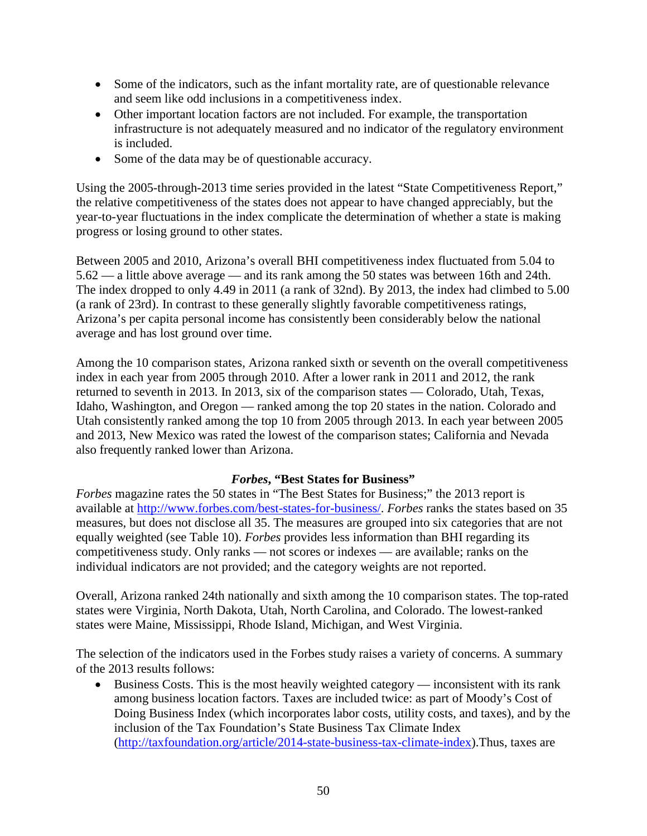- Some of the indicators, such as the infant mortality rate, are of questionable relevance and seem like odd inclusions in a competitiveness index.
- Other important location factors are not included. For example, the transportation infrastructure is not adequately measured and no indicator of the regulatory environment is included.
- Some of the data may be of questionable accuracy.

Using the 2005-through-2013 time series provided in the latest "State Competitiveness Report," the relative competitiveness of the states does not appear to have changed appreciably, but the year-to-year fluctuations in the index complicate the determination of whether a state is making progress or losing ground to other states.

Between 2005 and 2010, Arizona's overall BHI competitiveness index fluctuated from 5.04 to 5.62 — a little above average — and its rank among the 50 states was between 16th and 24th. The index dropped to only 4.49 in 2011 (a rank of 32nd). By 2013, the index had climbed to 5.00 (a rank of 23rd). In contrast to these generally slightly favorable competitiveness ratings, Arizona's per capita personal income has consistently been considerably below the national average and has lost ground over time.

Among the 10 comparison states, Arizona ranked sixth or seventh on the overall competitiveness index in each year from 2005 through 2010. After a lower rank in 2011 and 2012, the rank returned to seventh in 2013. In 2013, six of the comparison states — Colorado, Utah, Texas, Idaho, Washington, and Oregon — ranked among the top 20 states in the nation. Colorado and Utah consistently ranked among the top 10 from 2005 through 2013. In each year between 2005 and 2013, New Mexico was rated the lowest of the comparison states; California and Nevada also frequently ranked lower than Arizona.

#### *Forbes***, "Best States for Business"**

*Forbes* magazine rates the 50 states in "The Best States for Business;" the 2013 report is available at [http://www.forbes.com/best-states-for-business/.](http://www.forbes.com/best-states-for-business/) *Forbes* ranks the states based on 35 measures, but does not disclose all 35. The measures are grouped into six categories that are not equally weighted (see Table 10). *Forbes* provides less information than BHI regarding its competitiveness study. Only ranks — not scores or indexes — are available; ranks on the individual indicators are not provided; and the category weights are not reported.

Overall, Arizona ranked 24th nationally and sixth among the 10 comparison states. The top-rated states were Virginia, North Dakota, Utah, North Carolina, and Colorado. The lowest-ranked states were Maine, Mississippi, Rhode Island, Michigan, and West Virginia.

The selection of the indicators used in the Forbes study raises a variety of concerns. A summary of the 2013 results follows:

• Business Costs. This is the most heavily weighted category — inconsistent with its rank among business location factors. Taxes are included twice: as part of Moody's Cost of Doing Business Index (which incorporates labor costs, utility costs, and taxes), and by the inclusion of the Tax Foundation's State Business Tax Climate Index [\(http://taxfoundation.org/article/2014-state-business-tax-climate-index\)](http://taxfoundation.org/article/2014-state-business-tax-climate-index).Thus, taxes are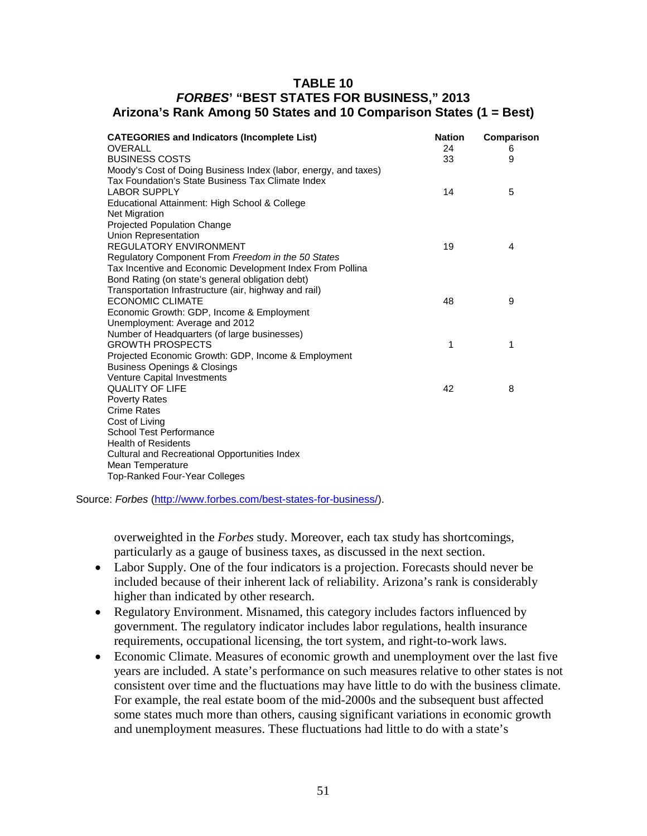## **TABLE 10** *FORBES***' "BEST STATES FOR BUSINESS," 2013 Arizona's Rank Among 50 States and 10 Comparison States (1 = Best)**

| <b>CATEGORIES and Indicators (Incomplete List)</b><br>OVERALL<br><b>BUSINESS COSTS</b><br>Moody's Cost of Doing Business Index (labor, energy, and taxes)           | <b>Nation</b><br>24<br>33 | Comparison<br>6<br>9 |
|---------------------------------------------------------------------------------------------------------------------------------------------------------------------|---------------------------|----------------------|
| Tax Foundation's State Business Tax Climate Index<br><b>LABOR SUPPLY</b><br>Educational Attainment: High School & College                                           | 14                        | 5                    |
| <b>Net Migration</b><br><b>Projected Population Change</b><br>Union Representation<br><b>REGULATORY ENVIRONMENT</b>                                                 | 19                        | 4                    |
| Regulatory Component From Freedom in the 50 States<br>Tax Incentive and Economic Development Index From Pollina<br>Bond Rating (on state's general obligation debt) |                           |                      |
| Transportation Infrastructure (air, highway and rail)<br><b>ECONOMIC CLIMATE</b><br>Economic Growth: GDP, Income & Employment                                       | 48                        | 9                    |
| Unemployment: Average and 2012<br>Number of Headquarters (of large businesses)<br><b>GROWTH PROSPECTS</b>                                                           | 1                         | 1                    |
| Projected Economic Growth: GDP, Income & Employment<br><b>Business Openings &amp; Closings</b><br>Venture Capital Investments                                       |                           |                      |
| <b>QUALITY OF LIFE</b><br><b>Poverty Rates</b><br><b>Crime Rates</b>                                                                                                | 42                        | 8                    |
| Cost of Living<br><b>School Test Performance</b><br><b>Health of Residents</b>                                                                                      |                           |                      |
| <b>Cultural and Recreational Opportunities Index</b><br>Mean Temperature                                                                                            |                           |                      |
| <b>Top-Ranked Four-Year Colleges</b>                                                                                                                                |                           |                      |

Source: *Forbes* [\(http://www.forbes.com/best-states-for-business/\)](http://www.forbes.com/best-states-for-business/).

overweighted in the *Forbes* study. Moreover, each tax study has shortcomings, particularly as a gauge of business taxes, as discussed in the next section.

- Labor Supply. One of the four indicators is a projection. Forecasts should never be included because of their inherent lack of reliability. Arizona's rank is considerably higher than indicated by other research.
- Regulatory Environment. Misnamed, this category includes factors influenced by government. The regulatory indicator includes labor regulations, health insurance requirements, occupational licensing, the tort system, and right-to-work laws.
- Economic Climate. Measures of economic growth and unemployment over the last five years are included. A state's performance on such measures relative to other states is not consistent over time and the fluctuations may have little to do with the business climate. For example, the real estate boom of the mid-2000s and the subsequent bust affected some states much more than others, causing significant variations in economic growth and unemployment measures. These fluctuations had little to do with a state's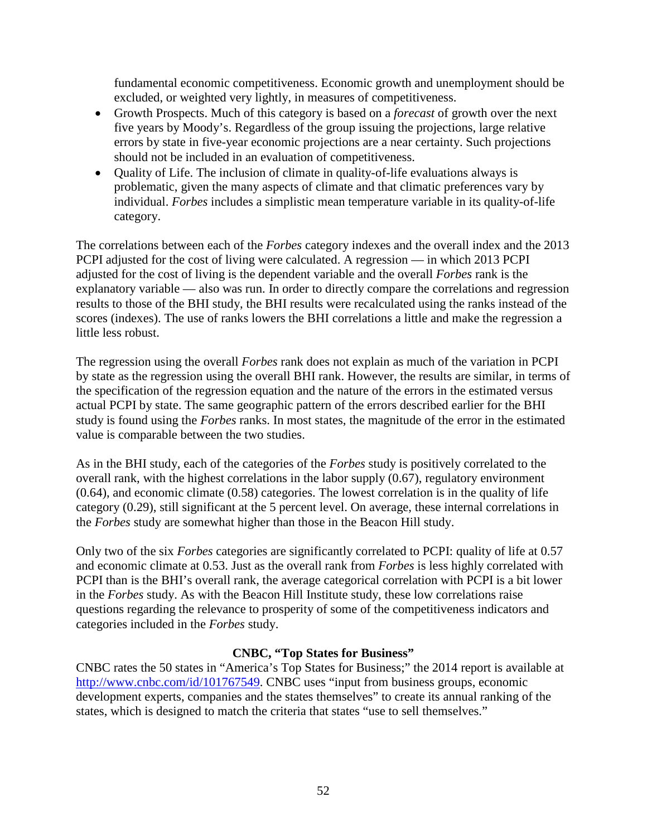fundamental economic competitiveness. Economic growth and unemployment should be excluded, or weighted very lightly, in measures of competitiveness.

- Growth Prospects. Much of this category is based on a *forecast* of growth over the next five years by Moody's. Regardless of the group issuing the projections, large relative errors by state in five-year economic projections are a near certainty. Such projections should not be included in an evaluation of competitiveness.
- Quality of Life. The inclusion of climate in quality-of-life evaluations always is problematic, given the many aspects of climate and that climatic preferences vary by individual. *Forbes* includes a simplistic mean temperature variable in its quality-of-life category.

The correlations between each of the *Forbes* category indexes and the overall index and the 2013 PCPI adjusted for the cost of living were calculated. A regression — in which 2013 PCPI adjusted for the cost of living is the dependent variable and the overall *Forbes* rank is the explanatory variable — also was run. In order to directly compare the correlations and regression results to those of the BHI study, the BHI results were recalculated using the ranks instead of the scores (indexes). The use of ranks lowers the BHI correlations a little and make the regression a little less robust.

The regression using the overall *Forbes* rank does not explain as much of the variation in PCPI by state as the regression using the overall BHI rank. However, the results are similar, in terms of the specification of the regression equation and the nature of the errors in the estimated versus actual PCPI by state. The same geographic pattern of the errors described earlier for the BHI study is found using the *Forbes* ranks. In most states, the magnitude of the error in the estimated value is comparable between the two studies.

As in the BHI study, each of the categories of the *Forbes* study is positively correlated to the overall rank, with the highest correlations in the labor supply (0.67), regulatory environment (0.64), and economic climate (0.58) categories. The lowest correlation is in the quality of life category (0.29), still significant at the 5 percent level. On average, these internal correlations in the *Forbes* study are somewhat higher than those in the Beacon Hill study.

Only two of the six *Forbes* categories are significantly correlated to PCPI: quality of life at 0.57 and economic climate at 0.53. Just as the overall rank from *Forbes* is less highly correlated with PCPI than is the BHI's overall rank, the average categorical correlation with PCPI is a bit lower in the *Forbes* study. As with the Beacon Hill Institute study, these low correlations raise questions regarding the relevance to prosperity of some of the competitiveness indicators and categories included in the *Forbes* study.

## **CNBC, "Top States for Business"**

CNBC rates the 50 states in "America's Top States for Business;" the 2014 report is available at [http://www.cnbc.com/id/101767549.](http://www.cnbc.com/id/101767549) CNBC uses "input from business groups, economic development experts, companies and the states themselves" to create its annual ranking of the states, which is designed to match the criteria that states "use to sell themselves."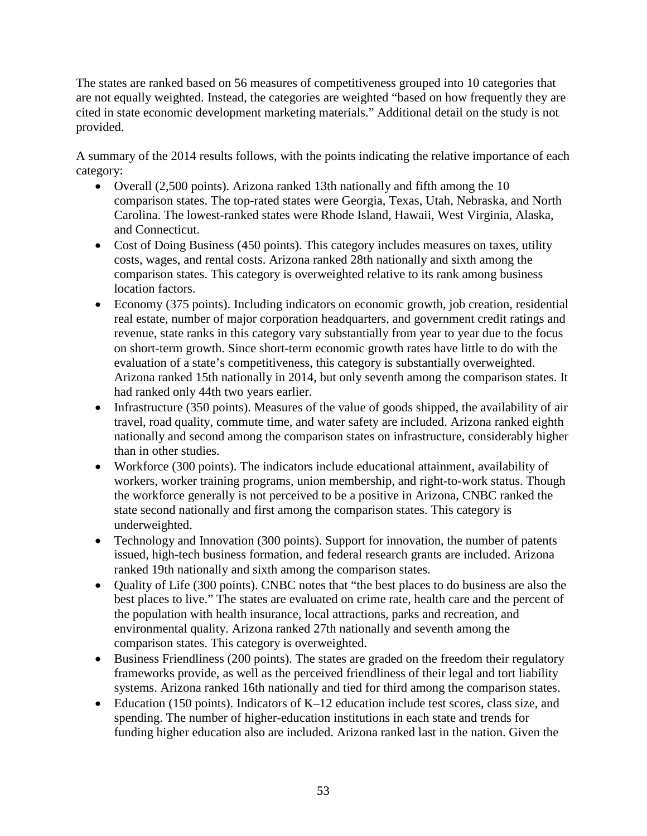The states are ranked based on 56 measures of competitiveness grouped into 10 categories that are not equally weighted. Instead, the categories are weighted "based on how frequently they are cited in state economic development marketing materials." Additional detail on the study is not provided.

A summary of the 2014 results follows, with the points indicating the relative importance of each category:

- Overall (2,500 points). Arizona ranked 13th nationally and fifth among the 10 comparison states. The top-rated states were Georgia, Texas, Utah, Nebraska, and North Carolina. The lowest-ranked states were Rhode Island, Hawaii, West Virginia, Alaska, and Connecticut.
- Cost of Doing Business (450 points). This category includes measures on taxes, utility costs, wages, and rental costs. Arizona ranked 28th nationally and sixth among the comparison states. This category is overweighted relative to its rank among business location factors.
- Economy (375 points). Including indicators on economic growth, job creation, residential real estate, number of major corporation headquarters, and government credit ratings and revenue, state ranks in this category vary substantially from year to year due to the focus on short-term growth. Since short-term economic growth rates have little to do with the evaluation of a state's competitiveness, this category is substantially overweighted. Arizona ranked 15th nationally in 2014, but only seventh among the comparison states. It had ranked only 44th two years earlier.
- Infrastructure (350 points). Measures of the value of goods shipped, the availability of air travel, road quality, commute time, and water safety are included. Arizona ranked eighth nationally and second among the comparison states on infrastructure, considerably higher than in other studies.
- Workforce (300 points). The indicators include educational attainment, availability of workers, worker training programs, union membership, and right-to-work status. Though the workforce generally is not perceived to be a positive in Arizona, CNBC ranked the state second nationally and first among the comparison states. This category is underweighted.
- Technology and Innovation (300 points). Support for innovation, the number of patents issued, high-tech business formation, and federal research grants are included. Arizona ranked 19th nationally and sixth among the comparison states.
- Quality of Life (300 points). CNBC notes that "the best places to do business are also the best places to live." The states are evaluated on crime rate, health care and the percent of the population with health insurance, local attractions, parks and recreation, and environmental quality. Arizona ranked 27th nationally and seventh among the comparison states. This category is overweighted.
- Business Friendliness (200 points). The states are graded on the freedom their regulatory frameworks provide, as well as the perceived friendliness of their legal and tort liability systems. Arizona ranked 16th nationally and tied for third among the comparison states.
- Education (150 points). Indicators of K–12 education include test scores, class size, and spending. The number of higher-education institutions in each state and trends for funding higher education also are included. Arizona ranked last in the nation. Given the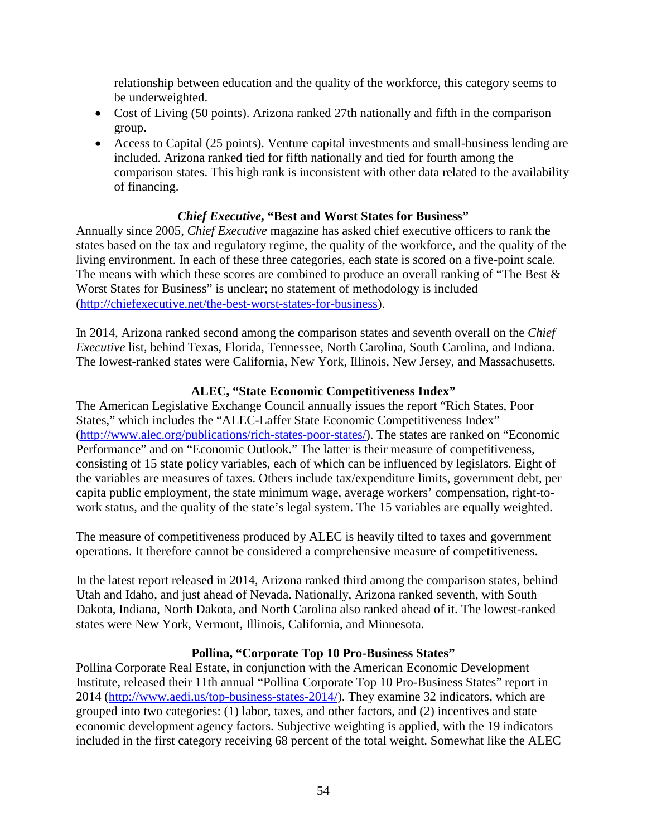relationship between education and the quality of the workforce, this category seems to be underweighted.

- Cost of Living (50 points). Arizona ranked 27th nationally and fifth in the comparison group.
- Access to Capital (25 points). Venture capital investments and small-business lending are included. Arizona ranked tied for fifth nationally and tied for fourth among the comparison states. This high rank is inconsistent with other data related to the availability of financing.

# *Chief Executive***, "Best and Worst States for Business"**

Annually since 2005, *Chief Executive* magazine has asked chief executive officers to rank the states based on the tax and regulatory regime, the quality of the workforce, and the quality of the living environment. In each of these three categories, each state is scored on a five-point scale. The means with which these scores are combined to produce an overall ranking of "The Best  $\&$ Worst States for Business" is unclear; no statement of methodology is included [\(http://chiefexecutive.net/the-best-worst-states-for-business\)](http://chiefexecutive.net/the-best-worst-states-for-business).

In 2014, Arizona ranked second among the comparison states and seventh overall on the *Chief Executive* list, behind Texas, Florida, Tennessee, North Carolina, South Carolina, and Indiana. The lowest-ranked states were California, New York, Illinois, New Jersey, and Massachusetts.

# **ALEC, "State Economic Competitiveness Index"**

The American Legislative Exchange Council annually issues the report "Rich States, Poor States," which includes the "ALEC-Laffer State Economic Competitiveness Index" [\(http://www.alec.org/publications/rich-states-poor-states/\)](http://www.alec.org/publications/rich-states-poor-states/). The states are ranked on "Economic Performance" and on "Economic Outlook." The latter is their measure of competitiveness, consisting of 15 state policy variables, each of which can be influenced by legislators. Eight of the variables are measures of taxes. Others include tax/expenditure limits, government debt, per capita public employment, the state minimum wage, average workers' compensation, right-towork status, and the quality of the state's legal system. The 15 variables are equally weighted.

The measure of competitiveness produced by ALEC is heavily tilted to taxes and government operations. It therefore cannot be considered a comprehensive measure of competitiveness.

In the latest report released in 2014, Arizona ranked third among the comparison states, behind Utah and Idaho, and just ahead of Nevada. Nationally, Arizona ranked seventh, with South Dakota, Indiana, North Dakota, and North Carolina also ranked ahead of it. The lowest-ranked states were New York, Vermont, Illinois, California, and Minnesota.

## **Pollina, "Corporate Top 10 Pro-Business States"**

Pollina Corporate Real Estate, in conjunction with the American Economic Development Institute, released their 11th annual "Pollina Corporate Top 10 Pro-Business States" report in 2014 [\(http://www.aedi.us/top-business-states-2014/\)](http://www.aedi.us/top-business-states-2014/). They examine 32 indicators, which are grouped into two categories: (1) labor, taxes, and other factors, and (2) incentives and state economic development agency factors. Subjective weighting is applied, with the 19 indicators included in the first category receiving 68 percent of the total weight. Somewhat like the ALEC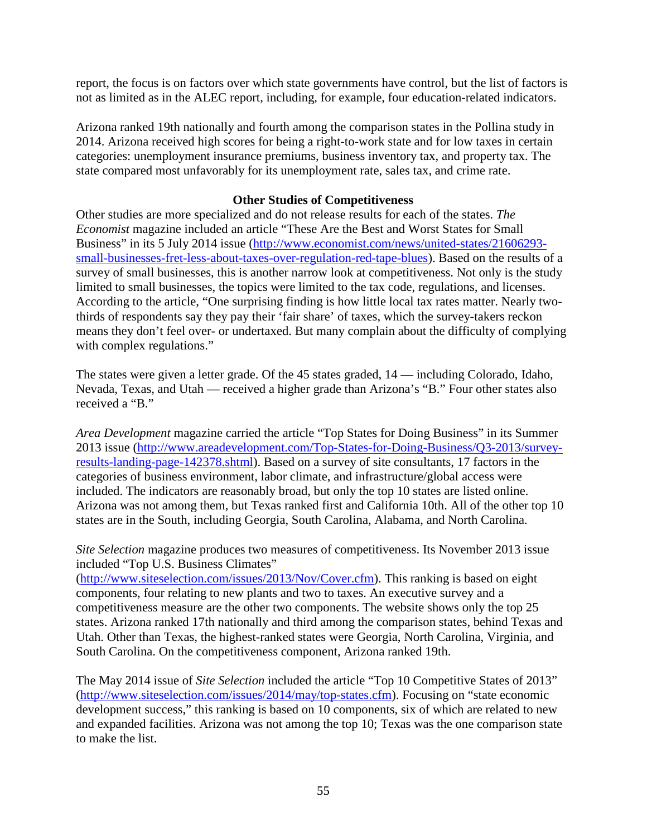report, the focus is on factors over which state governments have control, but the list of factors is not as limited as in the ALEC report, including, for example, four education-related indicators.

Arizona ranked 19th nationally and fourth among the comparison states in the Pollina study in 2014. Arizona received high scores for being a right-to-work state and for low taxes in certain categories: unemployment insurance premiums, business inventory tax, and property tax. The state compared most unfavorably for its unemployment rate, sales tax, and crime rate.

## **Other Studies of Competitiveness**

Other studies are more specialized and do not release results for each of the states. *The Economist* magazine included an article "These Are the Best and Worst States for Small Business" in its 5 July 2014 issue [\(http://www.economist.com/news/united-states/21606293](http://www.economist.com/news/united-states/21606293-small-businesses-fret-less-about-taxes-over-regulation-red-tape-blues) [small-businesses-fret-less-about-taxes-over-regulation-red-tape-blues\)](http://www.economist.com/news/united-states/21606293-small-businesses-fret-less-about-taxes-over-regulation-red-tape-blues). Based on the results of a survey of small businesses, this is another narrow look at competitiveness. Not only is the study limited to small businesses, the topics were limited to the tax code, regulations, and licenses. According to the article, "One surprising finding is how little local tax rates matter. Nearly twothirds of respondents say they pay their 'fair share' of taxes, which the survey-takers reckon means they don't feel over- or undertaxed. But many complain about the difficulty of complying with complex regulations."

The states were given a letter grade. Of the 45 states graded, 14 — including Colorado, Idaho, Nevada, Texas, and Utah — received a higher grade than Arizona's "B." Four other states also received a "B."

*Area Development* magazine carried the article "Top States for Doing Business" in its Summer 2013 issue [\(http://www.areadevelopment.com/Top-States-for-Doing-Business/Q3-2013/survey](http://www.areadevelopment.com/Top-States-for-Doing-Business/Q3-2013/survey-results-landing-page-142378.shtml)[results-landing-page-142378.shtml\)](http://www.areadevelopment.com/Top-States-for-Doing-Business/Q3-2013/survey-results-landing-page-142378.shtml). Based on a survey of site consultants, 17 factors in the categories of business environment, labor climate, and infrastructure/global access were included. The indicators are reasonably broad, but only the top 10 states are listed online. Arizona was not among them, but Texas ranked first and California 10th. All of the other top 10 states are in the South, including Georgia, South Carolina, Alabama, and North Carolina.

*Site Selection* magazine produces two measures of competitiveness. Its November 2013 issue included "Top U.S. Business Climates"

[\(http://www.siteselection.com/issues/2013/Nov/Cover.cfm\)](http://www.siteselection.com/issues/2013/Nov/Cover.cfm). This ranking is based on eight components, four relating to new plants and two to taxes. An executive survey and a competitiveness measure are the other two components. The website shows only the top 25 states. Arizona ranked 17th nationally and third among the comparison states, behind Texas and Utah. Other than Texas, the highest-ranked states were Georgia, North Carolina, Virginia, and South Carolina. On the competitiveness component, Arizona ranked 19th.

The May 2014 issue of *Site Selection* included the article "Top 10 Competitive States of 2013" [\(http://www.siteselection.com/issues/2014/may/top-states.cfm\)](http://www.siteselection.com/issues/2014/may/top-states.cfm). Focusing on "state economic development success," this ranking is based on 10 components, six of which are related to new and expanded facilities. Arizona was not among the top 10; Texas was the one comparison state to make the list.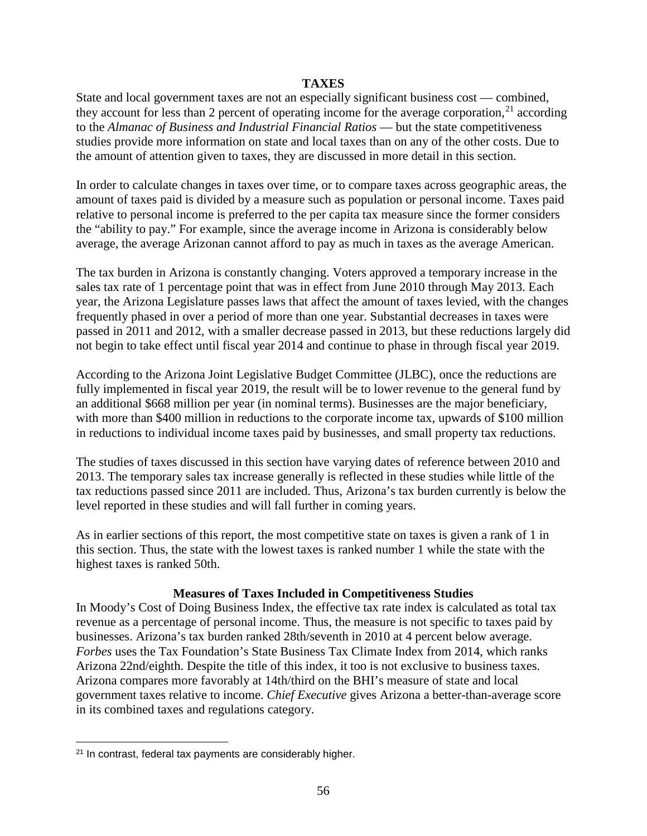#### **TAXES**

State and local government taxes are not an especially significant business cost — combined, they account for less than 2 percent of operating income for the average corporation,  $2<sup>1</sup>$  according to the *Almanac of Business and Industrial Financial Ratios* — but the state competitiveness studies provide more information on state and local taxes than on any of the other costs. Due to the amount of attention given to taxes, they are discussed in more detail in this section.

In order to calculate changes in taxes over time, or to compare taxes across geographic areas, the amount of taxes paid is divided by a measure such as population or personal income. Taxes paid relative to personal income is preferred to the per capita tax measure since the former considers the "ability to pay." For example, since the average income in Arizona is considerably below average, the average Arizonan cannot afford to pay as much in taxes as the average American.

The tax burden in Arizona is constantly changing. Voters approved a temporary increase in the sales tax rate of 1 percentage point that was in effect from June 2010 through May 2013. Each year, the Arizona Legislature passes laws that affect the amount of taxes levied, with the changes frequently phased in over a period of more than one year. Substantial decreases in taxes were passed in 2011 and 2012, with a smaller decrease passed in 2013, but these reductions largely did not begin to take effect until fiscal year 2014 and continue to phase in through fiscal year 2019.

According to the Arizona Joint Legislative Budget Committee (JLBC), once the reductions are fully implemented in fiscal year 2019, the result will be to lower revenue to the general fund by an additional \$668 million per year (in nominal terms). Businesses are the major beneficiary, with more than \$400 million in reductions to the corporate income tax, upwards of \$100 million in reductions to individual income taxes paid by businesses, and small property tax reductions.

The studies of taxes discussed in this section have varying dates of reference between 2010 and 2013. The temporary sales tax increase generally is reflected in these studies while little of the tax reductions passed since 2011 are included. Thus, Arizona's tax burden currently is below the level reported in these studies and will fall further in coming years.

As in earlier sections of this report, the most competitive state on taxes is given a rank of 1 in this section. Thus, the state with the lowest taxes is ranked number 1 while the state with the highest taxes is ranked 50th.

#### **Measures of Taxes Included in Competitiveness Studies**

In Moody's Cost of Doing Business Index, the effective tax rate index is calculated as total tax revenue as a percentage of personal income. Thus, the measure is not specific to taxes paid by businesses. Arizona's tax burden ranked 28th/seventh in 2010 at 4 percent below average. *Forbes* uses the Tax Foundation's State Business Tax Climate Index from 2014, which ranks Arizona 22nd/eighth. Despite the title of this index, it too is not exclusive to business taxes. Arizona compares more favorably at 14th/third on the BHI's measure of state and local government taxes relative to income. *Chief Executive* gives Arizona a better-than-average score in its combined taxes and regulations category.

l

<span id="page-57-0"></span><sup>&</sup>lt;sup>21</sup> In contrast, federal tax payments are considerably higher.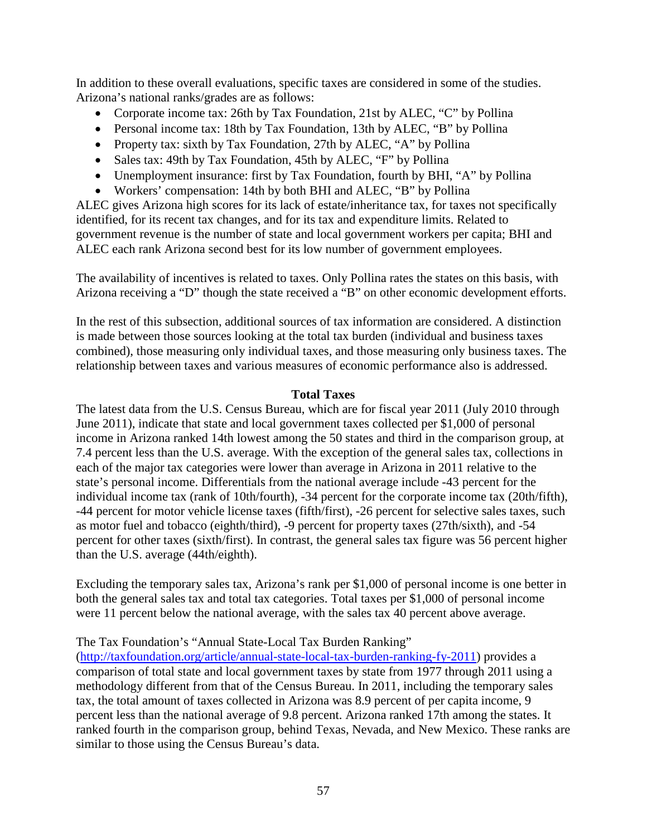In addition to these overall evaluations, specific taxes are considered in some of the studies. Arizona's national ranks/grades are as follows:

- Corporate income tax: 26th by Tax Foundation, 21st by ALEC, "C" by Pollina
- Personal income tax: 18th by Tax Foundation, 13th by ALEC, "B" by Pollina
- Property tax: sixth by Tax Foundation, 27th by ALEC, "A" by Pollina
- Sales tax: 49th by Tax Foundation, 45th by ALEC, "F" by Pollina
- Unemployment insurance: first by Tax Foundation, fourth by BHI, "A" by Pollina
- Workers' compensation: 14th by both BHI and ALEC, "B" by Pollina

ALEC gives Arizona high scores for its lack of estate/inheritance tax, for taxes not specifically identified, for its recent tax changes, and for its tax and expenditure limits. Related to government revenue is the number of state and local government workers per capita; BHI and ALEC each rank Arizona second best for its low number of government employees.

The availability of incentives is related to taxes. Only Pollina rates the states on this basis, with Arizona receiving a "D" though the state received a "B" on other economic development efforts.

In the rest of this subsection, additional sources of tax information are considered. A distinction is made between those sources looking at the total tax burden (individual and business taxes combined), those measuring only individual taxes, and those measuring only business taxes. The relationship between taxes and various measures of economic performance also is addressed.

## **Total Taxes**

The latest data from the U.S. Census Bureau, which are for fiscal year 2011 (July 2010 through June 2011), indicate that state and local government taxes collected per \$1,000 of personal income in Arizona ranked 14th lowest among the 50 states and third in the comparison group, at 7.4 percent less than the U.S. average. With the exception of the general sales tax, collections in each of the major tax categories were lower than average in Arizona in 2011 relative to the state's personal income. Differentials from the national average include -43 percent for the individual income tax (rank of 10th/fourth), -34 percent for the corporate income tax (20th/fifth), -44 percent for motor vehicle license taxes (fifth/first), -26 percent for selective sales taxes, such as motor fuel and tobacco (eighth/third), -9 percent for property taxes (27th/sixth), and -54 percent for other taxes (sixth/first). In contrast, the general sales tax figure was 56 percent higher than the U.S. average (44th/eighth).

Excluding the temporary sales tax, Arizona's rank per \$1,000 of personal income is one better in both the general sales tax and total tax categories. Total taxes per \$1,000 of personal income were 11 percent below the national average, with the sales tax 40 percent above average.

## The Tax Foundation's "Annual State-Local Tax Burden Ranking"

[\(http://taxfoundation.org/article/annual-state-local-tax-burden-ranking-fy-2011\)](http://taxfoundation.org/article/annual-state-local-tax-burden-ranking-fy-2011) provides a comparison of total state and local government taxes by state from 1977 through 2011 using a methodology different from that of the Census Bureau. In 2011, including the temporary sales tax, the total amount of taxes collected in Arizona was 8.9 percent of per capita income, 9 percent less than the national average of 9.8 percent. Arizona ranked 17th among the states. It ranked fourth in the comparison group, behind Texas, Nevada, and New Mexico. These ranks are similar to those using the Census Bureau's data.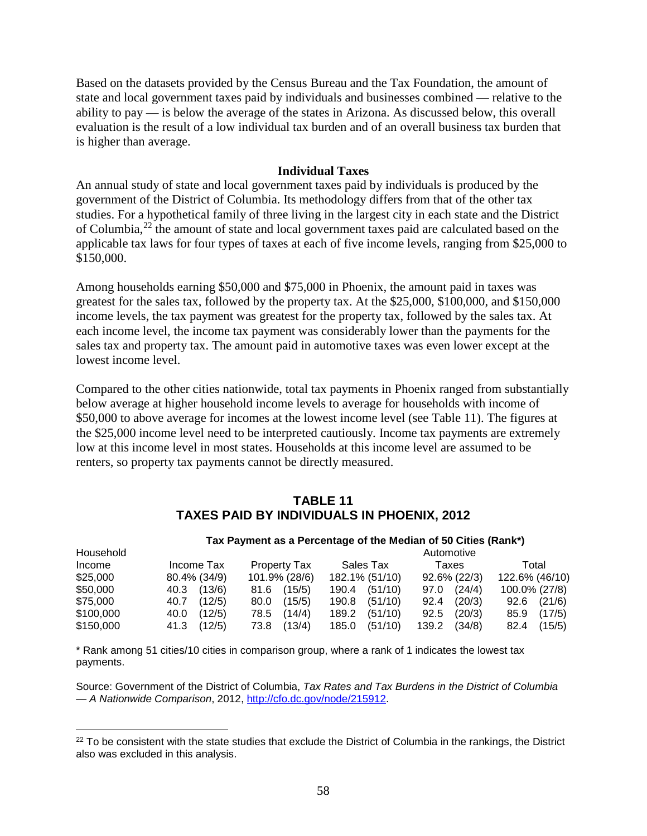Based on the datasets provided by the Census Bureau and the Tax Foundation, the amount of state and local government taxes paid by individuals and businesses combined — relative to the ability to pay — is below the average of the states in Arizona. As discussed below, this overall evaluation is the result of a low individual tax burden and of an overall business tax burden that is higher than average.

#### **Individual Taxes**

An annual study of state and local government taxes paid by individuals is produced by the government of the District of Columbia. Its methodology differs from that of the other tax studies. For a hypothetical family of three living in the largest city in each state and the District of Columbia,[22](#page-59-0) the amount of state and local government taxes paid are calculated based on the applicable tax laws for four types of taxes at each of five income levels, ranging from \$25,000 to \$150,000.

Among households earning \$50,000 and \$75,000 in Phoenix, the amount paid in taxes was greatest for the sales tax, followed by the property tax. At the \$25,000, \$100,000, and \$150,000 income levels, the tax payment was greatest for the property tax, followed by the sales tax. At each income level, the income tax payment was considerably lower than the payments for the sales tax and property tax. The amount paid in automotive taxes was even lower except at the lowest income level.

Compared to the other cities nationwide, total tax payments in Phoenix ranged from substantially below average at higher household income levels to average for households with income of \$50,000 to above average for incomes at the lowest income level (see Table 11). The figures at the \$25,000 income level need to be interpreted cautiously. Income tax payments are extremely low at this income level in most states. Households at this income level are assumed to be renters, so property tax payments cannot be directly measured.

#### **TABLE 11 TAXES PAID BY INDIVIDUALS IN PHOENIX, 2012**

|           |                |                     | Tax Payment as a Percentage of the Median of 50 Cities (Rank*) |                 |                |
|-----------|----------------|---------------------|----------------------------------------------------------------|-----------------|----------------|
| Household |                |                     |                                                                | Automotive      |                |
| Income    | Income Tax     | <b>Property Tax</b> | Sales Tax                                                      | Taxes           | Total          |
| \$25,000  | 80.4% (34/9)   | 101.9% (28/6)       | 182.1% (51/10)                                                 | 92.6% (22/3)    | 122.6% (46/10) |
| \$50,000  | (13/6)<br>40.3 | (15/5)<br>81.6      | (51/10)<br>190.4                                               | (24/4)<br>97.0  | 100.0% (27/8)  |
| \$75,000  | (12/5)<br>40.7 | (15/5)<br>80.0      | (51/10)<br>190.8                                               | (20/3)<br>92.4  | (21/6)<br>92.6 |
| \$100,000 | (12/5)<br>40.0 | (14/4)<br>78.5      | (51/10)<br>189.2                                               | (20/3)<br>92.5  | (17/5)<br>85.9 |
| \$150,000 | (12/5)<br>41.3 | (13/4)<br>73.8      | (51/10)<br>185.0                                               | (34/8)<br>139.2 | (15/5)<br>82.4 |

\* Rank among 51 cities/10 cities in comparison group, where a rank of 1 indicates the lowest tax payments.

l

Source: Government of the District of Columbia, *Tax Rates and Tax Burdens in the District of Columbia — A Nationwide Comparison*, 2012, [http://cfo.dc.gov/node/215912.](http://cfo.dc.gov/node/215912)

<span id="page-59-0"></span> $22$  To be consistent with the state studies that exclude the District of Columbia in the rankings, the District also was excluded in this analysis.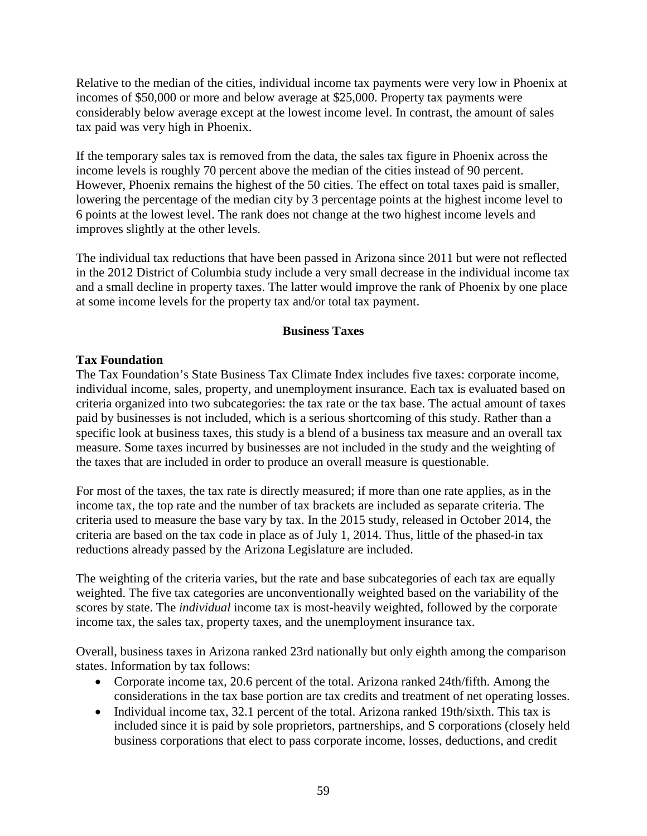Relative to the median of the cities, individual income tax payments were very low in Phoenix at incomes of \$50,000 or more and below average at \$25,000. Property tax payments were considerably below average except at the lowest income level. In contrast, the amount of sales tax paid was very high in Phoenix.

If the temporary sales tax is removed from the data, the sales tax figure in Phoenix across the income levels is roughly 70 percent above the median of the cities instead of 90 percent. However, Phoenix remains the highest of the 50 cities. The effect on total taxes paid is smaller, lowering the percentage of the median city by 3 percentage points at the highest income level to 6 points at the lowest level. The rank does not change at the two highest income levels and improves slightly at the other levels.

The individual tax reductions that have been passed in Arizona since 2011 but were not reflected in the 2012 District of Columbia study include a very small decrease in the individual income tax and a small decline in property taxes. The latter would improve the rank of Phoenix by one place at some income levels for the property tax and/or total tax payment.

## **Business Taxes**

# **Tax Foundation**

The Tax Foundation's State Business Tax Climate Index includes five taxes: corporate income, individual income, sales, property, and unemployment insurance. Each tax is evaluated based on criteria organized into two subcategories: the tax rate or the tax base. The actual amount of taxes paid by businesses is not included, which is a serious shortcoming of this study. Rather than a specific look at business taxes, this study is a blend of a business tax measure and an overall tax measure. Some taxes incurred by businesses are not included in the study and the weighting of the taxes that are included in order to produce an overall measure is questionable.

For most of the taxes, the tax rate is directly measured; if more than one rate applies, as in the income tax, the top rate and the number of tax brackets are included as separate criteria. The criteria used to measure the base vary by tax. In the 2015 study, released in October 2014, the criteria are based on the tax code in place as of July 1, 2014. Thus, little of the phased-in tax reductions already passed by the Arizona Legislature are included.

The weighting of the criteria varies, but the rate and base subcategories of each tax are equally weighted. The five tax categories are unconventionally weighted based on the variability of the scores by state. The *individual* income tax is most-heavily weighted, followed by the corporate income tax, the sales tax, property taxes, and the unemployment insurance tax.

Overall, business taxes in Arizona ranked 23rd nationally but only eighth among the comparison states. Information by tax follows:

- Corporate income tax, 20.6 percent of the total. Arizona ranked 24th/fifth. Among the considerations in the tax base portion are tax credits and treatment of net operating losses.
- Individual income tax, 32.1 percent of the total. Arizona ranked 19th/sixth. This tax is included since it is paid by sole proprietors, partnerships, and S corporations (closely held business corporations that elect to pass corporate income, losses, deductions, and credit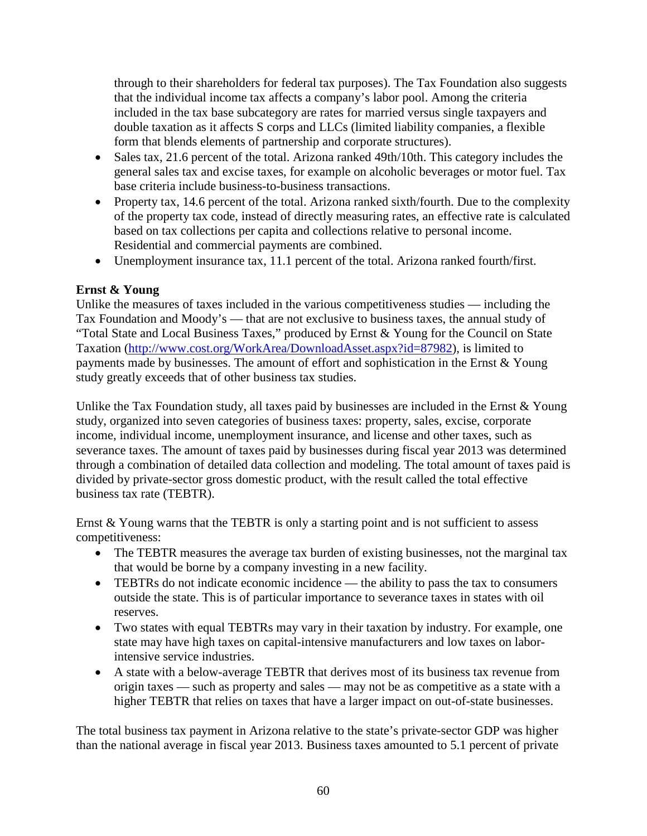through to their shareholders for federal tax purposes). The Tax Foundation also suggests that the individual income tax affects a company's labor pool. Among the criteria included in the tax base subcategory are rates for married versus single taxpayers and double taxation as it affects S corps and LLCs (limited liability companies, a flexible form that blends elements of partnership and corporate structures).

- Sales tax, 21.6 percent of the total. Arizona ranked 49th/10th. This category includes the general sales tax and excise taxes, for example on alcoholic beverages or motor fuel. Tax base criteria include business-to-business transactions.
- Property tax, 14.6 percent of the total. Arizona ranked sixth/fourth. Due to the complexity of the property tax code, instead of directly measuring rates, an effective rate is calculated based on tax collections per capita and collections relative to personal income. Residential and commercial payments are combined.
- Unemployment insurance tax, 11.1 percent of the total. Arizona ranked fourth/first.

# **Ernst & Young**

Unlike the measures of taxes included in the various competitiveness studies — including the Tax Foundation and Moody's — that are not exclusive to business taxes, the annual study of "Total State and Local Business Taxes," produced by Ernst & Young for the Council on State Taxation [\(http://www.cost.org/WorkArea/DownloadAsset.aspx?id=87982\)](http://www.cost.org/WorkArea/DownloadAsset.aspx?id=87982), is limited to payments made by businesses. The amount of effort and sophistication in the Ernst & Young study greatly exceeds that of other business tax studies.

Unlike the Tax Foundation study, all taxes paid by businesses are included in the Ernst  $& Young$ study, organized into seven categories of business taxes: property, sales, excise, corporate income, individual income, unemployment insurance, and license and other taxes, such as severance taxes. The amount of taxes paid by businesses during fiscal year 2013 was determined through a combination of detailed data collection and modeling. The total amount of taxes paid is divided by private-sector gross domestic product, with the result called the total effective business tax rate (TEBTR).

Ernst & Young warns that the TEBTR is only a starting point and is not sufficient to assess competitiveness:

- The TEBTR measures the average tax burden of existing businesses, not the marginal tax that would be borne by a company investing in a new facility.
- TEBTRs do not indicate economic incidence the ability to pass the tax to consumers outside the state. This is of particular importance to severance taxes in states with oil reserves.
- Two states with equal TEBTRs may vary in their taxation by industry. For example, one state may have high taxes on capital-intensive manufacturers and low taxes on laborintensive service industries.
- A state with a below-average TEBTR that derives most of its business tax revenue from origin taxes — such as property and sales — may not be as competitive as a state with a higher TEBTR that relies on taxes that have a larger impact on out-of-state businesses.

The total business tax payment in Arizona relative to the state's private-sector GDP was higher than the national average in fiscal year 2013. Business taxes amounted to 5.1 percent of private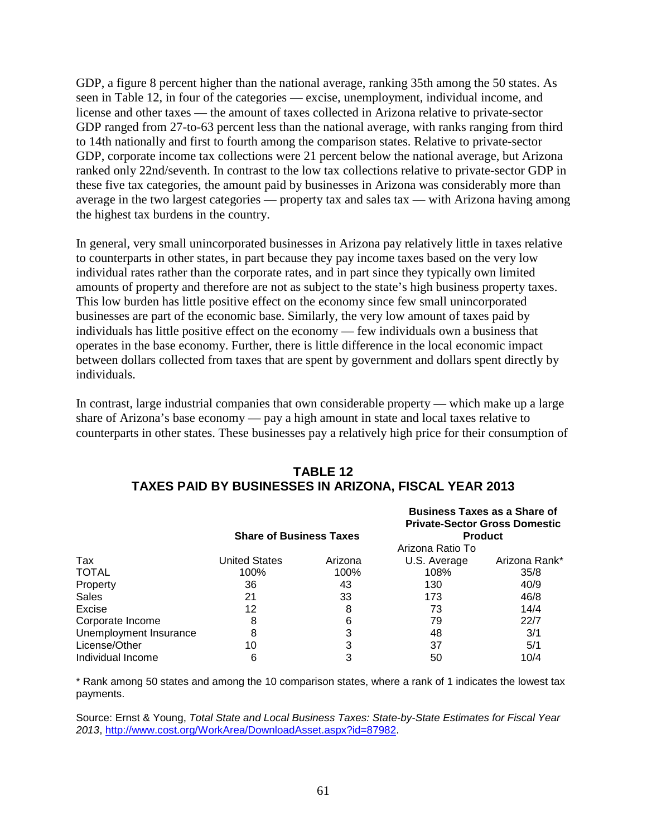GDP, a figure 8 percent higher than the national average, ranking 35th among the 50 states. As seen in Table 12, in four of the categories — excise, unemployment, individual income, and license and other taxes — the amount of taxes collected in Arizona relative to private-sector GDP ranged from 27-to-63 percent less than the national average, with ranks ranging from third to 14th nationally and first to fourth among the comparison states. Relative to private-sector GDP, corporate income tax collections were 21 percent below the national average, but Arizona ranked only 22nd/seventh. In contrast to the low tax collections relative to private-sector GDP in these five tax categories, the amount paid by businesses in Arizona was considerably more than average in the two largest categories — property tax and sales tax — with Arizona having among the highest tax burdens in the country.

In general, very small unincorporated businesses in Arizona pay relatively little in taxes relative to counterparts in other states, in part because they pay income taxes based on the very low individual rates rather than the corporate rates, and in part since they typically own limited amounts of property and therefore are not as subject to the state's high business property taxes. This low burden has little positive effect on the economy since few small unincorporated businesses are part of the economic base. Similarly, the very low amount of taxes paid by individuals has little positive effect on the economy — few individuals own a business that operates in the base economy. Further, there is little difference in the local economic impact between dollars collected from taxes that are spent by government and dollars spent directly by individuals.

In contrast, large industrial companies that own considerable property — which make up a large share of Arizona's base economy — pay a high amount in state and local taxes relative to counterparts in other states. These businesses pay a relatively high price for their consumption of

# **TABLE 12 TAXES PAID BY BUSINESSES IN ARIZONA, FISCAL YEAR 2013**

|                        | <b>Share of Business Taxes</b> |         |                  | <b>Business Taxes as a Share of</b><br><b>Private-Sector Gross Domestic</b><br><b>Product</b> |
|------------------------|--------------------------------|---------|------------------|-----------------------------------------------------------------------------------------------|
|                        |                                |         | Arizona Ratio To |                                                                                               |
| Tax                    | <b>United States</b>           | Arizona | U.S. Average     | Arizona Rank*                                                                                 |
| <b>TOTAL</b>           | 100%                           | 100%    | 108%             | 35/8                                                                                          |
| Property               | 36                             | 43      | 130              | 40/9                                                                                          |
| <b>Sales</b>           | 21                             | 33      | 173              | 46/8                                                                                          |
| Excise                 | 12                             | 8       | 73               | 14/4                                                                                          |
| Corporate Income       | 8                              | 6       | 79               | 22/7                                                                                          |
| Unemployment Insurance | 8                              | 3       | 48               | 3/1                                                                                           |
| License/Other          | 10                             | 3       | 37               | 5/1                                                                                           |
| Individual Income      |                                | 3       | 50               | 10/4                                                                                          |

\* Rank among 50 states and among the 10 comparison states, where a rank of 1 indicates the lowest tax payments.

Source: Ernst & Young, *Total State and Local Business Taxes: State-by-State Estimates for Fiscal Year 2013*, [http://www.cost.org/WorkArea/DownloadAsset.aspx?id=87982.](http://www.cost.org/WorkArea/DownloadAsset.aspx?id=87982)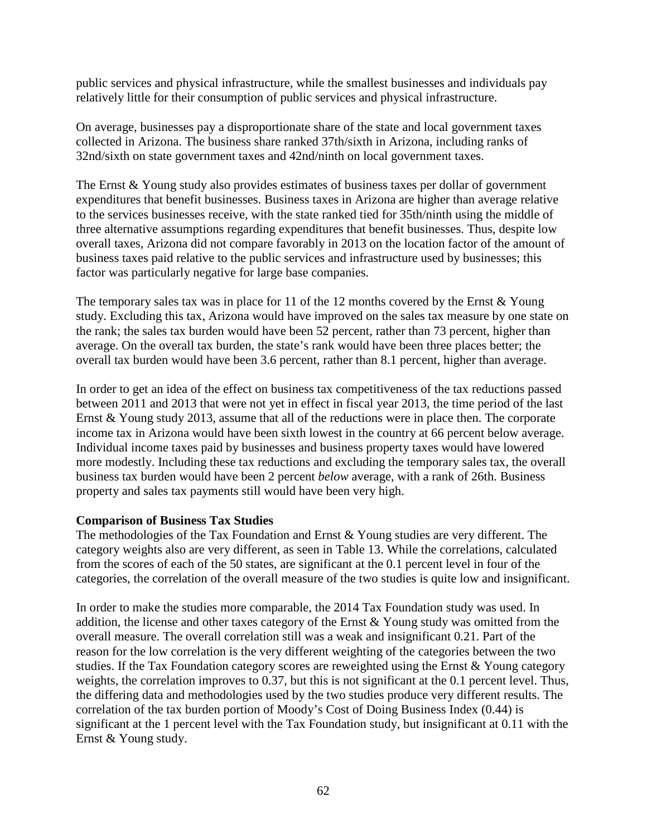public services and physical infrastructure, while the smallest businesses and individuals pay relatively little for their consumption of public services and physical infrastructure.

On average, businesses pay a disproportionate share of the state and local government taxes collected in Arizona. The business share ranked 37th/sixth in Arizona, including ranks of 32nd/sixth on state government taxes and 42nd/ninth on local government taxes.

The Ernst & Young study also provides estimates of business taxes per dollar of government expenditures that benefit businesses. Business taxes in Arizona are higher than average relative to the services businesses receive, with the state ranked tied for 35th/ninth using the middle of three alternative assumptions regarding expenditures that benefit businesses. Thus, despite low overall taxes, Arizona did not compare favorably in 2013 on the location factor of the amount of business taxes paid relative to the public services and infrastructure used by businesses; this factor was particularly negative for large base companies.

The temporary sales tax was in place for 11 of the 12 months covered by the Ernst  $&$  Young study. Excluding this tax, Arizona would have improved on the sales tax measure by one state on the rank; the sales tax burden would have been 52 percent, rather than 73 percent, higher than average. On the overall tax burden, the state's rank would have been three places better; the overall tax burden would have been 3.6 percent, rather than 8.1 percent, higher than average.

In order to get an idea of the effect on business tax competitiveness of the tax reductions passed between 2011 and 2013 that were not yet in effect in fiscal year 2013, the time period of the last Ernst & Young study 2013, assume that all of the reductions were in place then. The corporate income tax in Arizona would have been sixth lowest in the country at 66 percent below average. Individual income taxes paid by businesses and business property taxes would have lowered more modestly. Including these tax reductions and excluding the temporary sales tax, the overall business tax burden would have been 2 percent *below* average, with a rank of 26th. Business property and sales tax payments still would have been very high.

#### **Comparison of Business Tax Studies**

The methodologies of the Tax Foundation and Ernst & Young studies are very different. The category weights also are very different, as seen in Table 13. While the correlations, calculated from the scores of each of the 50 states, are significant at the 0.1 percent level in four of the categories, the correlation of the overall measure of the two studies is quite low and insignificant.

In order to make the studies more comparable, the 2014 Tax Foundation study was used. In addition, the license and other taxes category of the Ernst & Young study was omitted from the overall measure. The overall correlation still was a weak and insignificant 0.21. Part of the reason for the low correlation is the very different weighting of the categories between the two studies. If the Tax Foundation category scores are reweighted using the Ernst & Young category weights, the correlation improves to 0.37, but this is not significant at the 0.1 percent level. Thus, the differing data and methodologies used by the two studies produce very different results. The correlation of the tax burden portion of Moody's Cost of Doing Business Index (0.44) is significant at the 1 percent level with the Tax Foundation study, but insignificant at 0.11 with the Ernst & Young study.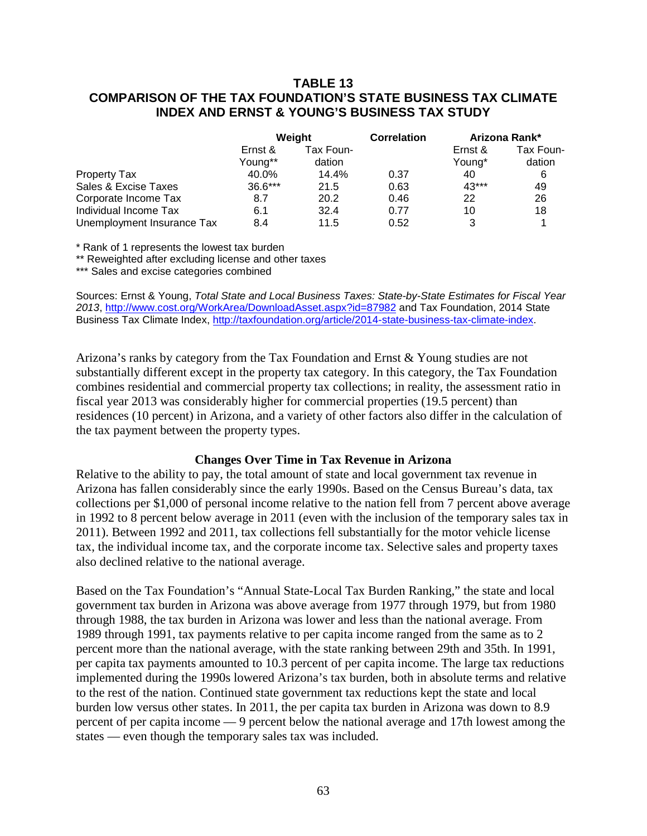## **TABLE 13 COMPARISON OF THE TAX FOUNDATION'S STATE BUSINESS TAX CLIMATE INDEX AND ERNST & YOUNG'S BUSINESS TAX STUDY**

|                            | Weight             |                     | <b>Correlation</b> | Arizona Rank*     |                     |
|----------------------------|--------------------|---------------------|--------------------|-------------------|---------------------|
|                            | Ernst &<br>Young** | Tax Foun-<br>dation |                    | Ernst &<br>Young* | Tax Foun-<br>dation |
| Property Tax               | 40.0%              | 14.4%               | 0.37               | 40                | 6                   |
| Sales & Excise Taxes       | $36.6***$          | 21.5                | 0.63               | 43***             | 49                  |
| Corporate Income Tax       | 8.7                | 20.2                | 0.46               | 22                | 26                  |
| Individual Income Tax      | 6.1                | 32.4                | 0.77               | 10                | 18                  |
| Unemployment Insurance Tax | 8.4                | 11.5                | 0.52               | 3                 |                     |

\* Rank of 1 represents the lowest tax burden

\*\* Reweighted after excluding license and other taxes

\*\*\* Sales and excise categories combined

Sources: Ernst & Young, *Total State and Local Business Taxes: State-by-State Estimates for Fiscal Year 2013*,<http://www.cost.org/WorkArea/DownloadAsset.aspx?id=87982> and Tax Foundation, 2014 State Business Tax Climate Index, [http://taxfoundation.org/article/2014-state-business-tax-climate-index.](http://taxfoundation.org/article/2014-state-business-tax-climate-index)

Arizona's ranks by category from the Tax Foundation and Ernst & Young studies are not substantially different except in the property tax category. In this category, the Tax Foundation combines residential and commercial property tax collections; in reality, the assessment ratio in fiscal year 2013 was considerably higher for commercial properties (19.5 percent) than residences (10 percent) in Arizona, and a variety of other factors also differ in the calculation of the tax payment between the property types.

#### **Changes Over Time in Tax Revenue in Arizona**

Relative to the ability to pay, the total amount of state and local government tax revenue in Arizona has fallen considerably since the early 1990s. Based on the Census Bureau's data, tax collections per \$1,000 of personal income relative to the nation fell from 7 percent above average in 1992 to 8 percent below average in 2011 (even with the inclusion of the temporary sales tax in 2011). Between 1992 and 2011, tax collections fell substantially for the motor vehicle license tax, the individual income tax, and the corporate income tax. Selective sales and property taxes also declined relative to the national average.

Based on the Tax Foundation's "Annual State-Local Tax Burden Ranking," the state and local government tax burden in Arizona was above average from 1977 through 1979, but from 1980 through 1988, the tax burden in Arizona was lower and less than the national average. From 1989 through 1991, tax payments relative to per capita income ranged from the same as to 2 percent more than the national average, with the state ranking between 29th and 35th. In 1991, per capita tax payments amounted to 10.3 percent of per capita income. The large tax reductions implemented during the 1990s lowered Arizona's tax burden, both in absolute terms and relative to the rest of the nation. Continued state government tax reductions kept the state and local burden low versus other states. In 2011, the per capita tax burden in Arizona was down to 8.9 percent of per capita income — 9 percent below the national average and 17th lowest among the states — even though the temporary sales tax was included.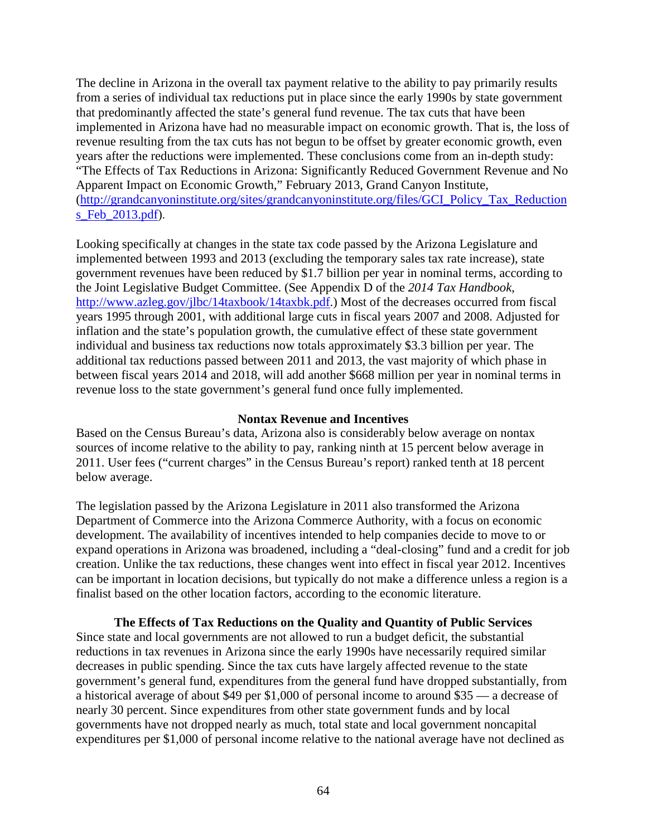The decline in Arizona in the overall tax payment relative to the ability to pay primarily results from a series of individual tax reductions put in place since the early 1990s by state government that predominantly affected the state's general fund revenue. The tax cuts that have been implemented in Arizona have had no measurable impact on economic growth. That is, the loss of revenue resulting from the tax cuts has not begun to be offset by greater economic growth, even years after the reductions were implemented. These conclusions come from an in-depth study: "The Effects of Tax Reductions in Arizona: Significantly Reduced Government Revenue and No Apparent Impact on Economic Growth," February 2013, Grand Canyon Institute, [\(http://grandcanyoninstitute.org/sites/grandcanyoninstitute.org/files/GCI\\_Policy\\_Tax\\_Reduction](http://grandcanyoninstitute.org/sites/grandcanyoninstitute.org/files/GCI_Policy_Tax_Reductions_Feb_2013.pdf) [s\\_Feb\\_2013.pdf\)](http://grandcanyoninstitute.org/sites/grandcanyoninstitute.org/files/GCI_Policy_Tax_Reductions_Feb_2013.pdf).

Looking specifically at changes in the state tax code passed by the Arizona Legislature and implemented between 1993 and 2013 (excluding the temporary sales tax rate increase), state government revenues have been reduced by \$1.7 billion per year in nominal terms, according to the Joint Legislative Budget Committee. (See Appendix D of the *2014 Tax Handbook*, [http://www.azleg.gov/jlbc/14taxbook/14taxbk.pdf.](http://www.azleg.gov/jlbc/14taxbook/14taxbk.pdf)) Most of the decreases occurred from fiscal years 1995 through 2001, with additional large cuts in fiscal years 2007 and 2008. Adjusted for inflation and the state's population growth, the cumulative effect of these state government individual and business tax reductions now totals approximately \$3.3 billion per year. The additional tax reductions passed between 2011 and 2013, the vast majority of which phase in between fiscal years 2014 and 2018, will add another \$668 million per year in nominal terms in revenue loss to the state government's general fund once fully implemented.

#### **Nontax Revenue and Incentives**

Based on the Census Bureau's data, Arizona also is considerably below average on nontax sources of income relative to the ability to pay, ranking ninth at 15 percent below average in 2011. User fees ("current charges" in the Census Bureau's report) ranked tenth at 18 percent below average.

The legislation passed by the Arizona Legislature in 2011 also transformed the Arizona Department of Commerce into the Arizona Commerce Authority, with a focus on economic development. The availability of incentives intended to help companies decide to move to or expand operations in Arizona was broadened, including a "deal-closing" fund and a credit for job creation. Unlike the tax reductions, these changes went into effect in fiscal year 2012. Incentives can be important in location decisions, but typically do not make a difference unless a region is a finalist based on the other location factors, according to the economic literature.

#### **The Effects of Tax Reductions on the Quality and Quantity of Public Services**

Since state and local governments are not allowed to run a budget deficit, the substantial reductions in tax revenues in Arizona since the early 1990s have necessarily required similar decreases in public spending. Since the tax cuts have largely affected revenue to the state government's general fund, expenditures from the general fund have dropped substantially, from a historical average of about \$49 per \$1,000 of personal income to around \$35 — a decrease of nearly 30 percent. Since expenditures from other state government funds and by local governments have not dropped nearly as much, total state and local government noncapital expenditures per \$1,000 of personal income relative to the national average have not declined as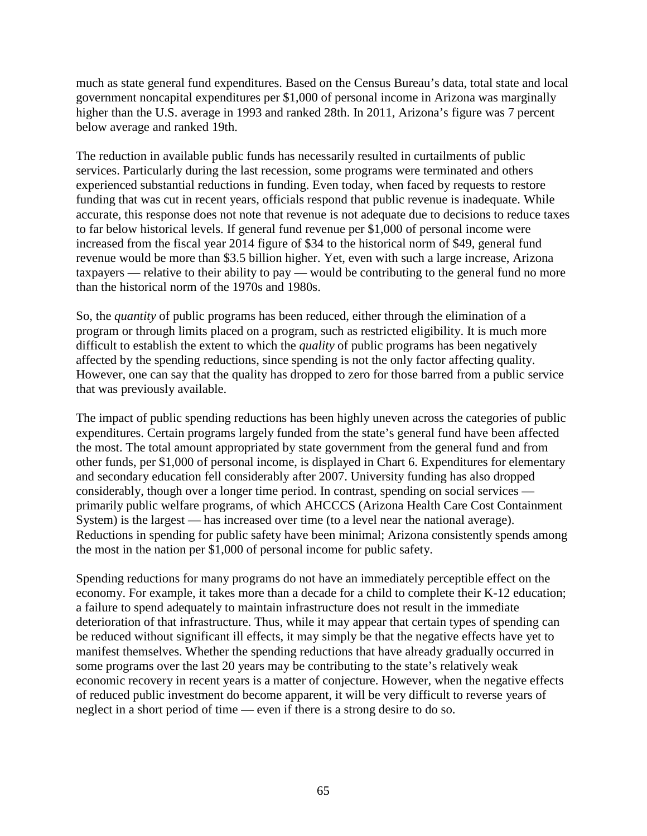much as state general fund expenditures. Based on the Census Bureau's data, total state and local government noncapital expenditures per \$1,000 of personal income in Arizona was marginally higher than the U.S. average in 1993 and ranked 28th. In 2011, Arizona's figure was 7 percent below average and ranked 19th.

The reduction in available public funds has necessarily resulted in curtailments of public services. Particularly during the last recession, some programs were terminated and others experienced substantial reductions in funding. Even today, when faced by requests to restore funding that was cut in recent years, officials respond that public revenue is inadequate. While accurate, this response does not note that revenue is not adequate due to decisions to reduce taxes to far below historical levels. If general fund revenue per \$1,000 of personal income were increased from the fiscal year 2014 figure of \$34 to the historical norm of \$49, general fund revenue would be more than \$3.5 billion higher. Yet, even with such a large increase, Arizona taxpayers — relative to their ability to pay — would be contributing to the general fund no more than the historical norm of the 1970s and 1980s.

So, the *quantity* of public programs has been reduced, either through the elimination of a program or through limits placed on a program, such as restricted eligibility. It is much more difficult to establish the extent to which the *quality* of public programs has been negatively affected by the spending reductions, since spending is not the only factor affecting quality. However, one can say that the quality has dropped to zero for those barred from a public service that was previously available.

The impact of public spending reductions has been highly uneven across the categories of public expenditures. Certain programs largely funded from the state's general fund have been affected the most. The total amount appropriated by state government from the general fund and from other funds, per \$1,000 of personal income, is displayed in Chart 6. Expenditures for elementary and secondary education fell considerably after 2007. University funding has also dropped considerably, though over a longer time period. In contrast, spending on social services primarily public welfare programs, of which AHCCCS (Arizona Health Care Cost Containment System) is the largest — has increased over time (to a level near the national average). Reductions in spending for public safety have been minimal; Arizona consistently spends among the most in the nation per \$1,000 of personal income for public safety.

Spending reductions for many programs do not have an immediately perceptible effect on the economy. For example, it takes more than a decade for a child to complete their K-12 education; a failure to spend adequately to maintain infrastructure does not result in the immediate deterioration of that infrastructure. Thus, while it may appear that certain types of spending can be reduced without significant ill effects, it may simply be that the negative effects have yet to manifest themselves. Whether the spending reductions that have already gradually occurred in some programs over the last 20 years may be contributing to the state's relatively weak economic recovery in recent years is a matter of conjecture. However, when the negative effects of reduced public investment do become apparent, it will be very difficult to reverse years of neglect in a short period of time — even if there is a strong desire to do so.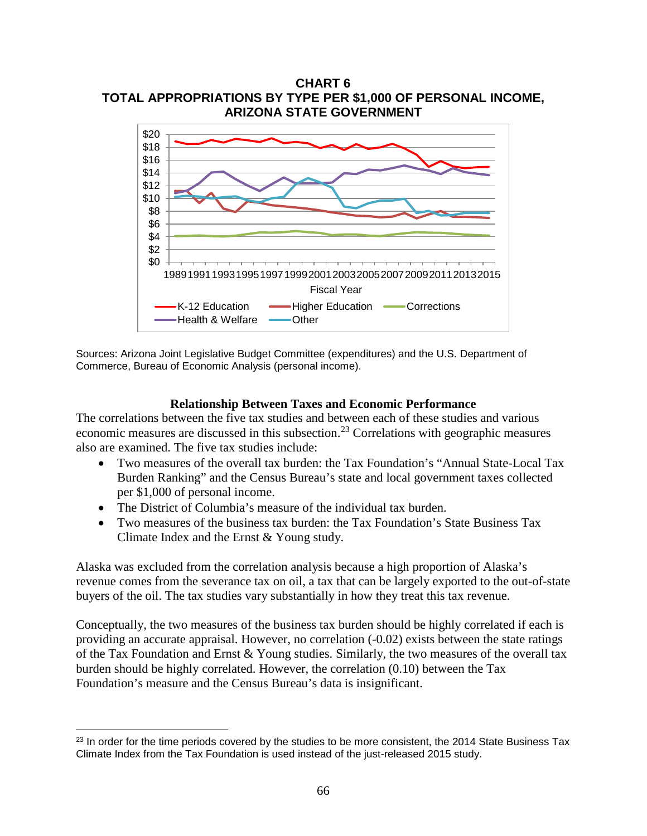

Sources: Arizona Joint Legislative Budget Committee (expenditures) and the U.S. Department of Commerce, Bureau of Economic Analysis (personal income).

#### **Relationship Between Taxes and Economic Performance**

The correlations between the five tax studies and between each of these studies and various economic measures are discussed in this subsection.<sup>[23](#page-67-0)</sup> Correlations with geographic measures also are examined. The five tax studies include:

- Two measures of the overall tax burden: the Tax Foundation's "Annual State-Local Tax Burden Ranking" and the Census Bureau's state and local government taxes collected per \$1,000 of personal income.
- The District of Columbia's measure of the individual tax burden.

l

• Two measures of the business tax burden: the Tax Foundation's State Business Tax Climate Index and the Ernst & Young study.

Alaska was excluded from the correlation analysis because a high proportion of Alaska's revenue comes from the severance tax on oil, a tax that can be largely exported to the out-of-state buyers of the oil. The tax studies vary substantially in how they treat this tax revenue.

Conceptually, the two measures of the business tax burden should be highly correlated if each is providing an accurate appraisal. However, no correlation (-0.02) exists between the state ratings of the Tax Foundation and Ernst & Young studies. Similarly, the two measures of the overall tax burden should be highly correlated. However, the correlation (0.10) between the Tax Foundation's measure and the Census Bureau's data is insignificant.

<span id="page-67-0"></span><sup>&</sup>lt;sup>23</sup> In order for the time periods covered by the studies to be more consistent, the 2014 State Business Tax Climate Index from the Tax Foundation is used instead of the just-released 2015 study.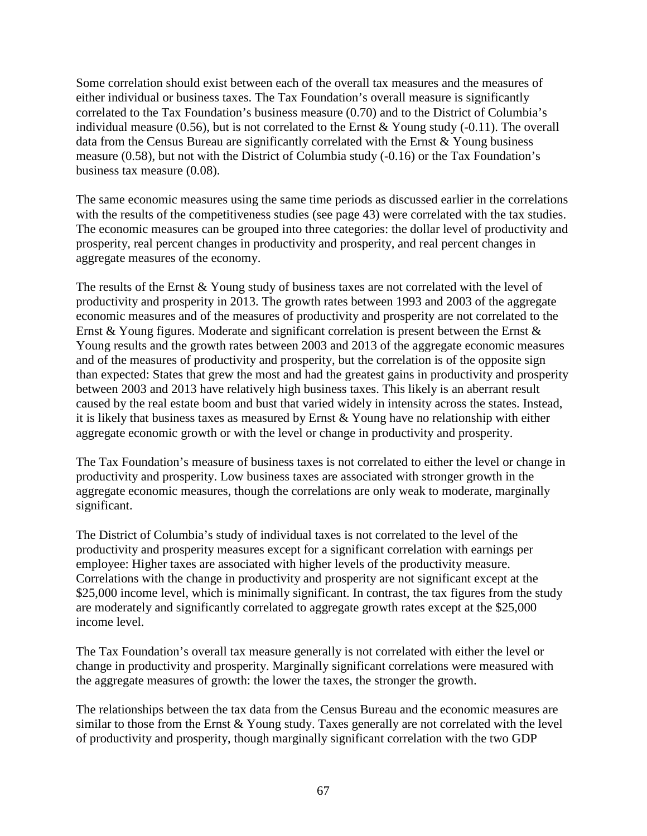Some correlation should exist between each of the overall tax measures and the measures of either individual or business taxes. The Tax Foundation's overall measure is significantly correlated to the Tax Foundation's business measure (0.70) and to the District of Columbia's individual measure (0.56), but is not correlated to the Ernst  $\&$  Young study (-0.11). The overall data from the Census Bureau are significantly correlated with the Ernst & Young business measure (0.58), but not with the District of Columbia study (-0.16) or the Tax Foundation's business tax measure (0.08).

The same economic measures using the same time periods as discussed earlier in the correlations with the results of the competitiveness studies (see page 43) were correlated with the tax studies. The economic measures can be grouped into three categories: the dollar level of productivity and prosperity, real percent changes in productivity and prosperity, and real percent changes in aggregate measures of the economy.

The results of the Ernst & Young study of business taxes are not correlated with the level of productivity and prosperity in 2013. The growth rates between 1993 and 2003 of the aggregate economic measures and of the measures of productivity and prosperity are not correlated to the Ernst & Young figures. Moderate and significant correlation is present between the Ernst & Young results and the growth rates between 2003 and 2013 of the aggregate economic measures and of the measures of productivity and prosperity, but the correlation is of the opposite sign than expected: States that grew the most and had the greatest gains in productivity and prosperity between 2003 and 2013 have relatively high business taxes. This likely is an aberrant result caused by the real estate boom and bust that varied widely in intensity across the states. Instead, it is likely that business taxes as measured by Ernst & Young have no relationship with either aggregate economic growth or with the level or change in productivity and prosperity.

The Tax Foundation's measure of business taxes is not correlated to either the level or change in productivity and prosperity. Low business taxes are associated with stronger growth in the aggregate economic measures, though the correlations are only weak to moderate, marginally significant.

The District of Columbia's study of individual taxes is not correlated to the level of the productivity and prosperity measures except for a significant correlation with earnings per employee: Higher taxes are associated with higher levels of the productivity measure. Correlations with the change in productivity and prosperity are not significant except at the \$25,000 income level, which is minimally significant. In contrast, the tax figures from the study are moderately and significantly correlated to aggregate growth rates except at the \$25,000 income level.

The Tax Foundation's overall tax measure generally is not correlated with either the level or change in productivity and prosperity. Marginally significant correlations were measured with the aggregate measures of growth: the lower the taxes, the stronger the growth.

The relationships between the tax data from the Census Bureau and the economic measures are similar to those from the Ernst  $&$  Young study. Taxes generally are not correlated with the level of productivity and prosperity, though marginally significant correlation with the two GDP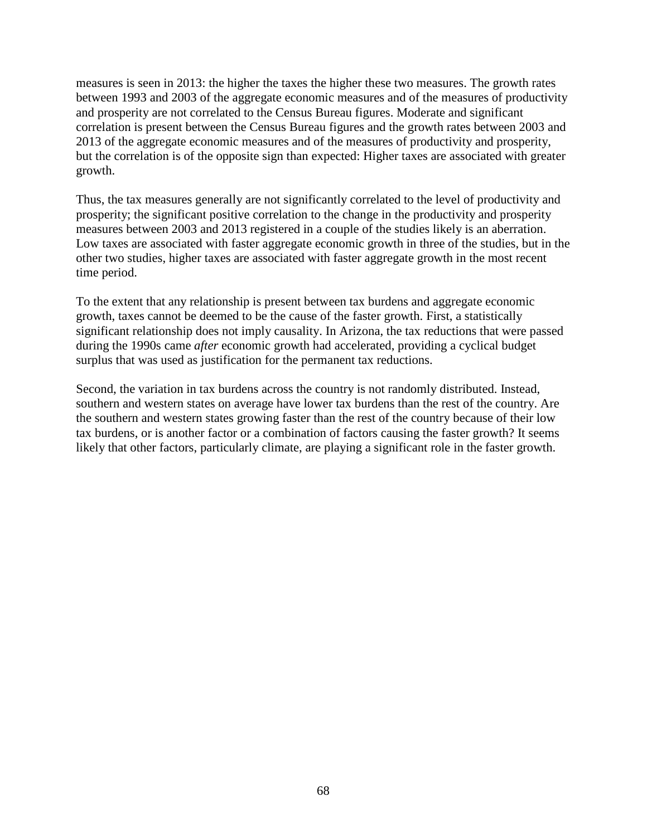measures is seen in 2013: the higher the taxes the higher these two measures. The growth rates between 1993 and 2003 of the aggregate economic measures and of the measures of productivity and prosperity are not correlated to the Census Bureau figures. Moderate and significant correlation is present between the Census Bureau figures and the growth rates between 2003 and 2013 of the aggregate economic measures and of the measures of productivity and prosperity, but the correlation is of the opposite sign than expected: Higher taxes are associated with greater growth.

Thus, the tax measures generally are not significantly correlated to the level of productivity and prosperity; the significant positive correlation to the change in the productivity and prosperity measures between 2003 and 2013 registered in a couple of the studies likely is an aberration. Low taxes are associated with faster aggregate economic growth in three of the studies, but in the other two studies, higher taxes are associated with faster aggregate growth in the most recent time period.

To the extent that any relationship is present between tax burdens and aggregate economic growth, taxes cannot be deemed to be the cause of the faster growth. First, a statistically significant relationship does not imply causality. In Arizona, the tax reductions that were passed during the 1990s came *after* economic growth had accelerated, providing a cyclical budget surplus that was used as justification for the permanent tax reductions.

Second, the variation in tax burdens across the country is not randomly distributed. Instead, southern and western states on average have lower tax burdens than the rest of the country. Are the southern and western states growing faster than the rest of the country because of their low tax burdens, or is another factor or a combination of factors causing the faster growth? It seems likely that other factors, particularly climate, are playing a significant role in the faster growth.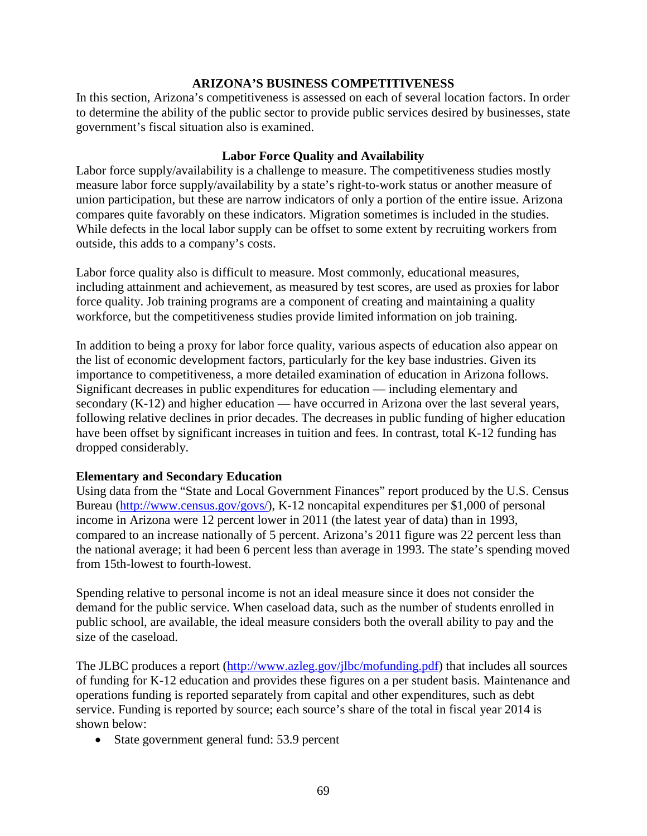#### **ARIZONA'S BUSINESS COMPETITIVENESS**

In this section, Arizona's competitiveness is assessed on each of several location factors. In order to determine the ability of the public sector to provide public services desired by businesses, state government's fiscal situation also is examined.

### **Labor Force Quality and Availability**

Labor force supply/availability is a challenge to measure. The competitiveness studies mostly measure labor force supply/availability by a state's right-to-work status or another measure of union participation, but these are narrow indicators of only a portion of the entire issue. Arizona compares quite favorably on these indicators. Migration sometimes is included in the studies. While defects in the local labor supply can be offset to some extent by recruiting workers from outside, this adds to a company's costs.

Labor force quality also is difficult to measure. Most commonly, educational measures, including attainment and achievement, as measured by test scores, are used as proxies for labor force quality. Job training programs are a component of creating and maintaining a quality workforce, but the competitiveness studies provide limited information on job training.

In addition to being a proxy for labor force quality, various aspects of education also appear on the list of economic development factors, particularly for the key base industries. Given its importance to competitiveness, a more detailed examination of education in Arizona follows. Significant decreases in public expenditures for education — including elementary and secondary (K-12) and higher education — have occurred in Arizona over the last several years, following relative declines in prior decades. The decreases in public funding of higher education have been offset by significant increases in tuition and fees. In contrast, total K-12 funding has dropped considerably.

#### **Elementary and Secondary Education**

Using data from the "State and Local Government Finances" report produced by the U.S. Census Bureau [\(http://www.census.gov/govs/\)](http://www.census.gov/govs/), K-12 noncapital expenditures per \$1,000 of personal income in Arizona were 12 percent lower in 2011 (the latest year of data) than in 1993, compared to an increase nationally of 5 percent. Arizona's 2011 figure was 22 percent less than the national average; it had been 6 percent less than average in 1993. The state's spending moved from 15th-lowest to fourth-lowest.

Spending relative to personal income is not an ideal measure since it does not consider the demand for the public service. When caseload data, such as the number of students enrolled in public school, are available, the ideal measure considers both the overall ability to pay and the size of the caseload.

The JLBC produces a report [\(http://www.azleg.gov/jlbc/mofunding.pdf\)](http://www.azleg.gov/jlbc/mofunding.pdf) that includes all sources of funding for K-12 education and provides these figures on a per student basis. Maintenance and operations funding is reported separately from capital and other expenditures, such as debt service. Funding is reported by source; each source's share of the total in fiscal year 2014 is shown below:

• State government general fund: 53.9 percent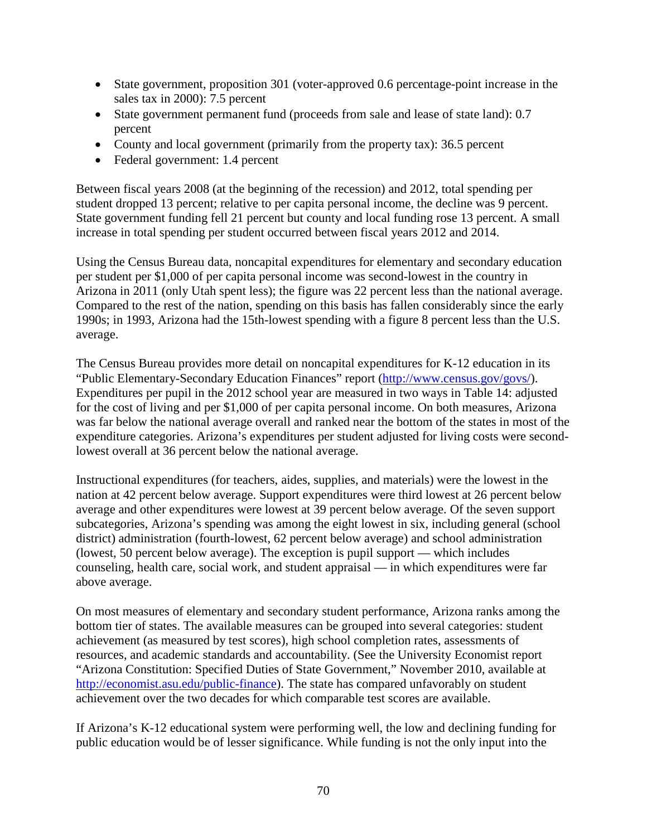- State government, proposition 301 (voter-approved 0.6 percentage-point increase in the sales tax in 2000): 7.5 percent
- State government permanent fund (proceeds from sale and lease of state land): 0.7 percent
- County and local government (primarily from the property tax): 36.5 percent
- Federal government: 1.4 percent

Between fiscal years 2008 (at the beginning of the recession) and 2012, total spending per student dropped 13 percent; relative to per capita personal income, the decline was 9 percent. State government funding fell 21 percent but county and local funding rose 13 percent. A small increase in total spending per student occurred between fiscal years 2012 and 2014.

Using the Census Bureau data, noncapital expenditures for elementary and secondary education per student per \$1,000 of per capita personal income was second-lowest in the country in Arizona in 2011 (only Utah spent less); the figure was 22 percent less than the national average. Compared to the rest of the nation, spending on this basis has fallen considerably since the early 1990s; in 1993, Arizona had the 15th-lowest spending with a figure 8 percent less than the U.S. average.

The Census Bureau provides more detail on noncapital expenditures for K-12 education in its "Public Elementary-Secondary Education Finances" report [\(http://www.census.gov/govs/\)](http://www.census.gov/govs/). Expenditures per pupil in the 2012 school year are measured in two ways in Table 14: adjusted for the cost of living and per \$1,000 of per capita personal income. On both measures, Arizona was far below the national average overall and ranked near the bottom of the states in most of the expenditure categories. Arizona's expenditures per student adjusted for living costs were secondlowest overall at 36 percent below the national average.

Instructional expenditures (for teachers, aides, supplies, and materials) were the lowest in the nation at 42 percent below average. Support expenditures were third lowest at 26 percent below average and other expenditures were lowest at 39 percent below average. Of the seven support subcategories, Arizona's spending was among the eight lowest in six, including general (school district) administration (fourth-lowest, 62 percent below average) and school administration (lowest, 50 percent below average). The exception is pupil support — which includes counseling, health care, social work, and student appraisal — in which expenditures were far above average.

On most measures of elementary and secondary student performance, Arizona ranks among the bottom tier of states. The available measures can be grouped into several categories: student achievement (as measured by test scores), high school completion rates, assessments of resources, and academic standards and accountability. (See the University Economist report "Arizona Constitution: Specified Duties of State Government," November 2010, available at [http://economist.asu.edu/public-finance\)](http://economist.asu.edu/public-finance). The state has compared unfavorably on student achievement over the two decades for which comparable test scores are available.

If Arizona's K-12 educational system were performing well, the low and declining funding for public education would be of lesser significance. While funding is not the only input into the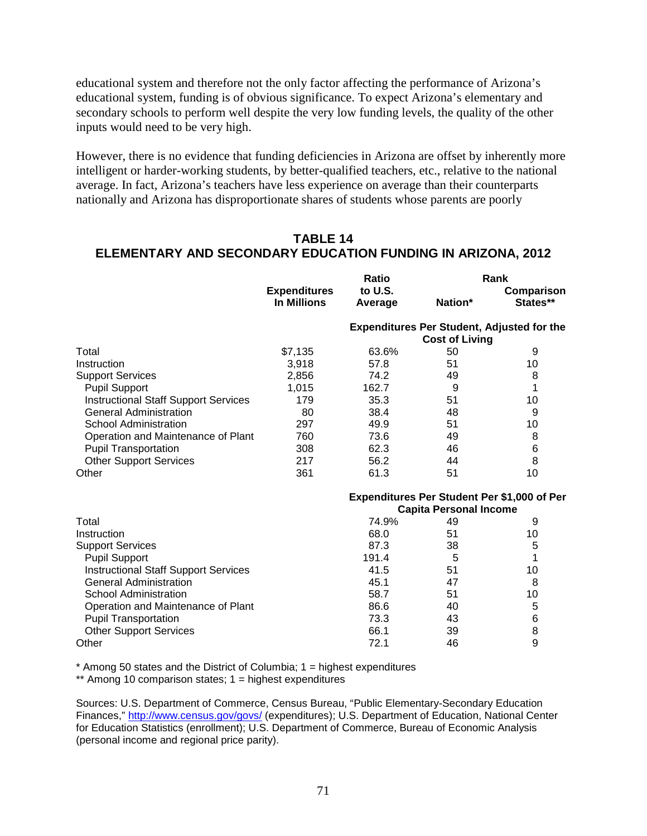educational system and therefore not the only factor affecting the performance of Arizona's educational system, funding is of obvious significance. To expect Arizona's elementary and secondary schools to perform well despite the very low funding levels, the quality of the other inputs would need to be very high.

However, there is no evidence that funding deficiencies in Arizona are offset by inherently more intelligent or harder-working students, by better-qualified teachers, etc., relative to the national average. In fact, Arizona's teachers have less experience on average than their counterparts nationally and Arizona has disproportionate shares of students whose parents are poorly

# **TABLE 14 ELEMENTARY AND SECONDARY EDUCATION FUNDING IN ARIZONA, 2012**

|                                             | <b>Expenditures</b><br><b>In Millions</b> | Ratio                                             | Rank    |                        |
|---------------------------------------------|-------------------------------------------|---------------------------------------------------|---------|------------------------|
|                                             |                                           | to U.S.<br>Average                                | Nation* | Comparison<br>States** |
|                                             |                                           | <b>Expenditures Per Student, Adjusted for the</b> |         |                        |
|                                             |                                           | <b>Cost of Living</b>                             |         |                        |
| Total                                       | \$7,135                                   | 63.6%                                             | 50      | 9                      |
| Instruction                                 | 3,918                                     | 57.8                                              | 51      | 10                     |
| <b>Support Services</b>                     | 2,856                                     | 74.2                                              | 49      | 8                      |
| <b>Pupil Support</b>                        | 1,015                                     | 162.7                                             | 9       | 1                      |
| <b>Instructional Staff Support Services</b> | 179                                       | 35.3                                              | 51      | 10                     |
| <b>General Administration</b>               | 80                                        | 38.4                                              | 48      | 9                      |
| <b>School Administration</b>                | 297                                       | 49.9                                              | 51      | 10                     |
| Operation and Maintenance of Plant          | 760                                       | 73.6                                              | 49      | 8                      |
| <b>Pupil Transportation</b>                 | 308                                       | 62.3                                              | 46      | 6                      |
| <b>Other Support Services</b>               | 217                                       | 56.2                                              | 44      | 8                      |
| Other                                       | 361                                       | 61.3                                              | 51      | 10                     |
|                                             |                                           | Expenditures Per Student Per \$1,000 of Per       |         |                        |
|                                             |                                           | <b>Capita Personal Income</b>                     |         |                        |
| Total                                       |                                           | 74.9%                                             | 49      | 9                      |
| Instruction                                 |                                           | 68.0                                              | 51      | 10                     |
| <b>Support Services</b>                     |                                           | 87.3                                              | 38      | 5                      |
| <b>Pupil Support</b>                        |                                           | 191.4                                             | 5       | 1                      |
| <b>Instructional Staff Support Services</b> |                                           | 41.5                                              | 51      | 10                     |
| <b>General Administration</b>               |                                           | 45.1                                              | 47      | 8                      |
| <b>School Administration</b>                |                                           | 58.7                                              | 51      | 10                     |
| Operation and Maintenance of Plant          |                                           | 86.6                                              | 40      | 5                      |
| <b>Pupil Transportation</b>                 |                                           | 73.3                                              | 43      | 6                      |
| <b>Other Support Services</b>               |                                           | 66.1                                              | 39      | 8                      |
| Other                                       |                                           | 72.1                                              | 46      | 9                      |

 $*$  Among 50 states and the District of Columbia;  $1 =$  highest expenditures

\*\* Among 10 comparison states; 1 = highest expenditures

Sources: U.S. Department of Commerce, Census Bureau, "Public Elementary-Secondary Education Finances,"<http://www.census.gov/govs/> (expenditures); U.S. Department of Education, National Center for Education Statistics (enrollment); U.S. Department of Commerce, Bureau of Economic Analysis (personal income and regional price parity).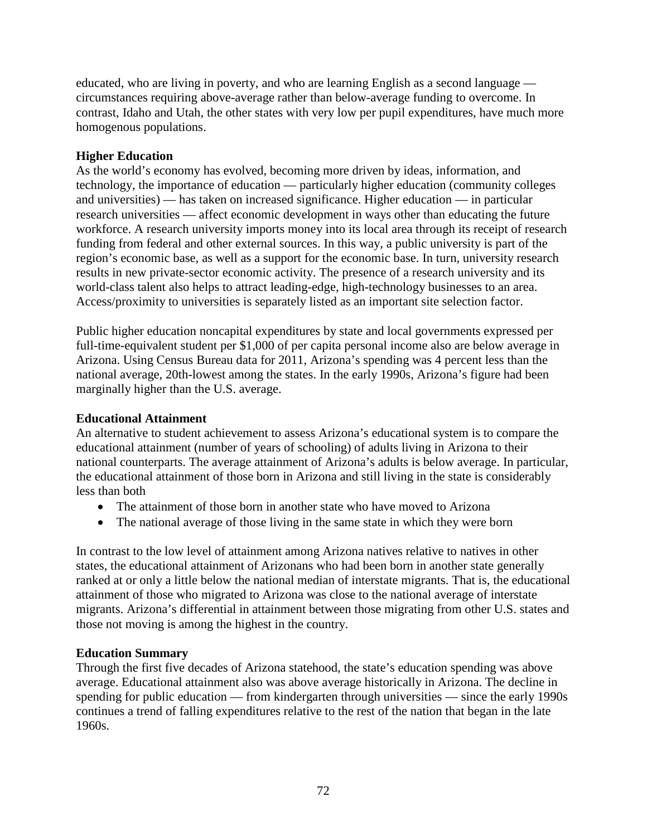educated, who are living in poverty, and who are learning English as a second language circumstances requiring above-average rather than below-average funding to overcome. In contrast, Idaho and Utah, the other states with very low per pupil expenditures, have much more homogenous populations.

### **Higher Education**

As the world's economy has evolved, becoming more driven by ideas, information, and technology, the importance of education — particularly higher education (community colleges and universities) — has taken on increased significance. Higher education — in particular research universities — affect economic development in ways other than educating the future workforce. A research university imports money into its local area through its receipt of research funding from federal and other external sources. In this way, a public university is part of the region's economic base, as well as a support for the economic base. In turn, university research results in new private-sector economic activity. The presence of a research university and its world-class talent also helps to attract leading-edge, high-technology businesses to an area. Access/proximity to universities is separately listed as an important site selection factor.

Public higher education noncapital expenditures by state and local governments expressed per full-time-equivalent student per \$1,000 of per capita personal income also are below average in Arizona. Using Census Bureau data for 2011, Arizona's spending was 4 percent less than the national average, 20th-lowest among the states. In the early 1990s, Arizona's figure had been marginally higher than the U.S. average.

#### **Educational Attainment**

An alternative to student achievement to assess Arizona's educational system is to compare the educational attainment (number of years of schooling) of adults living in Arizona to their national counterparts. The average attainment of Arizona's adults is below average. In particular, the educational attainment of those born in Arizona and still living in the state is considerably less than both

- The attainment of those born in another state who have moved to Arizona
- The national average of those living in the same state in which they were born

In contrast to the low level of attainment among Arizona natives relative to natives in other states, the educational attainment of Arizonans who had been born in another state generally ranked at or only a little below the national median of interstate migrants. That is, the educational attainment of those who migrated to Arizona was close to the national average of interstate migrants. Arizona's differential in attainment between those migrating from other U.S. states and those not moving is among the highest in the country.

#### **Education Summary**

Through the first five decades of Arizona statehood, the state's education spending was above average. Educational attainment also was above average historically in Arizona. The decline in spending for public education — from kindergarten through universities — since the early 1990s continues a trend of falling expenditures relative to the rest of the nation that began in the late 1960s.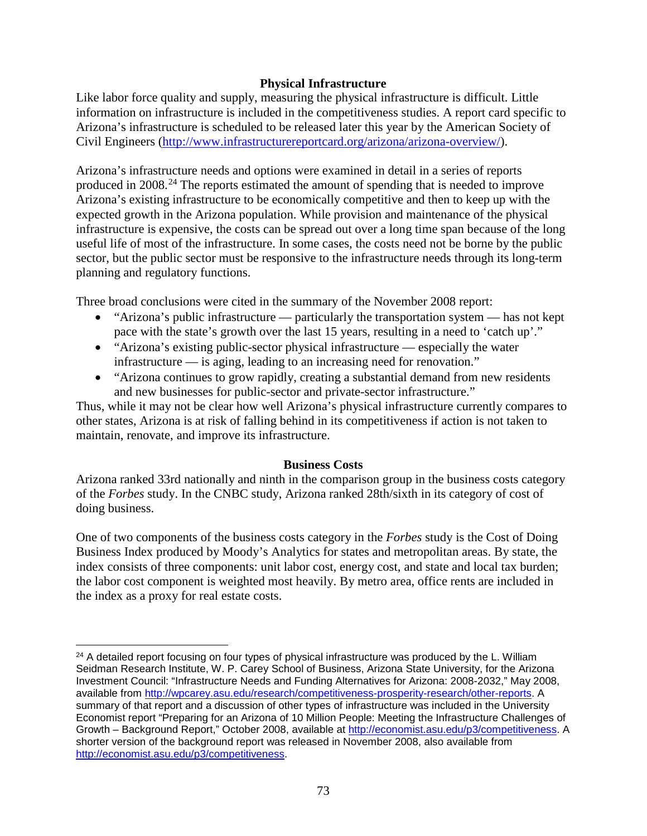### **Physical Infrastructure**

Like labor force quality and supply, measuring the physical infrastructure is difficult. Little information on infrastructure is included in the competitiveness studies. A report card specific to Arizona's infrastructure is scheduled to be released later this year by the American Society of Civil Engineers [\(http://www.infrastructurereportcard.org/arizona/arizona-overview/\)](http://www.infrastructurereportcard.org/arizona/arizona-overview/).

Arizona's infrastructure needs and options were examined in detail in a series of reports produced in 2008.<sup>[24](#page-74-0)</sup> The reports estimated the amount of spending that is needed to improve Arizona's existing infrastructure to be economically competitive and then to keep up with the expected growth in the Arizona population. While provision and maintenance of the physical infrastructure is expensive, the costs can be spread out over a long time span because of the long useful life of most of the infrastructure. In some cases, the costs need not be borne by the public sector, but the public sector must be responsive to the infrastructure needs through its long-term planning and regulatory functions.

Three broad conclusions were cited in the summary of the November 2008 report:

- "Arizona's public infrastructure particularly the transportation system has not kept pace with the state's growth over the last 15 years, resulting in a need to 'catch up'."
- "Arizona's existing public-sector physical infrastructure especially the water infrastructure — is aging, leading to an increasing need for renovation."
- "Arizona continues to grow rapidly, creating a substantial demand from new residents and new businesses for public-sector and private-sector infrastructure."

Thus, while it may not be clear how well Arizona's physical infrastructure currently compares to other states, Arizona is at risk of falling behind in its competitiveness if action is not taken to maintain, renovate, and improve its infrastructure.

#### **Business Costs**

Arizona ranked 33rd nationally and ninth in the comparison group in the business costs category of the *Forbes* study. In the CNBC study, Arizona ranked 28th/sixth in its category of cost of doing business.

One of two components of the business costs category in the *Forbes* study is the Cost of Doing Business Index produced by Moody's Analytics for states and metropolitan areas. By state, the index consists of three components: unit labor cost, energy cost, and state and local tax burden; the labor cost component is weighted most heavily. By metro area, office rents are included in the index as a proxy for real estate costs.

 $\overline{\phantom{a}}$ 

<span id="page-74-0"></span><sup>&</sup>lt;sup>24</sup> A detailed report focusing on four types of physical infrastructure was produced by the L. William Seidman Research Institute, W. P. Carey School of Business, Arizona State University, for the Arizona Investment Council: "Infrastructure Needs and Funding Alternatives for Arizona: 2008-2032," May 2008, available from [http://wpcarey.asu.edu/research/competitiveness-prosperity-research/other-reports.](http://wpcarey.asu.edu/research/competitiveness-prosperity-research/other-reports) A summary of that report and a discussion of other types of infrastructure was included in the University Economist report "Preparing for an Arizona of 10 Million People: Meeting the Infrastructure Challenges of Growth – Background Report," October 2008, available at [http://economist.asu.edu/p3/competitiveness.](http://economist.asu.edu/p3/competitiveness) A shorter version of the background report was released in November 2008, also available from [http://economist.asu.edu/p3/competitiveness.](http://economist.asu.edu/p3/competitiveness)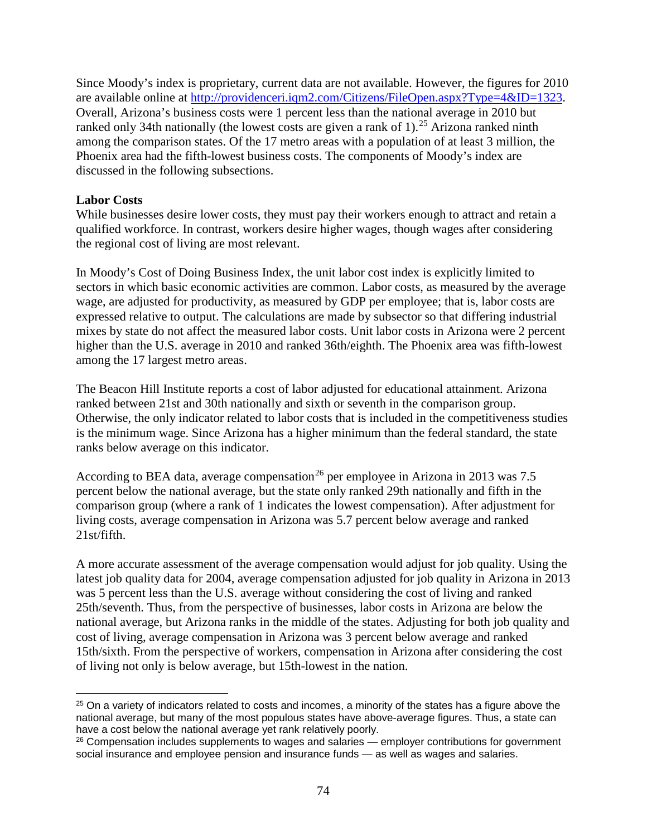Since Moody's index is proprietary, current data are not available. However, the figures for 2010 are available online at [http://providenceri.iqm2.com/Citizens/FileOpen.aspx?Type=4&ID=1323.](http://providenceri.iqm2.com/Citizens/FileOpen.aspx?Type=4&ID=1323) Overall, Arizona's business costs were 1 percent less than the national average in 2010 but ranked only 34th nationally (the lowest costs are given a rank of 1).<sup>[25](#page-75-0)</sup> Arizona ranked ninth among the comparison states. Of the 17 metro areas with a population of at least 3 million, the Phoenix area had the fifth-lowest business costs. The components of Moody's index are discussed in the following subsections.

### **Labor Costs**

 $\overline{\phantom{a}}$ 

While businesses desire lower costs, they must pay their workers enough to attract and retain a qualified workforce. In contrast, workers desire higher wages, though wages after considering the regional cost of living are most relevant.

In Moody's Cost of Doing Business Index, the unit labor cost index is explicitly limited to sectors in which basic economic activities are common. Labor costs, as measured by the average wage, are adjusted for productivity, as measured by GDP per employee; that is, labor costs are expressed relative to output. The calculations are made by subsector so that differing industrial mixes by state do not affect the measured labor costs. Unit labor costs in Arizona were 2 percent higher than the U.S. average in 2010 and ranked 36th/eighth. The Phoenix area was fifth-lowest among the 17 largest metro areas.

The Beacon Hill Institute reports a cost of labor adjusted for educational attainment. Arizona ranked between 21st and 30th nationally and sixth or seventh in the comparison group. Otherwise, the only indicator related to labor costs that is included in the competitiveness studies is the minimum wage. Since Arizona has a higher minimum than the federal standard, the state ranks below average on this indicator.

According to BEA data, average compensation<sup>[26](#page-75-1)</sup> per employee in Arizona in 2013 was 7.5 percent below the national average, but the state only ranked 29th nationally and fifth in the comparison group (where a rank of 1 indicates the lowest compensation). After adjustment for living costs, average compensation in Arizona was 5.7 percent below average and ranked 21st/fifth.

A more accurate assessment of the average compensation would adjust for job quality. Using the latest job quality data for 2004, average compensation adjusted for job quality in Arizona in 2013 was 5 percent less than the U.S. average without considering the cost of living and ranked 25th/seventh. Thus, from the perspective of businesses, labor costs in Arizona are below the national average, but Arizona ranks in the middle of the states. Adjusting for both job quality and cost of living, average compensation in Arizona was 3 percent below average and ranked 15th/sixth. From the perspective of workers, compensation in Arizona after considering the cost of living not only is below average, but 15th-lowest in the nation.

<span id="page-75-0"></span><sup>&</sup>lt;sup>25</sup> On a variety of indicators related to costs and incomes, a minority of the states has a figure above the national average, but many of the most populous states have above-average figures. Thus, a state can have a cost below the national average yet rank relatively poorly.

<span id="page-75-1"></span><sup>&</sup>lt;sup>26</sup> Compensation includes supplements to wages and salaries — employer contributions for government social insurance and employee pension and insurance funds — as well as wages and salaries.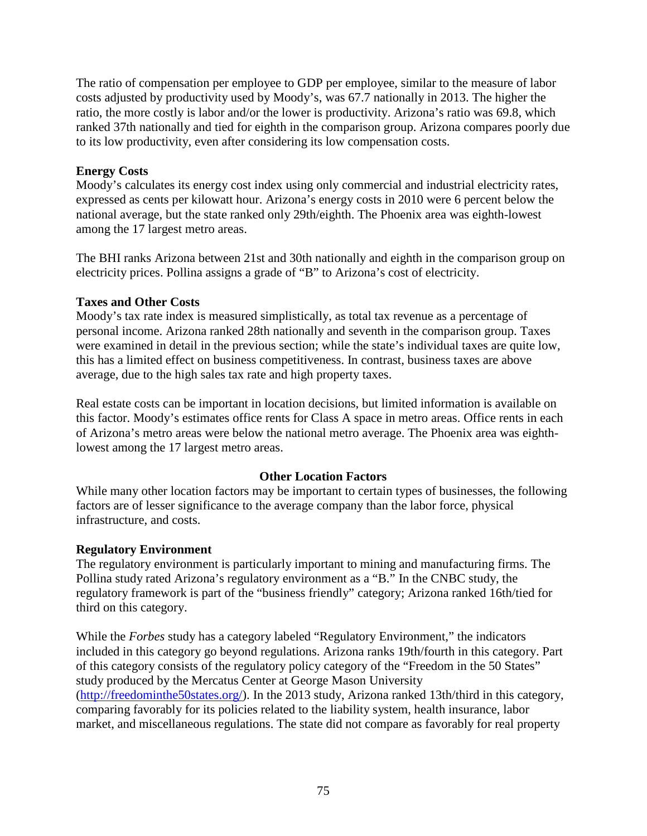The ratio of compensation per employee to GDP per employee, similar to the measure of labor costs adjusted by productivity used by Moody's, was 67.7 nationally in 2013. The higher the ratio, the more costly is labor and/or the lower is productivity. Arizona's ratio was 69.8, which ranked 37th nationally and tied for eighth in the comparison group. Arizona compares poorly due to its low productivity, even after considering its low compensation costs.

# **Energy Costs**

Moody's calculates its energy cost index using only commercial and industrial electricity rates, expressed as cents per kilowatt hour. Arizona's energy costs in 2010 were 6 percent below the national average, but the state ranked only 29th/eighth. The Phoenix area was eighth-lowest among the 17 largest metro areas.

The BHI ranks Arizona between 21st and 30th nationally and eighth in the comparison group on electricity prices. Pollina assigns a grade of "B" to Arizona's cost of electricity.

### **Taxes and Other Costs**

Moody's tax rate index is measured simplistically, as total tax revenue as a percentage of personal income. Arizona ranked 28th nationally and seventh in the comparison group. Taxes were examined in detail in the previous section; while the state's individual taxes are quite low, this has a limited effect on business competitiveness. In contrast, business taxes are above average, due to the high sales tax rate and high property taxes.

Real estate costs can be important in location decisions, but limited information is available on this factor. Moody's estimates office rents for Class A space in metro areas. Office rents in each of Arizona's metro areas were below the national metro average. The Phoenix area was eighthlowest among the 17 largest metro areas.

# **Other Location Factors**

While many other location factors may be important to certain types of businesses, the following factors are of lesser significance to the average company than the labor force, physical infrastructure, and costs.

# **Regulatory Environment**

The regulatory environment is particularly important to mining and manufacturing firms. The Pollina study rated Arizona's regulatory environment as a "B." In the CNBC study, the regulatory framework is part of the "business friendly" category; Arizona ranked 16th/tied for third on this category.

While the *Forbes* study has a category labeled "Regulatory Environment," the indicators included in this category go beyond regulations. Arizona ranks 19th/fourth in this category. Part of this category consists of the regulatory policy category of the "Freedom in the 50 States" study produced by the Mercatus Center at George Mason University [\(http://freedominthe50states.org/\)](http://freedominthe50states.org/). In the 2013 study, Arizona ranked 13th/third in this category, comparing favorably for its policies related to the liability system, health insurance, labor market, and miscellaneous regulations. The state did not compare as favorably for real property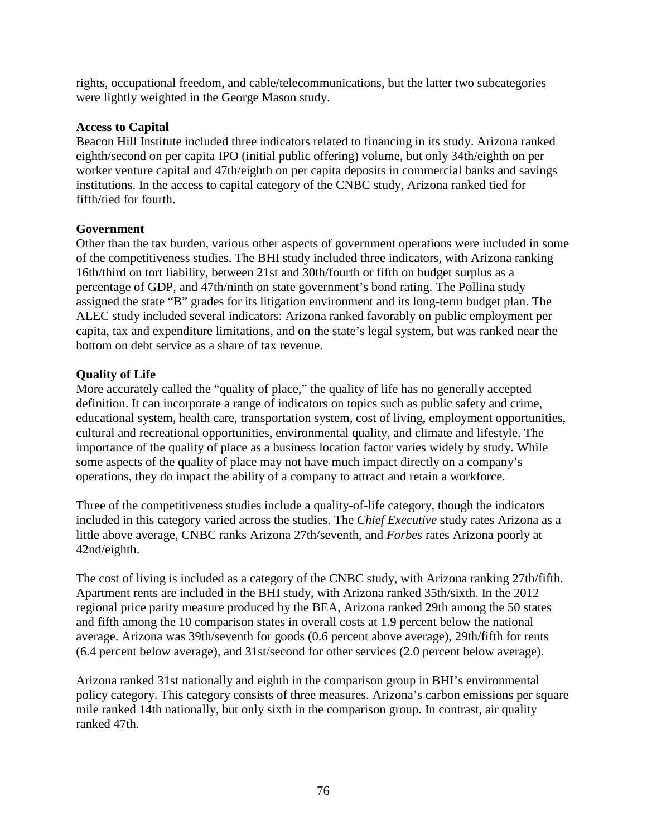rights, occupational freedom, and cable/telecommunications, but the latter two subcategories were lightly weighted in the George Mason study.

### **Access to Capital**

Beacon Hill Institute included three indicators related to financing in its study. Arizona ranked eighth/second on per capita IPO (initial public offering) volume, but only 34th/eighth on per worker venture capital and 47th/eighth on per capita deposits in commercial banks and savings institutions. In the access to capital category of the CNBC study, Arizona ranked tied for fifth/tied for fourth.

### **Government**

Other than the tax burden, various other aspects of government operations were included in some of the competitiveness studies. The BHI study included three indicators, with Arizona ranking 16th/third on tort liability, between 21st and 30th/fourth or fifth on budget surplus as a percentage of GDP, and 47th/ninth on state government's bond rating. The Pollina study assigned the state "B" grades for its litigation environment and its long-term budget plan. The ALEC study included several indicators: Arizona ranked favorably on public employment per capita, tax and expenditure limitations, and on the state's legal system, but was ranked near the bottom on debt service as a share of tax revenue.

### **Quality of Life**

More accurately called the "quality of place," the quality of life has no generally accepted definition. It can incorporate a range of indicators on topics such as public safety and crime, educational system, health care, transportation system, cost of living, employment opportunities, cultural and recreational opportunities, environmental quality, and climate and lifestyle. The importance of the quality of place as a business location factor varies widely by study. While some aspects of the quality of place may not have much impact directly on a company's operations, they do impact the ability of a company to attract and retain a workforce.

Three of the competitiveness studies include a quality-of-life category, though the indicators included in this category varied across the studies. The *Chief Executive* study rates Arizona as a little above average, CNBC ranks Arizona 27th/seventh, and *Forbes* rates Arizona poorly at 42nd/eighth.

The cost of living is included as a category of the CNBC study, with Arizona ranking 27th/fifth. Apartment rents are included in the BHI study, with Arizona ranked 35th/sixth. In the 2012 regional price parity measure produced by the BEA, Arizona ranked 29th among the 50 states and fifth among the 10 comparison states in overall costs at 1.9 percent below the national average. Arizona was 39th/seventh for goods (0.6 percent above average), 29th/fifth for rents (6.4 percent below average), and 31st/second for other services (2.0 percent below average).

Arizona ranked 31st nationally and eighth in the comparison group in BHI's environmental policy category. This category consists of three measures. Arizona's carbon emissions per square mile ranked 14th nationally, but only sixth in the comparison group. In contrast, air quality ranked 47th.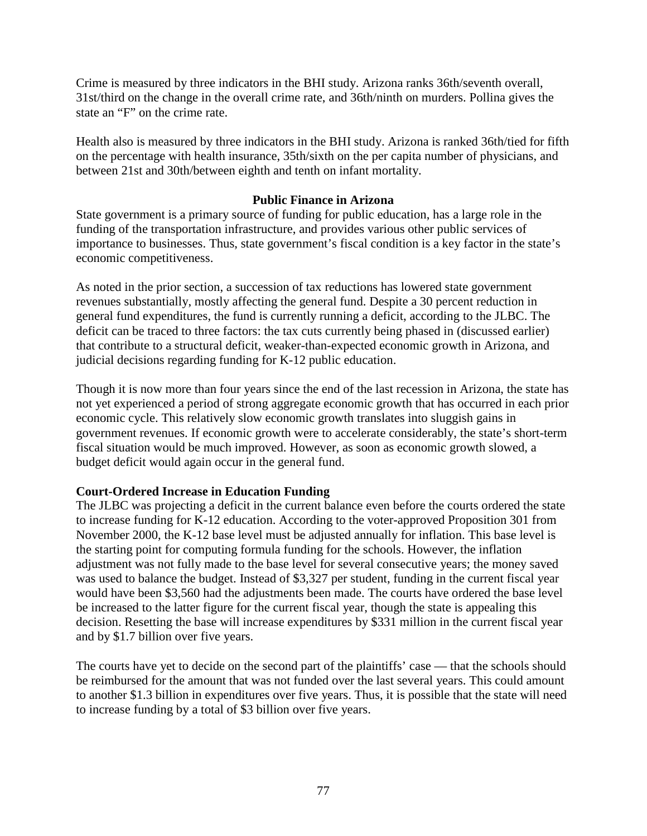Crime is measured by three indicators in the BHI study. Arizona ranks 36th/seventh overall, 31st/third on the change in the overall crime rate, and 36th/ninth on murders. Pollina gives the state an "F" on the crime rate.

Health also is measured by three indicators in the BHI study. Arizona is ranked 36th/tied for fifth on the percentage with health insurance, 35th/sixth on the per capita number of physicians, and between 21st and 30th/between eighth and tenth on infant mortality.

### **Public Finance in Arizona**

State government is a primary source of funding for public education, has a large role in the funding of the transportation infrastructure, and provides various other public services of importance to businesses. Thus, state government's fiscal condition is a key factor in the state's economic competitiveness.

As noted in the prior section, a succession of tax reductions has lowered state government revenues substantially, mostly affecting the general fund. Despite a 30 percent reduction in general fund expenditures, the fund is currently running a deficit, according to the JLBC. The deficit can be traced to three factors: the tax cuts currently being phased in (discussed earlier) that contribute to a structural deficit, weaker-than-expected economic growth in Arizona, and judicial decisions regarding funding for K-12 public education.

Though it is now more than four years since the end of the last recession in Arizona, the state has not yet experienced a period of strong aggregate economic growth that has occurred in each prior economic cycle. This relatively slow economic growth translates into sluggish gains in government revenues. If economic growth were to accelerate considerably, the state's short-term fiscal situation would be much improved. However, as soon as economic growth slowed, a budget deficit would again occur in the general fund.

# **Court-Ordered Increase in Education Funding**

The JLBC was projecting a deficit in the current balance even before the courts ordered the state to increase funding for K-12 education. According to the voter-approved Proposition 301 from November 2000, the K-12 base level must be adjusted annually for inflation. This base level is the starting point for computing formula funding for the schools. However, the inflation adjustment was not fully made to the base level for several consecutive years; the money saved was used to balance the budget. Instead of \$3,327 per student, funding in the current fiscal year would have been \$3,560 had the adjustments been made. The courts have ordered the base level be increased to the latter figure for the current fiscal year, though the state is appealing this decision. Resetting the base will increase expenditures by \$331 million in the current fiscal year and by \$1.7 billion over five years.

The courts have yet to decide on the second part of the plaintiffs' case — that the schools should be reimbursed for the amount that was not funded over the last several years. This could amount to another \$1.3 billion in expenditures over five years. Thus, it is possible that the state will need to increase funding by a total of \$3 billion over five years.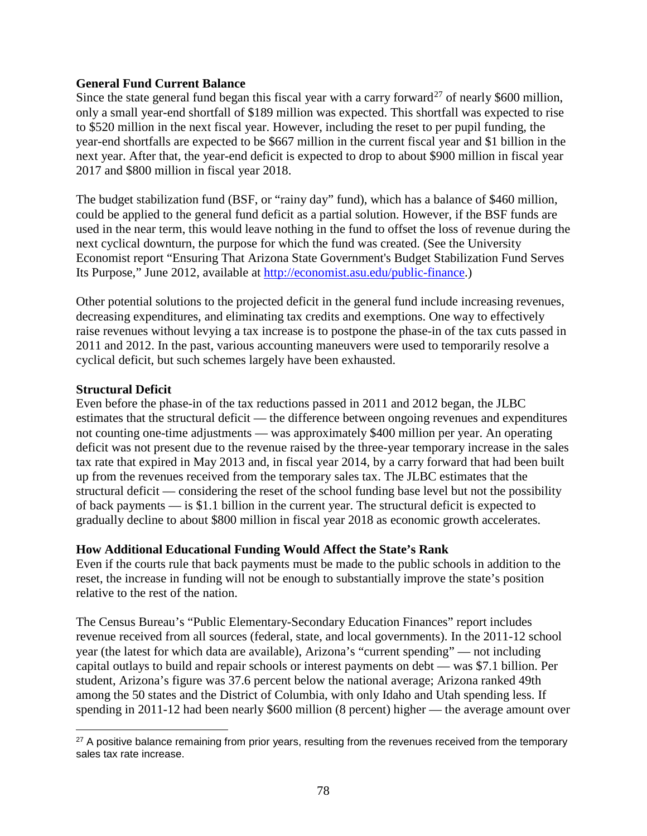#### **General Fund Current Balance**

Since the state general fund began this fiscal year with a carry forward<sup>[27](#page-79-0)</sup> of nearly \$600 million, only a small year-end shortfall of \$189 million was expected. This shortfall was expected to rise to \$520 million in the next fiscal year. However, including the reset to per pupil funding, the year-end shortfalls are expected to be \$667 million in the current fiscal year and \$1 billion in the next year. After that, the year-end deficit is expected to drop to about \$900 million in fiscal year 2017 and \$800 million in fiscal year 2018.

The budget stabilization fund (BSF, or "rainy day" fund), which has a balance of \$460 million, could be applied to the general fund deficit as a partial solution. However, if the BSF funds are used in the near term, this would leave nothing in the fund to offset the loss of revenue during the next cyclical downturn, the purpose for which the fund was created. (See the University Economist report "Ensuring That Arizona State Government's Budget Stabilization Fund Serves Its Purpose," June 2012, available at [http://economist.asu.edu/public-finance.](http://economist.asu.edu/public-finance))

Other potential solutions to the projected deficit in the general fund include increasing revenues, decreasing expenditures, and eliminating tax credits and exemptions. One way to effectively raise revenues without levying a tax increase is to postpone the phase-in of the tax cuts passed in 2011 and 2012. In the past, various accounting maneuvers were used to temporarily resolve a cyclical deficit, but such schemes largely have been exhausted.

### **Structural Deficit**

l

Even before the phase-in of the tax reductions passed in 2011 and 2012 began, the JLBC estimates that the structural deficit — the difference between ongoing revenues and expenditures not counting one-time adjustments — was approximately \$400 million per year. An operating deficit was not present due to the revenue raised by the three-year temporary increase in the sales tax rate that expired in May 2013 and, in fiscal year 2014, by a carry forward that had been built up from the revenues received from the temporary sales tax. The JLBC estimates that the structural deficit — considering the reset of the school funding base level but not the possibility of back payments — is \$1.1 billion in the current year. The structural deficit is expected to gradually decline to about \$800 million in fiscal year 2018 as economic growth accelerates.

#### **How Additional Educational Funding Would Affect the State's Rank**

Even if the courts rule that back payments must be made to the public schools in addition to the reset, the increase in funding will not be enough to substantially improve the state's position relative to the rest of the nation.

The Census Bureau's "Public Elementary-Secondary Education Finances" report includes revenue received from all sources (federal, state, and local governments). In the 2011-12 school year (the latest for which data are available), Arizona's "current spending" — not including capital outlays to build and repair schools or interest payments on debt — was \$7.1 billion. Per student, Arizona's figure was 37.6 percent below the national average; Arizona ranked 49th among the 50 states and the District of Columbia, with only Idaho and Utah spending less. If spending in 2011-12 had been nearly \$600 million (8 percent) higher — the average amount over

<span id="page-79-0"></span><sup>&</sup>lt;sup>27</sup> A positive balance remaining from prior years, resulting from the revenues received from the temporary sales tax rate increase.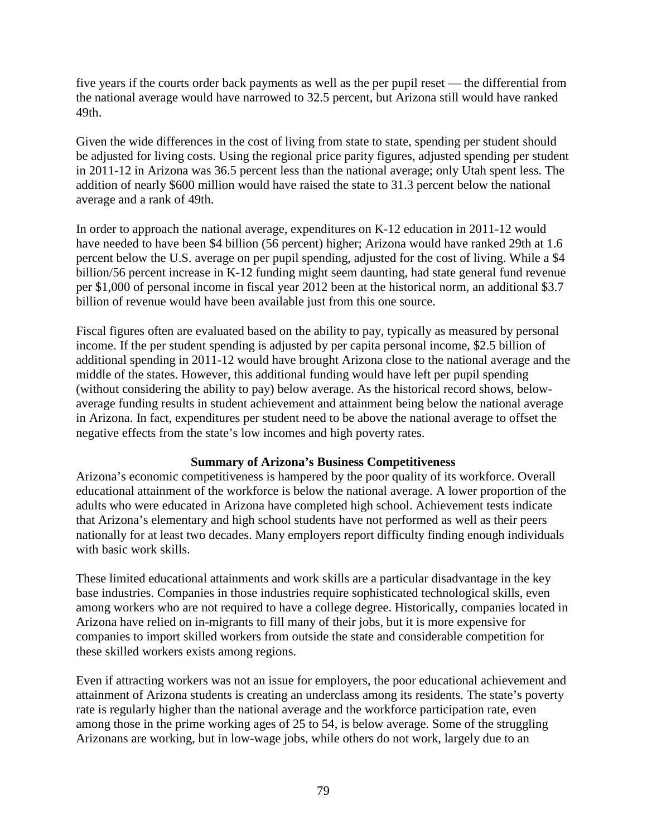five years if the courts order back payments as well as the per pupil reset — the differential from the national average would have narrowed to 32.5 percent, but Arizona still would have ranked 49th.

Given the wide differences in the cost of living from state to state, spending per student should be adjusted for living costs. Using the regional price parity figures, adjusted spending per student in 2011-12 in Arizona was 36.5 percent less than the national average; only Utah spent less. The addition of nearly \$600 million would have raised the state to 31.3 percent below the national average and a rank of 49th.

In order to approach the national average, expenditures on K-12 education in 2011-12 would have needed to have been \$4 billion (56 percent) higher; Arizona would have ranked 29th at 1.6 percent below the U.S. average on per pupil spending, adjusted for the cost of living. While a \$4 billion/56 percent increase in K-12 funding might seem daunting, had state general fund revenue per \$1,000 of personal income in fiscal year 2012 been at the historical norm, an additional \$3.7 billion of revenue would have been available just from this one source.

Fiscal figures often are evaluated based on the ability to pay, typically as measured by personal income. If the per student spending is adjusted by per capita personal income, \$2.5 billion of additional spending in 2011-12 would have brought Arizona close to the national average and the middle of the states. However, this additional funding would have left per pupil spending (without considering the ability to pay) below average. As the historical record shows, belowaverage funding results in student achievement and attainment being below the national average in Arizona. In fact, expenditures per student need to be above the national average to offset the negative effects from the state's low incomes and high poverty rates.

#### **Summary of Arizona's Business Competitiveness**

Arizona's economic competitiveness is hampered by the poor quality of its workforce. Overall educational attainment of the workforce is below the national average. A lower proportion of the adults who were educated in Arizona have completed high school. Achievement tests indicate that Arizona's elementary and high school students have not performed as well as their peers nationally for at least two decades. Many employers report difficulty finding enough individuals with basic work skills.

These limited educational attainments and work skills are a particular disadvantage in the key base industries. Companies in those industries require sophisticated technological skills, even among workers who are not required to have a college degree. Historically, companies located in Arizona have relied on in-migrants to fill many of their jobs, but it is more expensive for companies to import skilled workers from outside the state and considerable competition for these skilled workers exists among regions.

Even if attracting workers was not an issue for employers, the poor educational achievement and attainment of Arizona students is creating an underclass among its residents. The state's poverty rate is regularly higher than the national average and the workforce participation rate, even among those in the prime working ages of 25 to 54, is below average. Some of the struggling Arizonans are working, but in low-wage jobs, while others do not work, largely due to an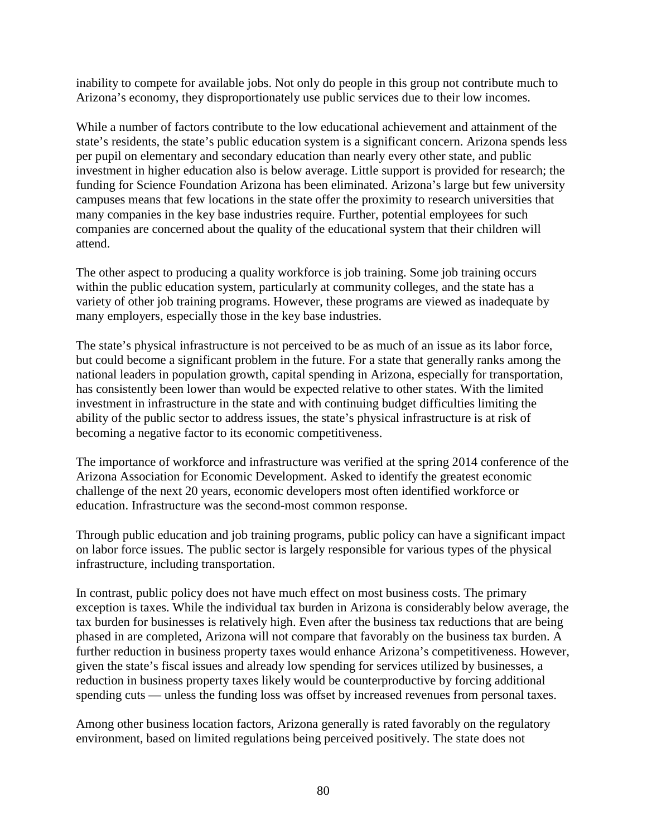inability to compete for available jobs. Not only do people in this group not contribute much to Arizona's economy, they disproportionately use public services due to their low incomes.

While a number of factors contribute to the low educational achievement and attainment of the state's residents, the state's public education system is a significant concern. Arizona spends less per pupil on elementary and secondary education than nearly every other state, and public investment in higher education also is below average. Little support is provided for research; the funding for Science Foundation Arizona has been eliminated. Arizona's large but few university campuses means that few locations in the state offer the proximity to research universities that many companies in the key base industries require. Further, potential employees for such companies are concerned about the quality of the educational system that their children will attend.

The other aspect to producing a quality workforce is job training. Some job training occurs within the public education system, particularly at community colleges, and the state has a variety of other job training programs. However, these programs are viewed as inadequate by many employers, especially those in the key base industries.

The state's physical infrastructure is not perceived to be as much of an issue as its labor force, but could become a significant problem in the future. For a state that generally ranks among the national leaders in population growth, capital spending in Arizona, especially for transportation, has consistently been lower than would be expected relative to other states. With the limited investment in infrastructure in the state and with continuing budget difficulties limiting the ability of the public sector to address issues, the state's physical infrastructure is at risk of becoming a negative factor to its economic competitiveness.

The importance of workforce and infrastructure was verified at the spring 2014 conference of the Arizona Association for Economic Development. Asked to identify the greatest economic challenge of the next 20 years, economic developers most often identified workforce or education. Infrastructure was the second-most common response.

Through public education and job training programs, public policy can have a significant impact on labor force issues. The public sector is largely responsible for various types of the physical infrastructure, including transportation.

In contrast, public policy does not have much effect on most business costs. The primary exception is taxes. While the individual tax burden in Arizona is considerably below average, the tax burden for businesses is relatively high. Even after the business tax reductions that are being phased in are completed, Arizona will not compare that favorably on the business tax burden. A further reduction in business property taxes would enhance Arizona's competitiveness. However, given the state's fiscal issues and already low spending for services utilized by businesses, a reduction in business property taxes likely would be counterproductive by forcing additional spending cuts — unless the funding loss was offset by increased revenues from personal taxes.

Among other business location factors, Arizona generally is rated favorably on the regulatory environment, based on limited regulations being perceived positively. The state does not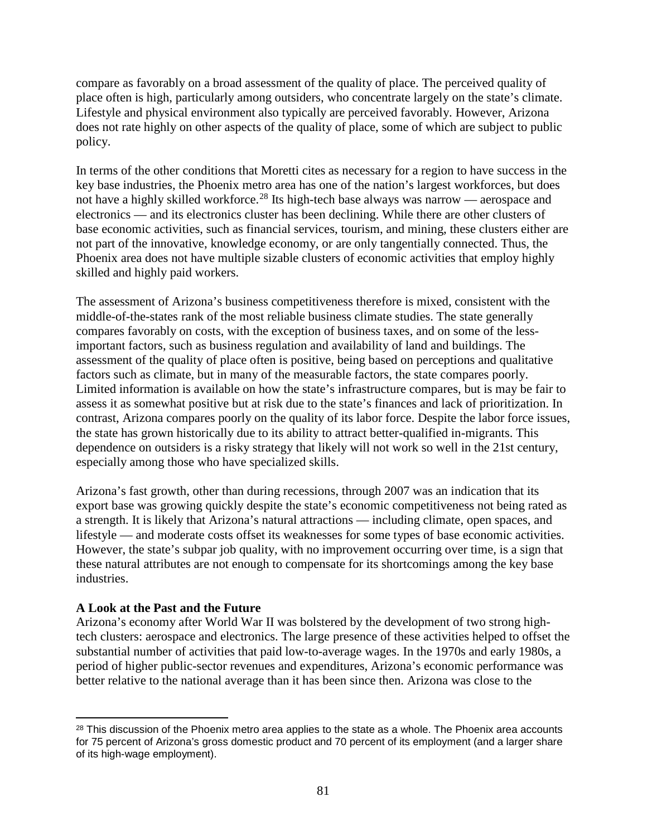compare as favorably on a broad assessment of the quality of place. The perceived quality of place often is high, particularly among outsiders, who concentrate largely on the state's climate. Lifestyle and physical environment also typically are perceived favorably. However, Arizona does not rate highly on other aspects of the quality of place, some of which are subject to public policy.

In terms of the other conditions that Moretti cites as necessary for a region to have success in the key base industries, the Phoenix metro area has one of the nation's largest workforces, but does not have a highly skilled workforce.<sup>[28](#page-82-0)</sup> Its high-tech base always was narrow — aerospace and electronics — and its electronics cluster has been declining. While there are other clusters of base economic activities, such as financial services, tourism, and mining, these clusters either are not part of the innovative, knowledge economy, or are only tangentially connected. Thus, the Phoenix area does not have multiple sizable clusters of economic activities that employ highly skilled and highly paid workers.

The assessment of Arizona's business competitiveness therefore is mixed, consistent with the middle-of-the-states rank of the most reliable business climate studies. The state generally compares favorably on costs, with the exception of business taxes, and on some of the lessimportant factors, such as business regulation and availability of land and buildings. The assessment of the quality of place often is positive, being based on perceptions and qualitative factors such as climate, but in many of the measurable factors, the state compares poorly. Limited information is available on how the state's infrastructure compares, but is may be fair to assess it as somewhat positive but at risk due to the state's finances and lack of prioritization. In contrast, Arizona compares poorly on the quality of its labor force. Despite the labor force issues, the state has grown historically due to its ability to attract better-qualified in-migrants. This dependence on outsiders is a risky strategy that likely will not work so well in the 21st century, especially among those who have specialized skills.

Arizona's fast growth, other than during recessions, through 2007 was an indication that its export base was growing quickly despite the state's economic competitiveness not being rated as a strength. It is likely that Arizona's natural attractions — including climate, open spaces, and lifestyle — and moderate costs offset its weaknesses for some types of base economic activities. However, the state's subpar job quality, with no improvement occurring over time, is a sign that these natural attributes are not enough to compensate for its shortcomings among the key base industries.

# **A Look at the Past and the Future**

Arizona's economy after World War II was bolstered by the development of two strong hightech clusters: aerospace and electronics. The large presence of these activities helped to offset the substantial number of activities that paid low-to-average wages. In the 1970s and early 1980s, a period of higher public-sector revenues and expenditures, Arizona's economic performance was better relative to the national average than it has been since then. Arizona was close to the

<span id="page-82-0"></span><sup>&</sup>lt;sup>28</sup> This discussion of the Phoenix metro area applies to the state as a whole. The Phoenix area accounts for 75 percent of Arizona's gross domestic product and 70 percent of its employment (and a larger share of its high-wage employment).  $\overline{\phantom{a}}$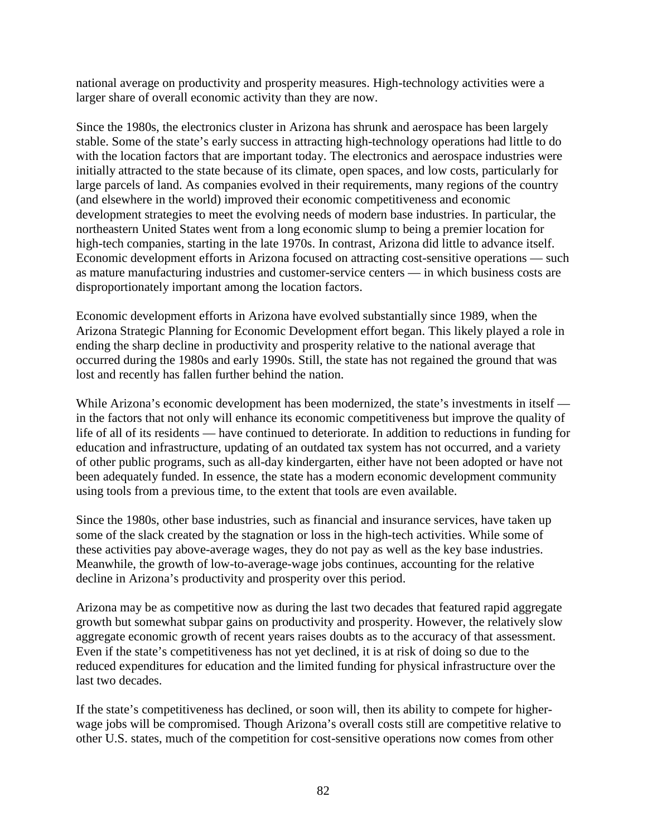national average on productivity and prosperity measures. High-technology activities were a larger share of overall economic activity than they are now.

Since the 1980s, the electronics cluster in Arizona has shrunk and aerospace has been largely stable. Some of the state's early success in attracting high-technology operations had little to do with the location factors that are important today. The electronics and aerospace industries were initially attracted to the state because of its climate, open spaces, and low costs, particularly for large parcels of land. As companies evolved in their requirements, many regions of the country (and elsewhere in the world) improved their economic competitiveness and economic development strategies to meet the evolving needs of modern base industries. In particular, the northeastern United States went from a long economic slump to being a premier location for high-tech companies, starting in the late 1970s. In contrast, Arizona did little to advance itself. Economic development efforts in Arizona focused on attracting cost-sensitive operations — such as mature manufacturing industries and customer-service centers — in which business costs are disproportionately important among the location factors.

Economic development efforts in Arizona have evolved substantially since 1989, when the Arizona Strategic Planning for Economic Development effort began. This likely played a role in ending the sharp decline in productivity and prosperity relative to the national average that occurred during the 1980s and early 1990s. Still, the state has not regained the ground that was lost and recently has fallen further behind the nation.

While Arizona's economic development has been modernized, the state's investments in itself in the factors that not only will enhance its economic competitiveness but improve the quality of life of all of its residents — have continued to deteriorate. In addition to reductions in funding for education and infrastructure, updating of an outdated tax system has not occurred, and a variety of other public programs, such as all-day kindergarten, either have not been adopted or have not been adequately funded. In essence, the state has a modern economic development community using tools from a previous time, to the extent that tools are even available.

Since the 1980s, other base industries, such as financial and insurance services, have taken up some of the slack created by the stagnation or loss in the high-tech activities. While some of these activities pay above-average wages, they do not pay as well as the key base industries. Meanwhile, the growth of low-to-average-wage jobs continues, accounting for the relative decline in Arizona's productivity and prosperity over this period.

Arizona may be as competitive now as during the last two decades that featured rapid aggregate growth but somewhat subpar gains on productivity and prosperity. However, the relatively slow aggregate economic growth of recent years raises doubts as to the accuracy of that assessment. Even if the state's competitiveness has not yet declined, it is at risk of doing so due to the reduced expenditures for education and the limited funding for physical infrastructure over the last two decades.

If the state's competitiveness has declined, or soon will, then its ability to compete for higherwage jobs will be compromised. Though Arizona's overall costs still are competitive relative to other U.S. states, much of the competition for cost-sensitive operations now comes from other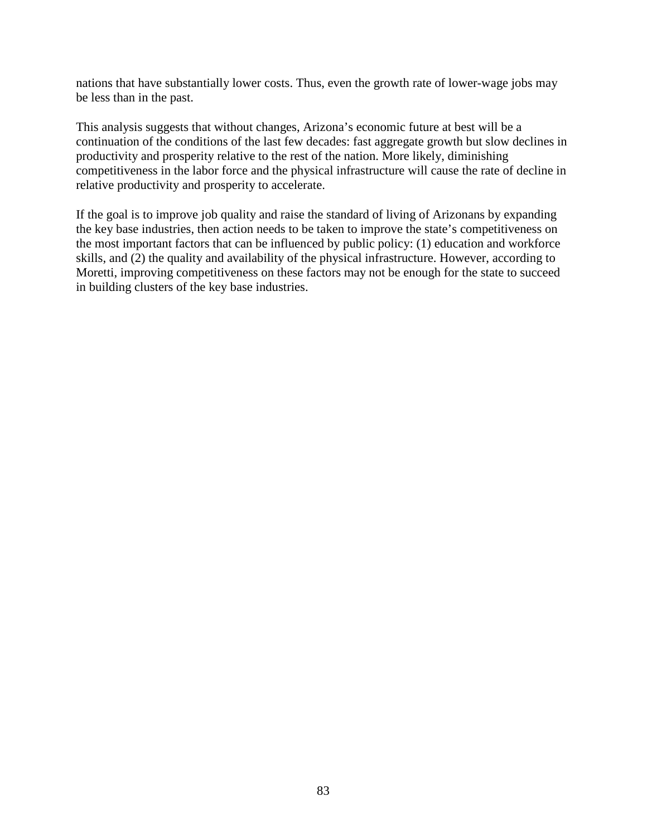nations that have substantially lower costs. Thus, even the growth rate of lower-wage jobs may be less than in the past.

This analysis suggests that without changes, Arizona's economic future at best will be a continuation of the conditions of the last few decades: fast aggregate growth but slow declines in productivity and prosperity relative to the rest of the nation. More likely, diminishing competitiveness in the labor force and the physical infrastructure will cause the rate of decline in relative productivity and prosperity to accelerate.

If the goal is to improve job quality and raise the standard of living of Arizonans by expanding the key base industries, then action needs to be taken to improve the state's competitiveness on the most important factors that can be influenced by public policy: (1) education and workforce skills, and (2) the quality and availability of the physical infrastructure. However, according to Moretti, improving competitiveness on these factors may not be enough for the state to succeed in building clusters of the key base industries.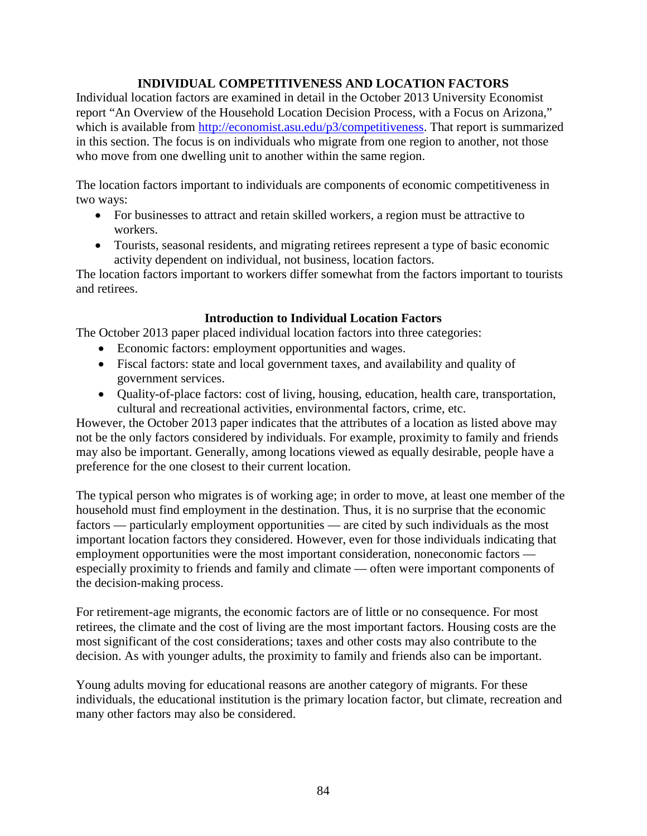# **INDIVIDUAL COMPETITIVENESS AND LOCATION FACTORS**

Individual location factors are examined in detail in the October 2013 University Economist report "An Overview of the Household Location Decision Process, with a Focus on Arizona," which is available from [http://economist.asu.edu/p3/competitiveness.](http://economist.asu.edu/p3/competitiveness) That report is summarized in this section. The focus is on individuals who migrate from one region to another, not those who move from one dwelling unit to another within the same region.

The location factors important to individuals are components of economic competitiveness in two ways:

- For businesses to attract and retain skilled workers, a region must be attractive to workers.
- Tourists, seasonal residents, and migrating retirees represent a type of basic economic activity dependent on individual, not business, location factors.

The location factors important to workers differ somewhat from the factors important to tourists and retirees.

# **Introduction to Individual Location Factors**

The October 2013 paper placed individual location factors into three categories:

- Economic factors: employment opportunities and wages.
- Fiscal factors: state and local government taxes, and availability and quality of government services.
- Quality-of-place factors: cost of living, housing, education, health care, transportation, cultural and recreational activities, environmental factors, crime, etc.

However, the October 2013 paper indicates that the attributes of a location as listed above may not be the only factors considered by individuals. For example, proximity to family and friends may also be important. Generally, among locations viewed as equally desirable, people have a preference for the one closest to their current location.

The typical person who migrates is of working age; in order to move, at least one member of the household must find employment in the destination. Thus, it is no surprise that the economic factors — particularly employment opportunities — are cited by such individuals as the most important location factors they considered. However, even for those individuals indicating that employment opportunities were the most important consideration, noneconomic factors especially proximity to friends and family and climate — often were important components of the decision-making process.

For retirement-age migrants, the economic factors are of little or no consequence. For most retirees, the climate and the cost of living are the most important factors. Housing costs are the most significant of the cost considerations; taxes and other costs may also contribute to the decision. As with younger adults, the proximity to family and friends also can be important.

Young adults moving for educational reasons are another category of migrants. For these individuals, the educational institution is the primary location factor, but climate, recreation and many other factors may also be considered.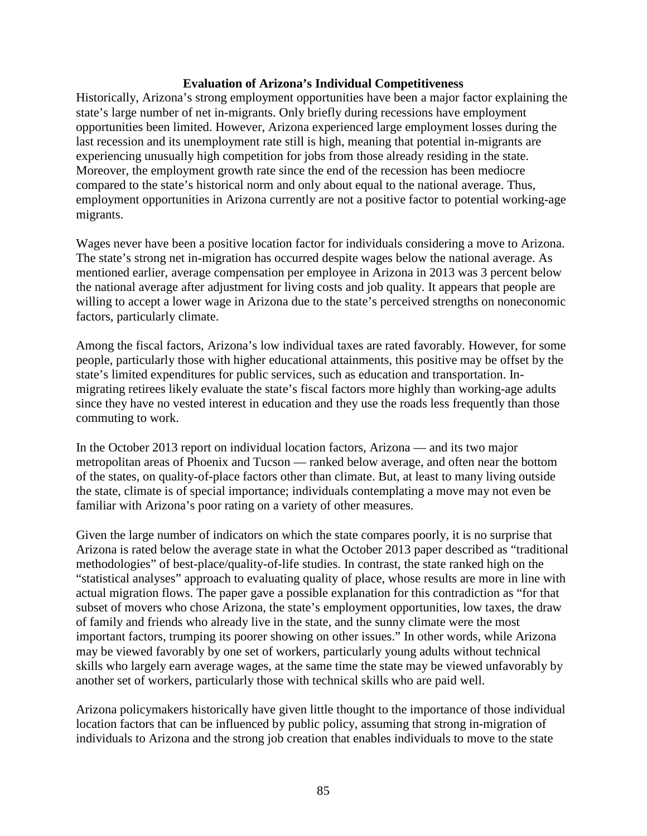#### **Evaluation of Arizona's Individual Competitiveness**

Historically, Arizona's strong employment opportunities have been a major factor explaining the state's large number of net in-migrants. Only briefly during recessions have employment opportunities been limited. However, Arizona experienced large employment losses during the last recession and its unemployment rate still is high, meaning that potential in-migrants are experiencing unusually high competition for jobs from those already residing in the state. Moreover, the employment growth rate since the end of the recession has been mediocre compared to the state's historical norm and only about equal to the national average. Thus, employment opportunities in Arizona currently are not a positive factor to potential working-age migrants.

Wages never have been a positive location factor for individuals considering a move to Arizona. The state's strong net in-migration has occurred despite wages below the national average. As mentioned earlier, average compensation per employee in Arizona in 2013 was 3 percent below the national average after adjustment for living costs and job quality. It appears that people are willing to accept a lower wage in Arizona due to the state's perceived strengths on noneconomic factors, particularly climate.

Among the fiscal factors, Arizona's low individual taxes are rated favorably. However, for some people, particularly those with higher educational attainments, this positive may be offset by the state's limited expenditures for public services, such as education and transportation. Inmigrating retirees likely evaluate the state's fiscal factors more highly than working-age adults since they have no vested interest in education and they use the roads less frequently than those commuting to work.

In the October 2013 report on individual location factors, Arizona — and its two major metropolitan areas of Phoenix and Tucson — ranked below average, and often near the bottom of the states, on quality-of-place factors other than climate. But, at least to many living outside the state, climate is of special importance; individuals contemplating a move may not even be familiar with Arizona's poor rating on a variety of other measures.

Given the large number of indicators on which the state compares poorly, it is no surprise that Arizona is rated below the average state in what the October 2013 paper described as "traditional methodologies" of best-place/quality-of-life studies. In contrast, the state ranked high on the "statistical analyses" approach to evaluating quality of place, whose results are more in line with actual migration flows. The paper gave a possible explanation for this contradiction as "for that subset of movers who chose Arizona, the state's employment opportunities, low taxes, the draw of family and friends who already live in the state, and the sunny climate were the most important factors, trumping its poorer showing on other issues." In other words, while Arizona may be viewed favorably by one set of workers, particularly young adults without technical skills who largely earn average wages, at the same time the state may be viewed unfavorably by another set of workers, particularly those with technical skills who are paid well.

Arizona policymakers historically have given little thought to the importance of those individual location factors that can be influenced by public policy, assuming that strong in-migration of individuals to Arizona and the strong job creation that enables individuals to move to the state